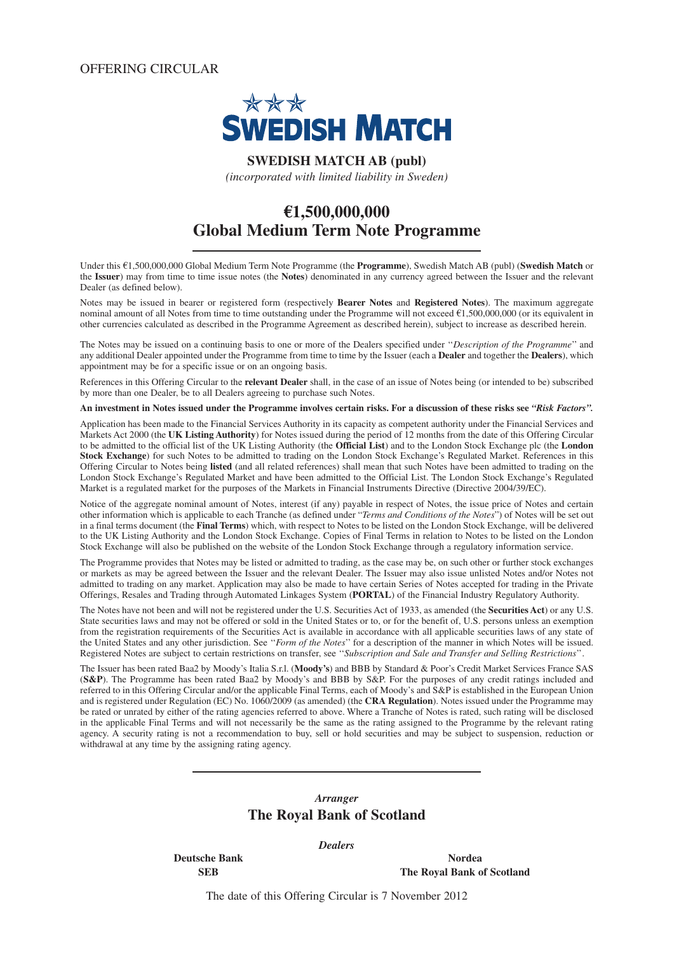OFFERING CIRCULAR



**SWEDISH MATCH AB (publ)**

*(incorporated with limited liability in Sweden)*

# **€1,500,000,000 Global Medium Term Note Programme**

Under this €1,500,000,000 Global Medium Term Note Programme (the **Programme**), Swedish Match AB (publ) (**Swedish Match** or the **Issuer**) may from time to time issue notes (the **Notes**) denominated in any currency agreed between the Issuer and the relevant Dealer (as defined below).

Notes may be issued in bearer or registered form (respectively **Bearer Notes** and **Registered Notes**). The maximum aggregate nominal amount of all Notes from time to time outstanding under the Programme will not exceed €1,500,000,000 (or its equivalent in other currencies calculated as described in the Programme Agreement as described herein), subject to increase as described herein.

The Notes may be issued on a continuing basis to one or more of the Dealers specified under ''*Description of the Programme*'' and any additional Dealer appointed under the Programme from time to time by the Issuer (each a **Dealer** and together the **Dealers**), which appointment may be for a specific issue or on an ongoing basis.

References in this Offering Circular to the **relevant Dealer** shall, in the case of an issue of Notes being (or intended to be) subscribed by more than one Dealer, be to all Dealers agreeing to purchase such Notes.

**An investment in Notes issued under the Programme involves certain risks. For a discussion of these risks see** *"Risk Factors".*

Application has been made to the Financial Services Authority in its capacity as competent authority under the Financial Services and Markets Act 2000 (the **UK Listing Authority**) for Notes issued during the period of 12 months from the date of this Offering Circular to be admitted to the official list of the UK Listing Authority (the **Official List**) and to the London Stock Exchange plc (the **London Stock Exchange**) for such Notes to be admitted to trading on the London Stock Exchange's Regulated Market. References in this Offering Circular to Notes being **listed** (and all related references) shall mean that such Notes have been admitted to trading on the London Stock Exchange's Regulated Market and have been admitted to the Official List. The London Stock Exchange's Regulated Market is a regulated market for the purposes of the Markets in Financial Instruments Directive (Directive 2004/39/EC).

Notice of the aggregate nominal amount of Notes, interest (if any) payable in respect of Notes, the issue price of Notes and certain other information which is applicable to each Tranche (as defined under "*Terms and Conditions of the Notes*") of Notes will be set out in a final terms document (the **Final Terms**) which, with respect to Notes to be listed on the London Stock Exchange, will be delivered to the UK Listing Authority and the London Stock Exchange. Copies of Final Terms in relation to Notes to be listed on the London Stock Exchange will also be published on the website of the London Stock Exchange through a regulatory information service.

The Programme provides that Notes may be listed or admitted to trading, as the case may be, on such other or further stock exchanges or markets as may be agreed between the Issuer and the relevant Dealer. The Issuer may also issue unlisted Notes and/or Notes not admitted to trading on any market. Application may also be made to have certain Series of Notes accepted for trading in the Private Offerings, Resales and Trading through Automated Linkages System (**PORTAL**) of the Financial Industry Regulatory Authority.

The Notes have not been and will not be registered under the U.S. Securities Act of 1933, as amended (the **Securities Act**) or any U.S. State securities laws and may not be offered or sold in the United States or to, or for the benefit of, U.S. persons unless an exemption from the registration requirements of the Securities Act is available in accordance with all applicable securities laws of any state of the United States and any other jurisdiction. See ''*Form of the Notes*'' for a description of the manner in which Notes will be issued. Registered Notes are subject to certain restrictions on transfer, see ''*Subscription and Sale and Transfer and Selling Restrictions*''.

The Issuer has been rated Baa2 by Moody's Italia S.r.l. (**Moody's**) and BBB by Standard & Poor's Credit Market Services France SAS (**S&P**). The Programme has been rated Baa2 by Moody's and BBB by S&P. For the purposes of any credit ratings included and referred to in this Offering Circular and/or the applicable Final Terms, each of Moody's and S&P is established in the European Union and is registered under Regulation (EC) No. 1060/2009 (as amended) (the **CRA Regulation**). Notes issued under the Programme may be rated or unrated by either of the rating agencies referred to above. Where a Tranche of Notes is rated, such rating will be disclosed in the applicable Final Terms and will not necessarily be the same as the rating assigned to the Programme by the relevant rating agency. A security rating is not a recommendation to buy, sell or hold securities and may be subject to suspension, reduction or withdrawal at any time by the assigning rating agency.

# *Arranger* **The Royal Bank of Scotland**

*Dealers*

**Deutsche Bank** Nordea **SEB** The Royal Bank of Scotland

The date of this Offering Circular is 7 November 2012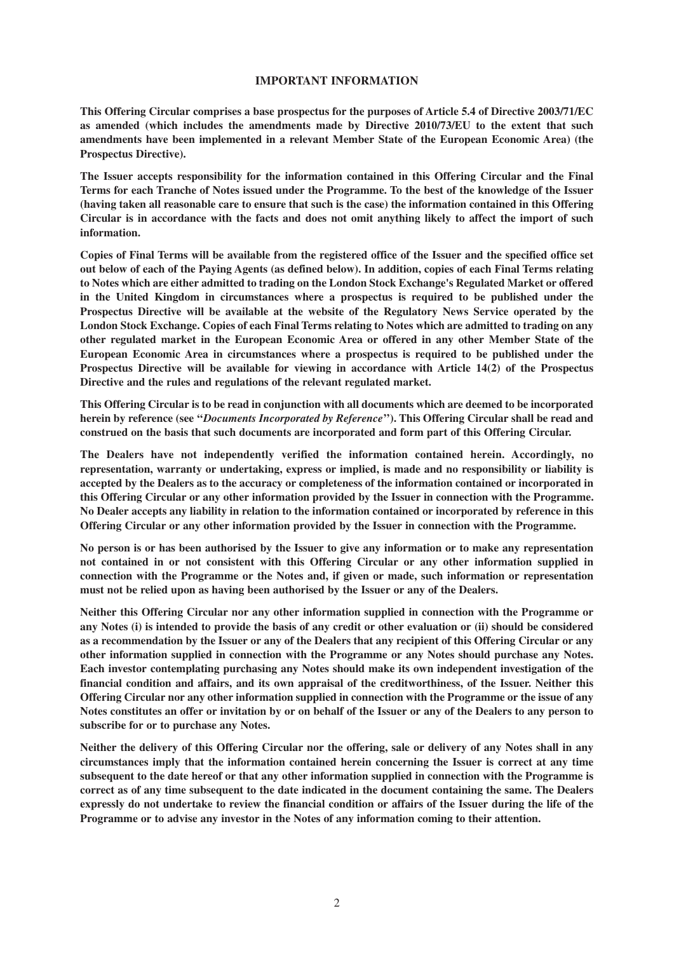#### **IMPORTANT INFORMATION**

**This Offering Circular comprises a base prospectus for the purposes of Article 5.4 of Directive 2003/71/EC as amended (which includes the amendments made by Directive 2010/73/EU to the extent that such amendments have been implemented in a relevant Member State of the European Economic Area) (the Prospectus Directive).**

**The Issuer accepts responsibility for the information contained in this Offering Circular and the Final Terms for each Tranche of Notes issued under the Programme. To the best of the knowledge of the Issuer (having taken all reasonable care to ensure that such is the case) the information contained in this Offering Circular is in accordance with the facts and does not omit anything likely to affect the import of such information.**

**Copies of Final Terms will be available from the registered office of the Issuer and the specified office set out below of each of the Paying Agents (as defined below). In addition, copies of each Final Terms relating to Notes which are either admitted to trading on the London Stock Exchange's Regulated Market or offered in the United Kingdom in circumstances where a prospectus is required to be published under the Prospectus Directive will be available at the website of the Regulatory News Service operated by the London Stock Exchange. Copies of each Final Terms relating to Notes which are admitted to trading on any other regulated market in the European Economic Area or offered in any other Member State of the European Economic Area in circumstances where a prospectus is required to be published under the Prospectus Directive will be available for viewing in accordance with Article 14(2) of the Prospectus Directive and the rules and regulations of the relevant regulated market.**

**This Offering Circular is to be read in conjunction with all documents which are deemed to be incorporated herein by reference (see ''***Documents Incorporated by Reference***''). This Offering Circular shall be read and construed on the basis that such documents are incorporated and form part of this Offering Circular.**

**The Dealers have not independently verified the information contained herein. Accordingly, no representation, warranty or undertaking, express or implied, is made and no responsibility or liability is accepted by the Dealers as to the accuracy or completeness of the information contained or incorporated in this Offering Circular or any other information provided by the Issuer in connection with the Programme. No Dealer accepts any liability in relation to the information contained or incorporated by reference in this Offering Circular or any other information provided by the Issuer in connection with the Programme.**

**No person is or has been authorised by the Issuer to give any information or to make any representation not contained in or not consistent with this Offering Circular or any other information supplied in connection with the Programme or the Notes and, if given or made, such information or representation must not be relied upon as having been authorised by the Issuer or any of the Dealers.**

**Neither this Offering Circular nor any other information supplied in connection with the Programme or any Notes (i) is intended to provide the basis of any credit or other evaluation or (ii) should be considered as a recommendation by the Issuer or any of the Dealers that any recipient of this Offering Circular or any other information supplied in connection with the Programme or any Notes should purchase any Notes. Each investor contemplating purchasing any Notes should make its own independent investigation of the financial condition and affairs, and its own appraisal of the creditworthiness, of the Issuer. Neither this Offering Circular nor any other information supplied in connection with the Programme or the issue of any Notes constitutes an offer or invitation by or on behalf of the Issuer or any of the Dealers to any person to subscribe for or to purchase any Notes.**

**Neither the delivery of this Offering Circular nor the offering, sale or delivery of any Notes shall in any circumstances imply that the information contained herein concerning the Issuer is correct at any time subsequent to the date hereof or that any other information supplied in connection with the Programme is correct as of any time subsequent to the date indicated in the document containing the same. The Dealers expressly do not undertake to review the financial condition or affairs of the Issuer during the life of the Programme or to advise any investor in the Notes of any information coming to their attention.**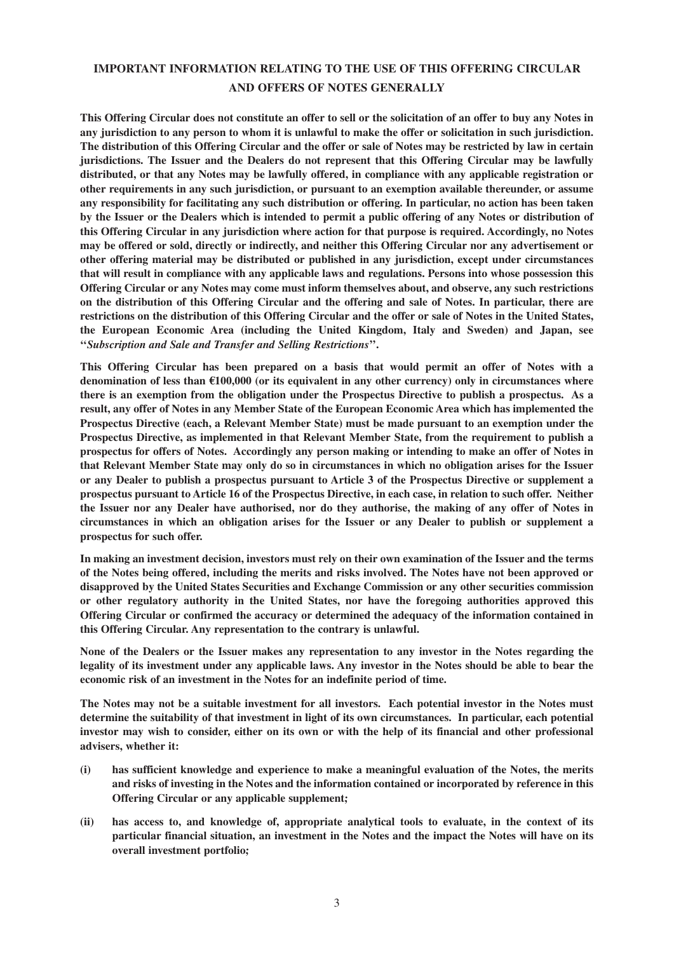# **IMPORTANT INFORMATION RELATING TO THE USE OF THIS OFFERING CIRCULAR AND OFFERS OF NOTES GENERALLY**

**This Offering Circular does not constitute an offer to sell or the solicitation of an offer to buy any Notes in any jurisdiction to any person to whom it is unlawful to make the offer or solicitation in such jurisdiction. The distribution of this Offering Circular and the offer or sale of Notes may be restricted by law in certain jurisdictions. The Issuer and the Dealers do not represent that this Offering Circular may be lawfully distributed, or that any Notes may be lawfully offered, in compliance with any applicable registration or other requirements in any such jurisdiction, or pursuant to an exemption available thereunder, or assume any responsibility for facilitating any such distribution or offering. In particular, no action has been taken by the Issuer or the Dealers which is intended to permit a public offering of any Notes or distribution of this Offering Circular in any jurisdiction where action for that purpose is required. Accordingly, no Notes may be offered or sold, directly or indirectly, and neither this Offering Circular nor any advertisement or other offering material may be distributed or published in any jurisdiction, except under circumstances that will result in compliance with any applicable laws and regulations. Persons into whose possession this Offering Circular or any Notes may come must inform themselves about, and observe, any such restrictions on the distribution of this Offering Circular and the offering and sale of Notes. In particular, there are restrictions on the distribution of this Offering Circular and the offer or sale of Notes in the United States, the European Economic Area (including the United Kingdom, Italy and Sweden) and Japan, see ''***Subscription and Sale and Transfer and Selling Restrictions***''.**

**This Offering Circular has been prepared on a basis that would permit an offer of Notes with a denomination of less than €100,000 (or its equivalent in any other currency) only in circumstances where there is an exemption from the obligation under the Prospectus Directive to publish a prospectus. As a result, any offer of Notes in any Member State of the European Economic Area which has implemented the Prospectus Directive (each, a Relevant Member State) must be made pursuant to an exemption under the Prospectus Directive, as implemented in that Relevant Member State, from the requirement to publish a prospectus for offers of Notes. Accordingly any person making or intending to make an offer of Notes in that Relevant Member State may only do so in circumstances in which no obligation arises for the Issuer or any Dealer to publish a prospectus pursuant to Article 3 of the Prospectus Directive or supplement a prospectus pursuant to Article 16 of the Prospectus Directive, in each case, in relation to such offer. Neither the Issuer nor any Dealer have authorised, nor do they authorise, the making of any offer of Notes in circumstances in which an obligation arises for the Issuer or any Dealer to publish or supplement a prospectus for such offer.**

**In making an investment decision, investors must rely on their own examination of the Issuer and the terms of the Notes being offered, including the merits and risks involved. The Notes have not been approved or disapproved by the United States Securities and Exchange Commission or any other securities commission or other regulatory authority in the United States, nor have the foregoing authorities approved this Offering Circular or confirmed the accuracy or determined the adequacy of the information contained in this Offering Circular. Any representation to the contrary is unlawful.**

**None of the Dealers or the Issuer makes any representation to any investor in the Notes regarding the legality of its investment under any applicable laws. Any investor in the Notes should be able to bear the economic risk of an investment in the Notes for an indefinite period of time.**

**The Notes may not be a suitable investment for all investors. Each potential investor in the Notes must determine the suitability of that investment in light of its own circumstances. In particular, each potential investor may wish to consider, either on its own or with the help of its financial and other professional advisers, whether it:**

- **(i) has sufficient knowledge and experience to make a meaningful evaluation of the Notes, the merits and risks of investing in the Notes and the information contained or incorporated by reference in this Offering Circular or any applicable supplement;**
- **(ii) has access to, and knowledge of, appropriate analytical tools to evaluate, in the context of its particular financial situation, an investment in the Notes and the impact the Notes will have on its overall investment portfolio;**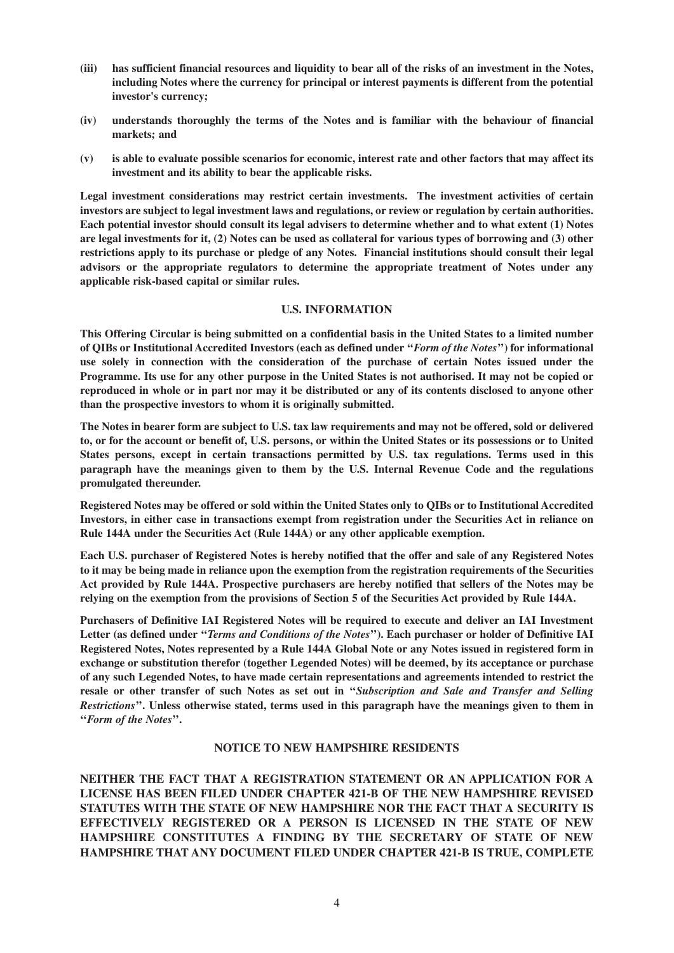- **(iii) has sufficient financial resources and liquidity to bear all of the risks of an investment in the Notes, including Notes where the currency for principal or interest payments is different from the potential investor's currency;**
- **(iv) understands thoroughly the terms of the Notes and is familiar with the behaviour of financial markets; and**
- **(v) is able to evaluate possible scenarios for economic, interest rate and other factors that may affect its investment and its ability to bear the applicable risks.**

**Legal investment considerations may restrict certain investments. The investment activities of certain investors are subject to legal investment laws and regulations, or review or regulation by certain authorities. Each potential investor should consult its legal advisers to determine whether and to what extent (1) Notes are legal investments for it, (2) Notes can be used as collateral for various types of borrowing and (3) other restrictions apply to its purchase or pledge of any Notes. Financial institutions should consult their legal advisors or the appropriate regulators to determine the appropriate treatment of Notes under any applicable risk-based capital or similar rules.**

#### **U.S. INFORMATION**

**This Offering Circular is being submitted on a confidential basis in the United States to a limited number of QIBs or Institutional Accredited Investors (each as defined under ''***Form of the Notes***'') for informational use solely in connection with the consideration of the purchase of certain Notes issued under the Programme. Its use for any other purpose in the United States is not authorised. It may not be copied or reproduced in whole or in part nor may it be distributed or any of its contents disclosed to anyone other than the prospective investors to whom it is originally submitted.**

**The Notes in bearer form are subject to U.S. tax law requirements and may not be offered, sold or delivered to, or for the account or benefit of, U.S. persons, or within the United States or its possessions or to United States persons, except in certain transactions permitted by U.S. tax regulations. Terms used in this paragraph have the meanings given to them by the U.S. Internal Revenue Code and the regulations promulgated thereunder.**

**Registered Notes may be offered or sold within the United States only to QIBs or to Institutional Accredited Investors, in either case in transactions exempt from registration under the Securities Act in reliance on Rule 144A under the Securities Act (Rule 144A) or any other applicable exemption.**

**Each U.S. purchaser of Registered Notes is hereby notified that the offer and sale of any Registered Notes to it may be being made in reliance upon the exemption from the registration requirements of the Securities Act provided by Rule 144A. Prospective purchasers are hereby notified that sellers of the Notes may be relying on the exemption from the provisions of Section 5 of the Securities Act provided by Rule 144A.**

**Purchasers of Definitive IAI Registered Notes will be required to execute and deliver an IAI Investment Letter (as defined under ''***Terms and Conditions of the Notes***''). Each purchaser or holder of Definitive IAI Registered Notes, Notes represented by a Rule 144A Global Note or any Notes issued in registered form in exchange or substitution therefor (together Legended Notes) will be deemed, by its acceptance or purchase of any such Legended Notes, to have made certain representations and agreements intended to restrict the resale or other transfer of such Notes as set out in ''***Subscription and Sale and Transfer and Selling Restrictions***''. Unless otherwise stated, terms used in this paragraph have the meanings given to them in ''***Form of the Notes***''.**

#### **NOTICE TO NEW HAMPSHIRE RESIDENTS**

**NEITHER THE FACT THAT A REGISTRATION STATEMENT OR AN APPLICATION FOR A LICENSE HAS BEEN FILED UNDER CHAPTER 421-B OF THE NEW HAMPSHIRE REVISED STATUTES WITH THE STATE OF NEW HAMPSHIRE NOR THE FACT THAT A SECURITY IS EFFECTIVELY REGISTERED OR A PERSON IS LICENSED IN THE STATE OF NEW HAMPSHIRE CONSTITUTES A FINDING BY THE SECRETARY OF STATE OF NEW HAMPSHIRE THAT ANY DOCUMENT FILED UNDER CHAPTER 421-B IS TRUE, COMPLETE**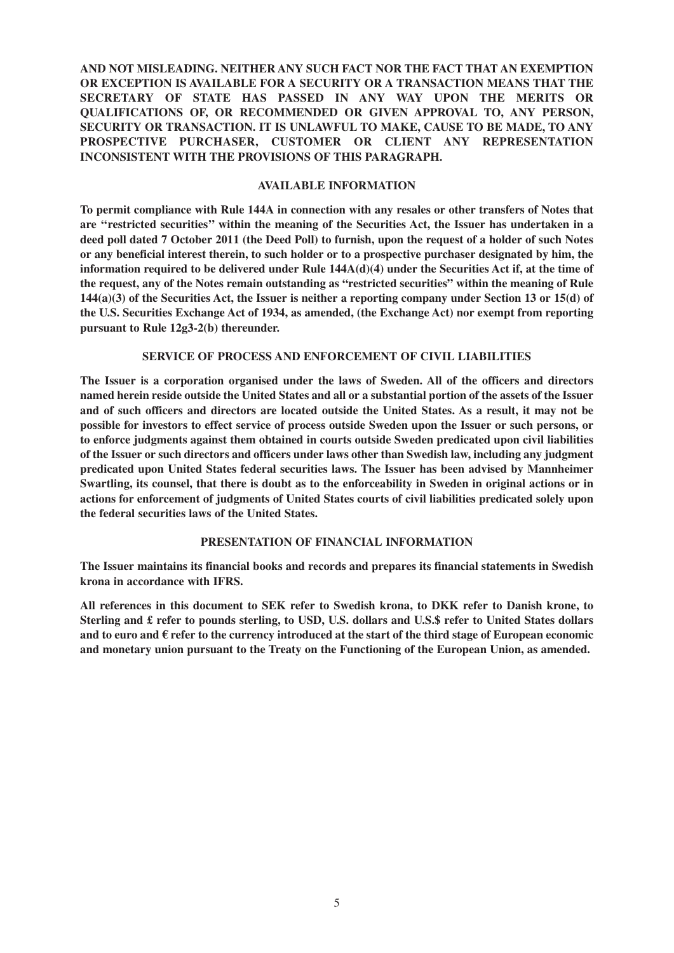# **AND NOT MISLEADING. NEITHER ANY SUCH FACT NOR THE FACT THAT AN EXEMPTION OR EXCEPTION IS AVAILABLE FOR A SECURITY OR A TRANSACTION MEANS THAT THE SECRETARY OF STATE HAS PASSED IN ANY WAY UPON THE MERITS OR QUALIFICATIONS OF, OR RECOMMENDED OR GIVEN APPROVAL TO, ANY PERSON, SECURITY OR TRANSACTION. IT IS UNLAWFUL TO MAKE, CAUSE TO BE MADE, TO ANY PROSPECTIVE PURCHASER, CUSTOMER OR CLIENT ANY REPRESENTATION INCONSISTENT WITH THE PROVISIONS OF THIS PARAGRAPH.**

#### **AVAILABLE INFORMATION**

**To permit compliance with Rule 144A in connection with any resales or other transfers of Notes that are ''restricted securities'' within the meaning of the Securities Act, the Issuer has undertaken in a deed poll dated 7 October 2011 (the Deed Poll) to furnish, upon the request of a holder of such Notes or any beneficial interest therein, to such holder or to a prospective purchaser designated by him, the information required to be delivered under Rule 144A(d)(4) under the Securities Act if, at the time of the request, any of the Notes remain outstanding as "restricted securities" within the meaning of Rule 144(a)(3) of the Securities Act, the Issuer is neither a reporting company under Section 13 or 15(d) of the U.S. Securities Exchange Act of 1934, as amended, (the Exchange Act) nor exempt from reporting pursuant to Rule 12g3-2(b) thereunder.**

#### **SERVICE OF PROCESS AND ENFORCEMENT OF CIVIL LIABILITIES**

**The Issuer is a corporation organised under the laws of Sweden. All of the officers and directors named herein reside outside the United States and all or a substantial portion of the assets of the Issuer and of such officers and directors are located outside the United States. As a result, it may not be possible for investors to effect service of process outside Sweden upon the Issuer or such persons, or to enforce judgments against them obtained in courts outside Sweden predicated upon civil liabilities of the Issuer or such directors and officers under laws other than Swedish law, including any judgment predicated upon United States federal securities laws. The Issuer has been advised by Mannheimer Swartling, its counsel, that there is doubt as to the enforceability in Sweden in original actions or in actions for enforcement of judgments of United States courts of civil liabilities predicated solely upon the federal securities laws of the United States.**

### **PRESENTATION OF FINANCIAL INFORMATION**

**The Issuer maintains its financial books and records and prepares its financial statements in Swedish krona in accordance with IFRS.**

**All references in this document to SEK refer to Swedish krona, to DKK refer to Danish krone, to Sterling and £ refer to pounds sterling, to USD, U.S. dollars and U.S.\$ refer to United States dollars and to euro and € refer to the currency introduced at the start of the third stage of European economic and monetary union pursuant to the Treaty on the Functioning of the European Union, as amended.**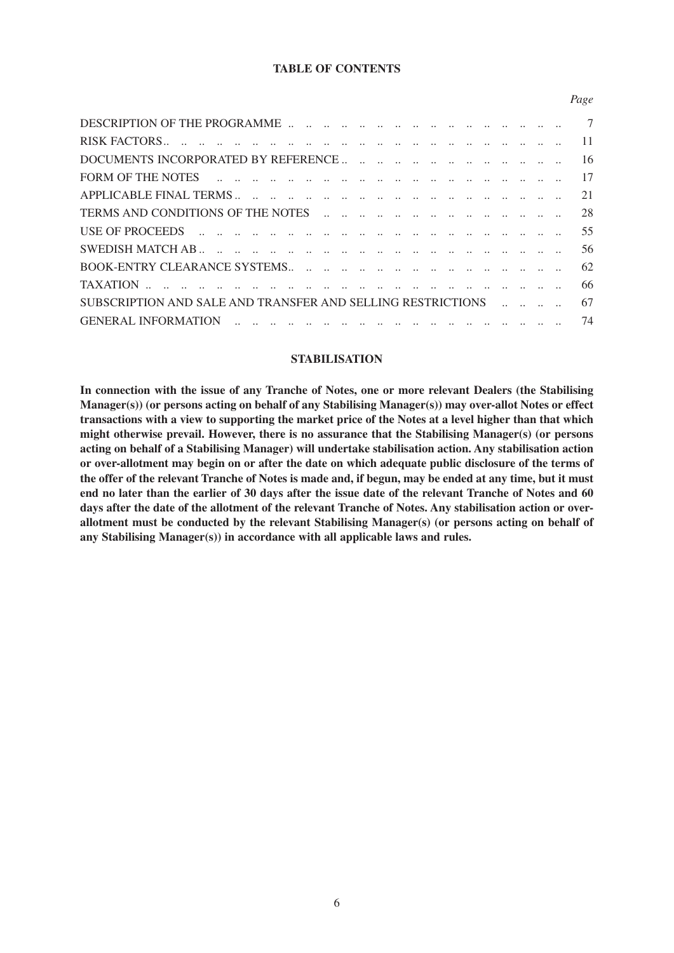# **TABLE OF CONTENTS**

*Page*

|                                                             |  |  |  |  |  | 11 |
|-------------------------------------------------------------|--|--|--|--|--|----|
|                                                             |  |  |  |  |  | 16 |
|                                                             |  |  |  |  |  | 17 |
|                                                             |  |  |  |  |  | 21 |
|                                                             |  |  |  |  |  | 28 |
|                                                             |  |  |  |  |  | 55 |
|                                                             |  |  |  |  |  | 56 |
|                                                             |  |  |  |  |  | 62 |
|                                                             |  |  |  |  |  | 66 |
| SUBSCRIPTION AND SALE AND TRANSFER AND SELLING RESTRICTIONS |  |  |  |  |  | 67 |
|                                                             |  |  |  |  |  | 74 |
|                                                             |  |  |  |  |  |    |

#### **STABILISATION**

**In connection with the issue of any Tranche of Notes, one or more relevant Dealers (the Stabilising Manager(s)) (or persons acting on behalf of any Stabilising Manager(s)) may over-allot Notes or effect transactions with a view to supporting the market price of the Notes at a level higher than that which might otherwise prevail. However, there is no assurance that the Stabilising Manager(s) (or persons acting on behalf of a Stabilising Manager) will undertake stabilisation action. Any stabilisation action or over-allotment may begin on or after the date on which adequate public disclosure of the terms of the offer of the relevant Tranche of Notes is made and, if begun, may be ended at any time, but it must end no later than the earlier of 30 days after the issue date of the relevant Tranche of Notes and 60 days after the date of the allotment of the relevant Tranche of Notes. Any stabilisation action or overallotment must be conducted by the relevant Stabilising Manager(s) (or persons acting on behalf of any Stabilising Manager(s)) in accordance with all applicable laws and rules.**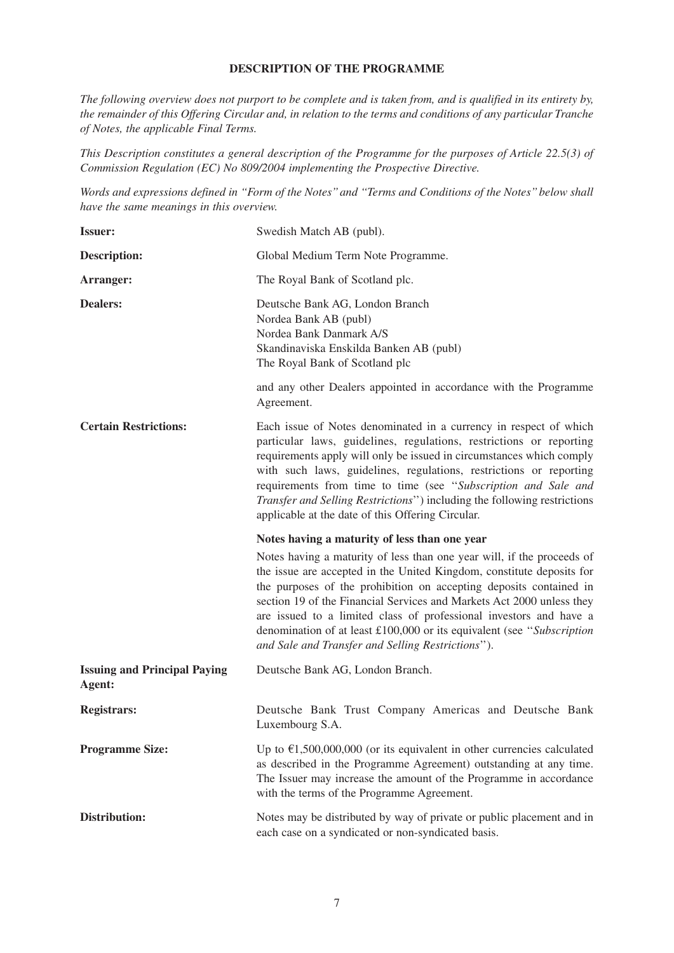## **DESCRIPTION OF THE PROGRAMME**

*The following overview does not purport to be complete and is taken from, and is qualified in its entirety by, the remainder of this Offering Circular and, in relation to the terms and conditions of any particular Tranche of Notes, the applicable Final Terms.* 

*This Description constitutes a general description of the Programme for the purposes of Article 22.5(3) of Commission Regulation (EC) No 809/2004 implementing the Prospective Directive.*

*Words and expressions defined in ''Form of the Notes'' and ''Terms and Conditions of the Notes'' below shall have the same meanings in this overview.*

| <b>Issuer:</b>                                | Swedish Match AB (publ).                                                                                                                                                                                                                                                                                                                                                                                                                                                                            |
|-----------------------------------------------|-----------------------------------------------------------------------------------------------------------------------------------------------------------------------------------------------------------------------------------------------------------------------------------------------------------------------------------------------------------------------------------------------------------------------------------------------------------------------------------------------------|
| <b>Description:</b>                           | Global Medium Term Note Programme.                                                                                                                                                                                                                                                                                                                                                                                                                                                                  |
| Arranger:                                     | The Royal Bank of Scotland plc.                                                                                                                                                                                                                                                                                                                                                                                                                                                                     |
| <b>Dealers:</b>                               | Deutsche Bank AG, London Branch<br>Nordea Bank AB (publ)<br>Nordea Bank Danmark A/S<br>Skandinaviska Enskilda Banken AB (publ)<br>The Royal Bank of Scotland plc                                                                                                                                                                                                                                                                                                                                    |
|                                               | and any other Dealers appointed in accordance with the Programme<br>Agreement.                                                                                                                                                                                                                                                                                                                                                                                                                      |
| <b>Certain Restrictions:</b>                  | Each issue of Notes denominated in a currency in respect of which<br>particular laws, guidelines, regulations, restrictions or reporting<br>requirements apply will only be issued in circumstances which comply<br>with such laws, guidelines, regulations, restrictions or reporting<br>requirements from time to time (see "Subscription and Sale and<br>Transfer and Selling Restrictions") including the following restrictions<br>applicable at the date of this Offering Circular.           |
|                                               |                                                                                                                                                                                                                                                                                                                                                                                                                                                                                                     |
|                                               | Notes having a maturity of less than one year                                                                                                                                                                                                                                                                                                                                                                                                                                                       |
|                                               | Notes having a maturity of less than one year will, if the proceeds of<br>the issue are accepted in the United Kingdom, constitute deposits for<br>the purposes of the prohibition on accepting deposits contained in<br>section 19 of the Financial Services and Markets Act 2000 unless they<br>are issued to a limited class of professional investors and have a<br>denomination of at least £100,000 or its equivalent (see "Subscription<br>and Sale and Transfer and Selling Restrictions"). |
| <b>Issuing and Principal Paying</b><br>Agent: | Deutsche Bank AG, London Branch.                                                                                                                                                                                                                                                                                                                                                                                                                                                                    |
| <b>Registrars:</b>                            | Deutsche Bank Trust Company Americas and Deutsche Bank<br>Luxembourg S.A.                                                                                                                                                                                                                                                                                                                                                                                                                           |
| <b>Programme Size:</b>                        | Up to $\epsilon$ 1,500,000,000 (or its equivalent in other currencies calculated<br>as described in the Programme Agreement) outstanding at any time.<br>The Issuer may increase the amount of the Programme in accordance<br>with the terms of the Programme Agreement.                                                                                                                                                                                                                            |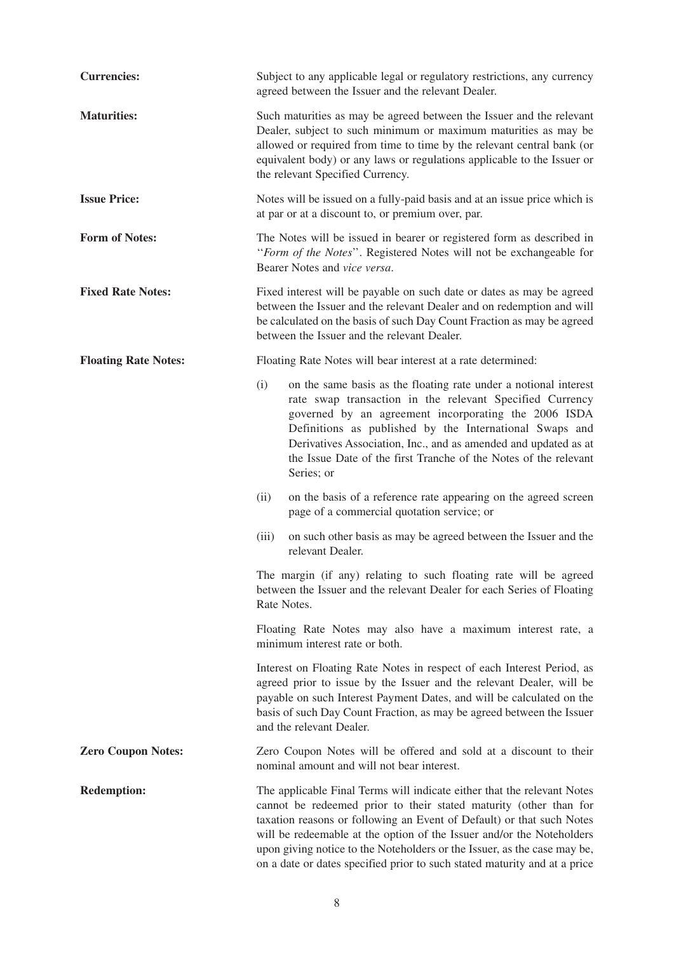| <b>Currencies:</b>          | Subject to any applicable legal or regulatory restrictions, any currency<br>agreed between the Issuer and the relevant Dealer.                                                                                                                                                                                                                                                                                                                          |
|-----------------------------|---------------------------------------------------------------------------------------------------------------------------------------------------------------------------------------------------------------------------------------------------------------------------------------------------------------------------------------------------------------------------------------------------------------------------------------------------------|
| <b>Maturities:</b>          | Such maturities as may be agreed between the Issuer and the relevant<br>Dealer, subject to such minimum or maximum maturities as may be<br>allowed or required from time to time by the relevant central bank (or<br>equivalent body) or any laws or regulations applicable to the Issuer or<br>the relevant Specified Currency.                                                                                                                        |
| <b>Issue Price:</b>         | Notes will be issued on a fully-paid basis and at an issue price which is<br>at par or at a discount to, or premium over, par.                                                                                                                                                                                                                                                                                                                          |
| <b>Form of Notes:</b>       | The Notes will be issued in bearer or registered form as described in<br>"Form of the Notes". Registered Notes will not be exchangeable for<br>Bearer Notes and vice versa.                                                                                                                                                                                                                                                                             |
| <b>Fixed Rate Notes:</b>    | Fixed interest will be payable on such date or dates as may be agreed<br>between the Issuer and the relevant Dealer and on redemption and will<br>be calculated on the basis of such Day Count Fraction as may be agreed<br>between the Issuer and the relevant Dealer.                                                                                                                                                                                 |
| <b>Floating Rate Notes:</b> | Floating Rate Notes will bear interest at a rate determined:                                                                                                                                                                                                                                                                                                                                                                                            |
|                             | (i)<br>on the same basis as the floating rate under a notional interest<br>rate swap transaction in the relevant Specified Currency<br>governed by an agreement incorporating the 2006 ISDA<br>Definitions as published by the International Swaps and<br>Derivatives Association, Inc., and as amended and updated as at<br>the Issue Date of the first Tranche of the Notes of the relevant<br>Series; or                                             |
|                             | on the basis of a reference rate appearing on the agreed screen<br>(ii)<br>page of a commercial quotation service; or                                                                                                                                                                                                                                                                                                                                   |
|                             | on such other basis as may be agreed between the Issuer and the<br>(iii)<br>relevant Dealer.                                                                                                                                                                                                                                                                                                                                                            |
|                             | The margin (if any) relating to such floating rate will be agreed<br>between the Issuer and the relevant Dealer for each Series of Floating<br>Rate Notes.                                                                                                                                                                                                                                                                                              |
|                             | Floating Rate Notes may also have a maximum interest rate, a<br>minimum interest rate or both.                                                                                                                                                                                                                                                                                                                                                          |
|                             | Interest on Floating Rate Notes in respect of each Interest Period, as<br>agreed prior to issue by the Issuer and the relevant Dealer, will be<br>payable on such Interest Payment Dates, and will be calculated on the<br>basis of such Day Count Fraction, as may be agreed between the Issuer<br>and the relevant Dealer.                                                                                                                            |
| <b>Zero Coupon Notes:</b>   | Zero Coupon Notes will be offered and sold at a discount to their<br>nominal amount and will not bear interest.                                                                                                                                                                                                                                                                                                                                         |
| <b>Redemption:</b>          | The applicable Final Terms will indicate either that the relevant Notes<br>cannot be redeemed prior to their stated maturity (other than for<br>taxation reasons or following an Event of Default) or that such Notes<br>will be redeemable at the option of the Issuer and/or the Noteholders<br>upon giving notice to the Noteholders or the Issuer, as the case may be,<br>on a date or dates specified prior to such stated maturity and at a price |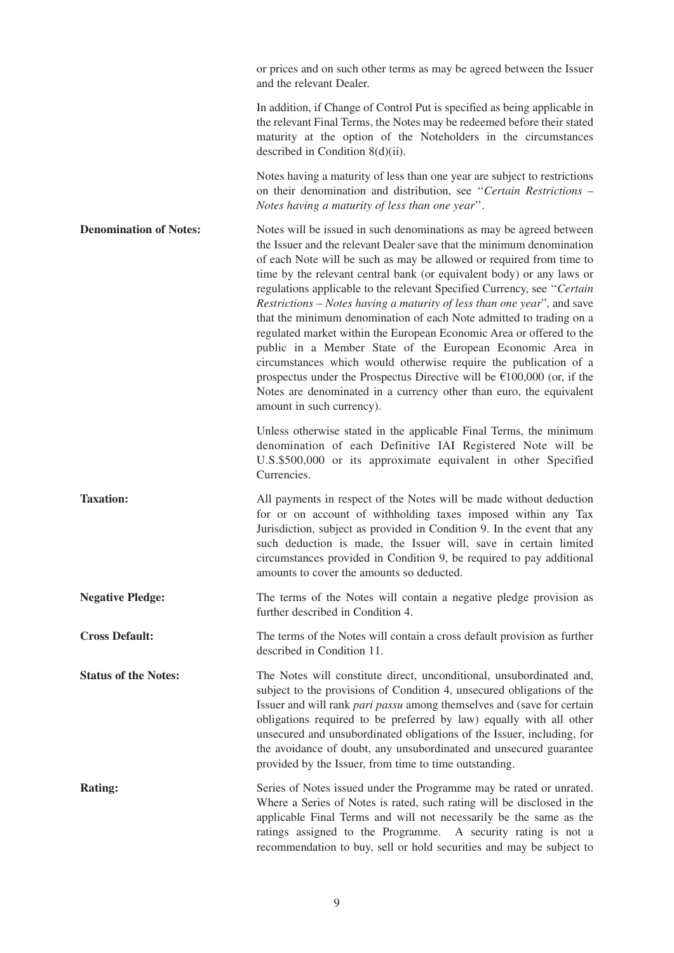|                               | or prices and on such other terms as may be agreed between the Issuer<br>and the relevant Dealer.                                                                                                                                                                                                                                                                                                                                                                                                                                                                                                                                                                                                                                                                                                                                                                                                                           |
|-------------------------------|-----------------------------------------------------------------------------------------------------------------------------------------------------------------------------------------------------------------------------------------------------------------------------------------------------------------------------------------------------------------------------------------------------------------------------------------------------------------------------------------------------------------------------------------------------------------------------------------------------------------------------------------------------------------------------------------------------------------------------------------------------------------------------------------------------------------------------------------------------------------------------------------------------------------------------|
|                               | In addition, if Change of Control Put is specified as being applicable in<br>the relevant Final Terms, the Notes may be redeemed before their stated<br>maturity at the option of the Noteholders in the circumstances<br>described in Condition $8(d)(ii)$ .                                                                                                                                                                                                                                                                                                                                                                                                                                                                                                                                                                                                                                                               |
|                               | Notes having a maturity of less than one year are subject to restrictions<br>on their denomination and distribution, see "Certain Restrictions -<br>Notes having a maturity of less than one year".                                                                                                                                                                                                                                                                                                                                                                                                                                                                                                                                                                                                                                                                                                                         |
| <b>Denomination of Notes:</b> | Notes will be issued in such denominations as may be agreed between<br>the Issuer and the relevant Dealer save that the minimum denomination<br>of each Note will be such as may be allowed or required from time to<br>time by the relevant central bank (or equivalent body) or any laws or<br>regulations applicable to the relevant Specified Currency, see "Certain<br>Restrictions - Notes having a maturity of less than one year", and save<br>that the minimum denomination of each Note admitted to trading on a<br>regulated market within the European Economic Area or offered to the<br>public in a Member State of the European Economic Area in<br>circumstances which would otherwise require the publication of a<br>prospectus under the Prospectus Directive will be $\epsilon$ 100,000 (or, if the<br>Notes are denominated in a currency other than euro, the equivalent<br>amount in such currency). |
|                               | Unless otherwise stated in the applicable Final Terms, the minimum<br>denomination of each Definitive IAI Registered Note will be<br>U.S.\$500,000 or its approximate equivalent in other Specified<br>Currencies.                                                                                                                                                                                                                                                                                                                                                                                                                                                                                                                                                                                                                                                                                                          |
| <b>Taxation:</b>              | All payments in respect of the Notes will be made without deduction<br>for or on account of withholding taxes imposed within any Tax<br>Jurisdiction, subject as provided in Condition 9. In the event that any<br>such deduction is made, the Issuer will, save in certain limited<br>circumstances provided in Condition 9, be required to pay additional<br>amounts to cover the amounts so deducted.                                                                                                                                                                                                                                                                                                                                                                                                                                                                                                                    |
| <b>Negative Pledge:</b>       | The terms of the Notes will contain a negative pledge provision as<br>further described in Condition 4.                                                                                                                                                                                                                                                                                                                                                                                                                                                                                                                                                                                                                                                                                                                                                                                                                     |
| <b>Cross Default:</b>         | The terms of the Notes will contain a cross default provision as further<br>described in Condition 11.                                                                                                                                                                                                                                                                                                                                                                                                                                                                                                                                                                                                                                                                                                                                                                                                                      |
| <b>Status of the Notes:</b>   | The Notes will constitute direct, unconditional, unsubordinated and,<br>subject to the provisions of Condition 4, unsecured obligations of the<br>Issuer and will rank <i>pari passu</i> among themselves and (save for certain<br>obligations required to be preferred by law) equally with all other<br>unsecured and unsubordinated obligations of the Issuer, including, for<br>the avoidance of doubt, any unsubordinated and unsecured guarantee<br>provided by the Issuer, from time to time outstanding.                                                                                                                                                                                                                                                                                                                                                                                                            |
| <b>Rating:</b>                | Series of Notes issued under the Programme may be rated or unrated.<br>Where a Series of Notes is rated, such rating will be disclosed in the<br>applicable Final Terms and will not necessarily be the same as the<br>ratings assigned to the Programme. A security rating is not a<br>recommendation to buy, sell or hold securities and may be subject to                                                                                                                                                                                                                                                                                                                                                                                                                                                                                                                                                                |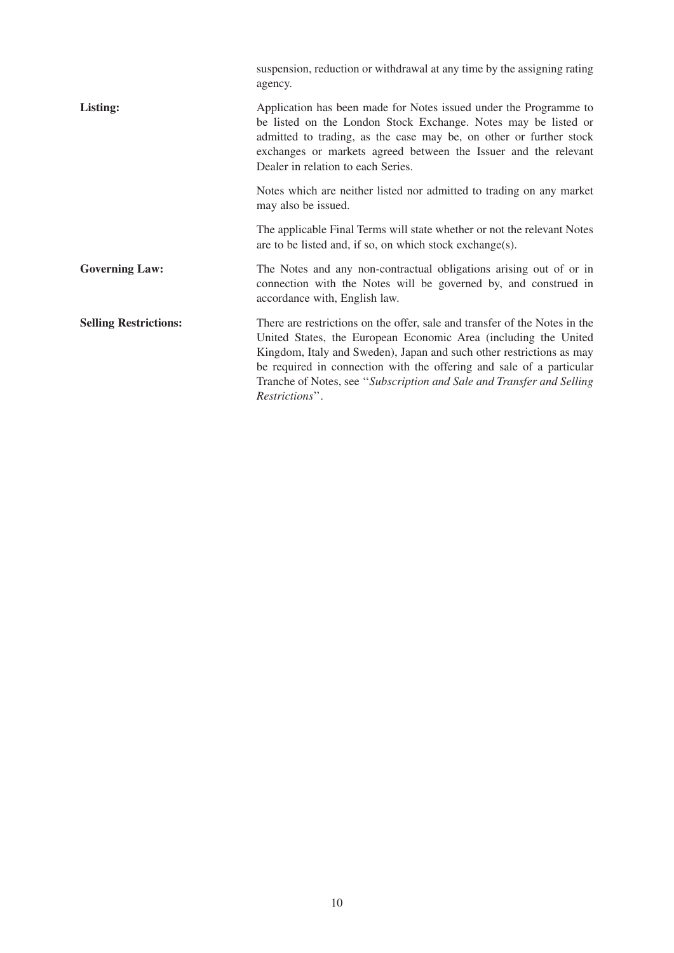| suspension, reduction or withdrawal at any time by the assigning rating<br>agency.                                                                                                                                                                                                                                                                                                       |
|------------------------------------------------------------------------------------------------------------------------------------------------------------------------------------------------------------------------------------------------------------------------------------------------------------------------------------------------------------------------------------------|
| Application has been made for Notes issued under the Programme to<br>be listed on the London Stock Exchange. Notes may be listed or<br>admitted to trading, as the case may be, on other or further stock<br>exchanges or markets agreed between the Issuer and the relevant<br>Dealer in relation to each Series.                                                                       |
| Notes which are neither listed nor admitted to trading on any market<br>may also be issued.                                                                                                                                                                                                                                                                                              |
| The applicable Final Terms will state whether or not the relevant Notes<br>are to be listed and, if so, on which stock exchange(s).                                                                                                                                                                                                                                                      |
| The Notes and any non-contractual obligations arising out of or in<br>connection with the Notes will be governed by, and construed in<br>accordance with, English law.                                                                                                                                                                                                                   |
| There are restrictions on the offer, sale and transfer of the Notes in the<br>United States, the European Economic Area (including the United<br>Kingdom, Italy and Sweden), Japan and such other restrictions as may<br>be required in connection with the offering and sale of a particular<br>Tranche of Notes, see "Subscription and Sale and Transfer and Selling<br>Restrictions". |
|                                                                                                                                                                                                                                                                                                                                                                                          |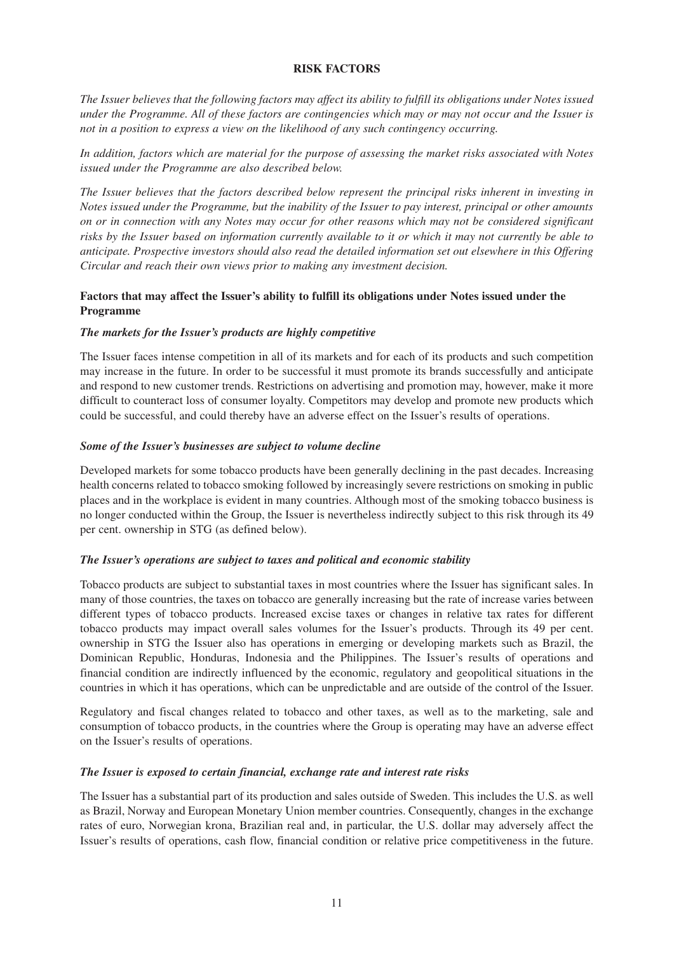#### **RISK FACTORS**

*The Issuer believes that the following factors may affect its ability to fulfill its obligations under Notes issued under the Programme. All of these factors are contingencies which may or may not occur and the Issuer is not in a position to express a view on the likelihood of any such contingency occurring.* 

*In addition, factors which are material for the purpose of assessing the market risks associated with Notes issued under the Programme are also described below.* 

*The Issuer believes that the factors described below represent the principal risks inherent in investing in Notes issued under the Programme, but the inability of the Issuer to pay interest, principal or other amounts on or in connection with any Notes may occur for other reasons which may not be considered significant risks by the Issuer based on information currently available to it or which it may not currently be able to anticipate. Prospective investors should also read the detailed information set out elsewhere in this Offering Circular and reach their own views prior to making any investment decision.* 

# **Factors that may affect the Issuer's ability to fulfill its obligations under Notes issued under the Programme**

#### *The markets for the Issuer's products are highly competitive*

The Issuer faces intense competition in all of its markets and for each of its products and such competition may increase in the future. In order to be successful it must promote its brands successfully and anticipate and respond to new customer trends. Restrictions on advertising and promotion may, however, make it more difficult to counteract loss of consumer loyalty. Competitors may develop and promote new products which could be successful, and could thereby have an adverse effect on the Issuer's results of operations.

#### *Some of the Issuer's businesses are subject to volume decline*

Developed markets for some tobacco products have been generally declining in the past decades. Increasing health concerns related to tobacco smoking followed by increasingly severe restrictions on smoking in public places and in the workplace is evident in many countries. Although most of the smoking tobacco business is no longer conducted within the Group, the Issuer is nevertheless indirectly subject to this risk through its 49 per cent. ownership in STG (as defined below).

#### *The Issuer's operations are subject to taxes and political and economic stability*

Tobacco products are subject to substantial taxes in most countries where the Issuer has significant sales. In many of those countries, the taxes on tobacco are generally increasing but the rate of increase varies between different types of tobacco products. Increased excise taxes or changes in relative tax rates for different tobacco products may impact overall sales volumes for the Issuer's products. Through its 49 per cent. ownership in STG the Issuer also has operations in emerging or developing markets such as Brazil, the Dominican Republic, Honduras, Indonesia and the Philippines. The Issuer's results of operations and financial condition are indirectly influenced by the economic, regulatory and geopolitical situations in the countries in which it has operations, which can be unpredictable and are outside of the control of the Issuer.

Regulatory and fiscal changes related to tobacco and other taxes, as well as to the marketing, sale and consumption of tobacco products, in the countries where the Group is operating may have an adverse effect on the Issuer's results of operations.

#### *The Issuer is exposed to certain financial, exchange rate and interest rate risks*

The Issuer has a substantial part of its production and sales outside of Sweden. This includes the U.S. as well as Brazil, Norway and European Monetary Union member countries. Consequently, changes in the exchange rates of euro, Norwegian krona, Brazilian real and, in particular, the U.S. dollar may adversely affect the Issuer's results of operations, cash flow, financial condition or relative price competitiveness in the future.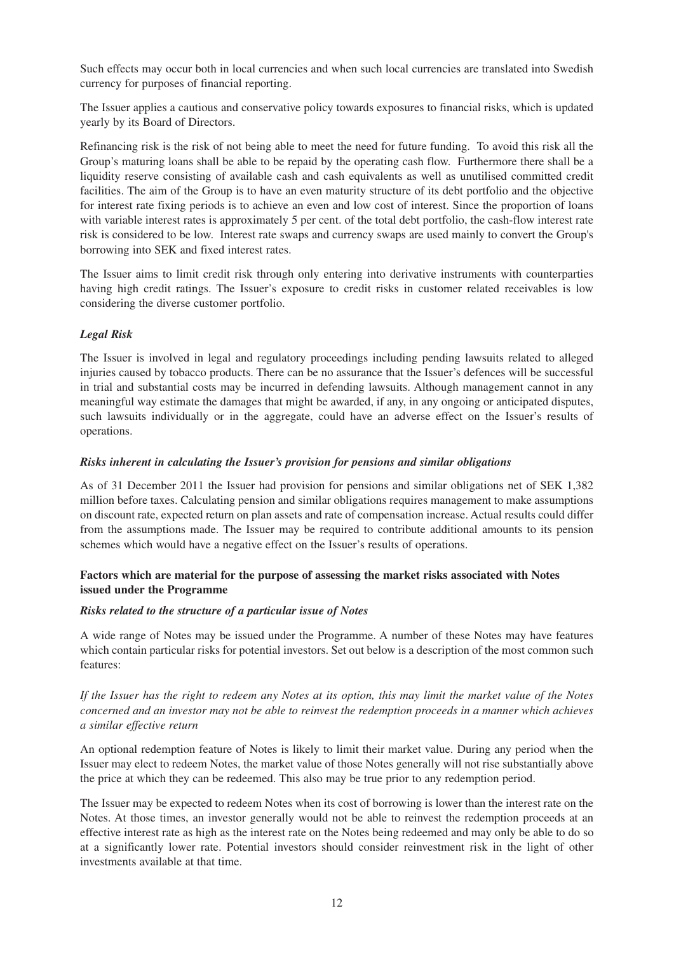Such effects may occur both in local currencies and when such local currencies are translated into Swedish currency for purposes of financial reporting.

The Issuer applies a cautious and conservative policy towards exposures to financial risks, which is updated yearly by its Board of Directors.

Refinancing risk is the risk of not being able to meet the need for future funding. To avoid this risk all the Group's maturing loans shall be able to be repaid by the operating cash flow. Furthermore there shall be a liquidity reserve consisting of available cash and cash equivalents as well as unutilised committed credit facilities. The aim of the Group is to have an even maturity structure of its debt portfolio and the objective for interest rate fixing periods is to achieve an even and low cost of interest. Since the proportion of loans with variable interest rates is approximately 5 per cent. of the total debt portfolio, the cash-flow interest rate risk is considered to be low. Interest rate swaps and currency swaps are used mainly to convert the Group's borrowing into SEK and fixed interest rates.

The Issuer aims to limit credit risk through only entering into derivative instruments with counterparties having high credit ratings. The Issuer's exposure to credit risks in customer related receivables is low considering the diverse customer portfolio.

# *Legal Risk*

The Issuer is involved in legal and regulatory proceedings including pending lawsuits related to alleged injuries caused by tobacco products. There can be no assurance that the Issuer's defences will be successful in trial and substantial costs may be incurred in defending lawsuits. Although management cannot in any meaningful way estimate the damages that might be awarded, if any, in any ongoing or anticipated disputes, such lawsuits individually or in the aggregate, could have an adverse effect on the Issuer's results of operations.

# *Risks inherent in calculating the Issuer's provision for pensions and similar obligations*

As of 31 December 2011 the Issuer had provision for pensions and similar obligations net of SEK 1,382 million before taxes. Calculating pension and similar obligations requires management to make assumptions on discount rate, expected return on plan assets and rate of compensation increase. Actual results could differ from the assumptions made. The Issuer may be required to contribute additional amounts to its pension schemes which would have a negative effect on the Issuer's results of operations.

# **Factors which are material for the purpose of assessing the market risks associated with Notes issued under the Programme**

### *Risks related to the structure of a particular issue of Notes*

A wide range of Notes may be issued under the Programme. A number of these Notes may have features which contain particular risks for potential investors. Set out below is a description of the most common such features:

*If the Issuer has the right to redeem any Notes at its option, this may limit the market value of the Notes concerned and an investor may not be able to reinvest the redemption proceeds in a manner which achieves a similar effective return*

An optional redemption feature of Notes is likely to limit their market value. During any period when the Issuer may elect to redeem Notes, the market value of those Notes generally will not rise substantially above the price at which they can be redeemed. This also may be true prior to any redemption period.

The Issuer may be expected to redeem Notes when its cost of borrowing is lower than the interest rate on the Notes. At those times, an investor generally would not be able to reinvest the redemption proceeds at an effective interest rate as high as the interest rate on the Notes being redeemed and may only be able to do so at a significantly lower rate. Potential investors should consider reinvestment risk in the light of other investments available at that time.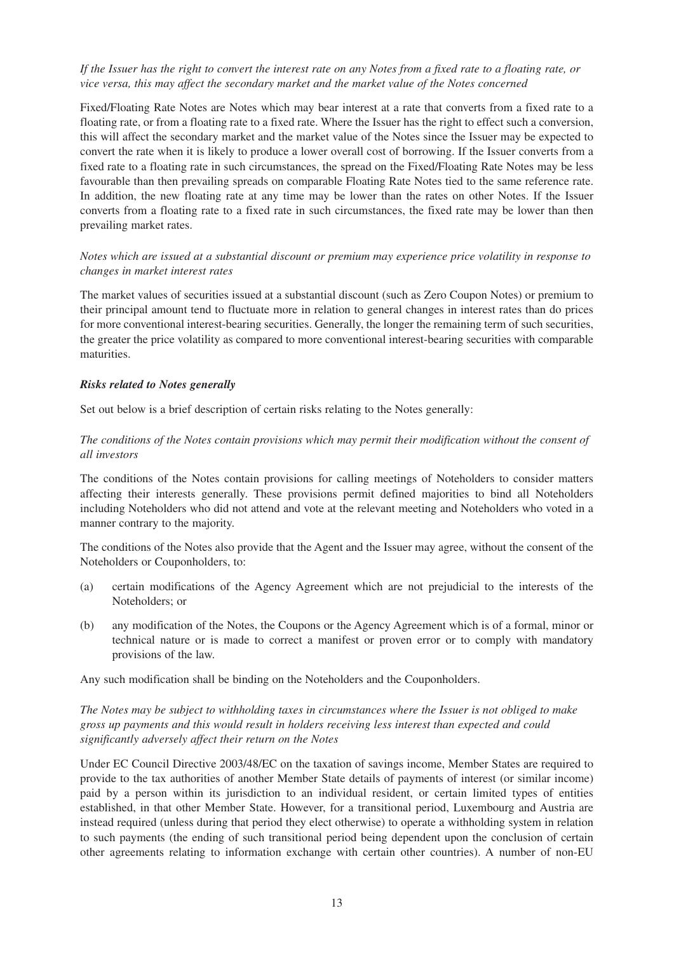# *If the Issuer has the right to convert the interest rate on any Notes from a fixed rate to a floating rate, or vice versa, this may affect the secondary market and the market value of the Notes concerned*

Fixed/Floating Rate Notes are Notes which may bear interest at a rate that converts from a fixed rate to a floating rate, or from a floating rate to a fixed rate. Where the Issuer has the right to effect such a conversion, this will affect the secondary market and the market value of the Notes since the Issuer may be expected to convert the rate when it is likely to produce a lower overall cost of borrowing. If the Issuer converts from a fixed rate to a floating rate in such circumstances, the spread on the Fixed/Floating Rate Notes may be less favourable than then prevailing spreads on comparable Floating Rate Notes tied to the same reference rate. In addition, the new floating rate at any time may be lower than the rates on other Notes. If the Issuer converts from a floating rate to a fixed rate in such circumstances, the fixed rate may be lower than then prevailing market rates.

# *Notes which are issued at a substantial discount or premium may experience price volatility in response to changes in market interest rates*

The market values of securities issued at a substantial discount (such as Zero Coupon Notes) or premium to their principal amount tend to fluctuate more in relation to general changes in interest rates than do prices for more conventional interest-bearing securities. Generally, the longer the remaining term of such securities, the greater the price volatility as compared to more conventional interest-bearing securities with comparable maturities.

### *Risks related to Notes generally*

Set out below is a brief description of certain risks relating to the Notes generally:

# *The conditions of the Notes contain provisions which may permit their modification without the consent of all investors*

The conditions of the Notes contain provisions for calling meetings of Noteholders to consider matters affecting their interests generally. These provisions permit defined majorities to bind all Noteholders including Noteholders who did not attend and vote at the relevant meeting and Noteholders who voted in a manner contrary to the majority.

The conditions of the Notes also provide that the Agent and the Issuer may agree, without the consent of the Noteholders or Couponholders, to:

- (a) certain modifications of the Agency Agreement which are not prejudicial to the interests of the Noteholders; or
- (b) any modification of the Notes, the Coupons or the Agency Agreement which is of a formal, minor or technical nature or is made to correct a manifest or proven error or to comply with mandatory provisions of the law.

Any such modification shall be binding on the Noteholders and the Couponholders.

# *The Notes may be subject to withholding taxes in circumstances where the Issuer is not obliged to make gross up payments and this would result in holders receiving less interest than expected and could significantly adversely affect their return on the Notes*

Under EC Council Directive 2003/48/EC on the taxation of savings income, Member States are required to provide to the tax authorities of another Member State details of payments of interest (or similar income) paid by a person within its jurisdiction to an individual resident, or certain limited types of entities established, in that other Member State. However, for a transitional period, Luxembourg and Austria are instead required (unless during that period they elect otherwise) to operate a withholding system in relation to such payments (the ending of such transitional period being dependent upon the conclusion of certain other agreements relating to information exchange with certain other countries). A number of non-EU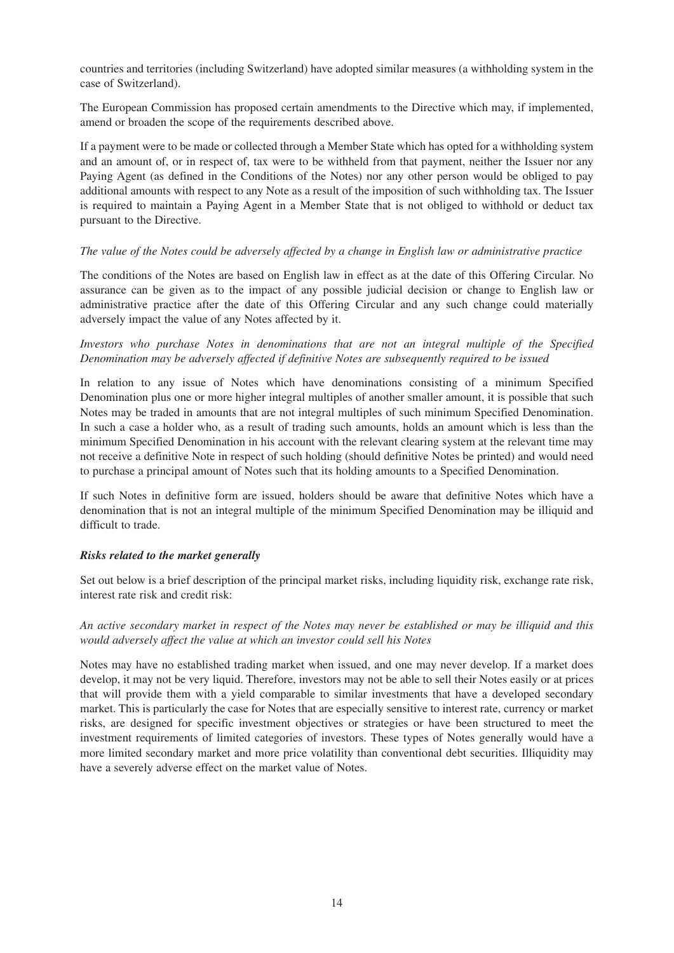countries and territories (including Switzerland) have adopted similar measures (a withholding system in the case of Switzerland).

The European Commission has proposed certain amendments to the Directive which may, if implemented, amend or broaden the scope of the requirements described above.

If a payment were to be made or collected through a Member State which has opted for a withholding system and an amount of, or in respect of, tax were to be withheld from that payment, neither the Issuer nor any Paying Agent (as defined in the Conditions of the Notes) nor any other person would be obliged to pay additional amounts with respect to any Note as a result of the imposition of such withholding tax. The Issuer is required to maintain a Paying Agent in a Member State that is not obliged to withhold or deduct tax pursuant to the Directive.

#### *The value of the Notes could be adversely affected by a change in English law or administrative practice*

The conditions of the Notes are based on English law in effect as at the date of this Offering Circular. No assurance can be given as to the impact of any possible judicial decision or change to English law or administrative practice after the date of this Offering Circular and any such change could materially adversely impact the value of any Notes affected by it.

## *Investors who purchase Notes in denominations that are not an integral multiple of the Specified Denomination may be adversely affected if definitive Notes are subsequently required to be issued*

In relation to any issue of Notes which have denominations consisting of a minimum Specified Denomination plus one or more higher integral multiples of another smaller amount, it is possible that such Notes may be traded in amounts that are not integral multiples of such minimum Specified Denomination. In such a case a holder who, as a result of trading such amounts, holds an amount which is less than the minimum Specified Denomination in his account with the relevant clearing system at the relevant time may not receive a definitive Note in respect of such holding (should definitive Notes be printed) and would need to purchase a principal amount of Notes such that its holding amounts to a Specified Denomination.

If such Notes in definitive form are issued, holders should be aware that definitive Notes which have a denomination that is not an integral multiple of the minimum Specified Denomination may be illiquid and difficult to trade.

### *Risks related to the market generally*

Set out below is a brief description of the principal market risks, including liquidity risk, exchange rate risk, interest rate risk and credit risk:

### *An active secondary market in respect of the Notes may never be established or may be illiquid and this would adversely affect the value at which an investor could sell his Notes*

Notes may have no established trading market when issued, and one may never develop. If a market does develop, it may not be very liquid. Therefore, investors may not be able to sell their Notes easily or at prices that will provide them with a yield comparable to similar investments that have a developed secondary market. This is particularly the case for Notes that are especially sensitive to interest rate, currency or market risks, are designed for specific investment objectives or strategies or have been structured to meet the investment requirements of limited categories of investors. These types of Notes generally would have a more limited secondary market and more price volatility than conventional debt securities. Illiquidity may have a severely adverse effect on the market value of Notes.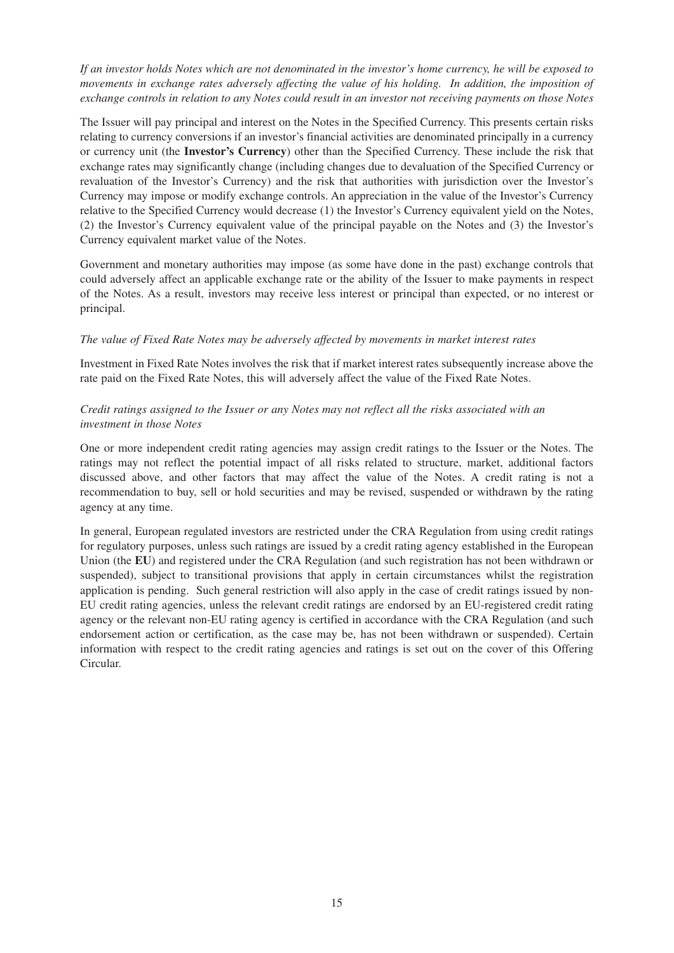*If an investor holds Notes which are not denominated in the investor's home currency, he will be exposed to movements in exchange rates adversely affecting the value of his holding. In addition, the imposition of exchange controls in relation to any Notes could result in an investor not receiving payments on those Notes*

The Issuer will pay principal and interest on the Notes in the Specified Currency. This presents certain risks relating to currency conversions if an investor's financial activities are denominated principally in a currency or currency unit (the **Investor's Currency**) other than the Specified Currency. These include the risk that exchange rates may significantly change (including changes due to devaluation of the Specified Currency or revaluation of the Investor's Currency) and the risk that authorities with jurisdiction over the Investor's Currency may impose or modify exchange controls. An appreciation in the value of the Investor's Currency relative to the Specified Currency would decrease (1) the Investor's Currency equivalent yield on the Notes, (2) the Investor's Currency equivalent value of the principal payable on the Notes and (3) the Investor's Currency equivalent market value of the Notes.

Government and monetary authorities may impose (as some have done in the past) exchange controls that could adversely affect an applicable exchange rate or the ability of the Issuer to make payments in respect of the Notes. As a result, investors may receive less interest or principal than expected, or no interest or principal.

### *The value of Fixed Rate Notes may be adversely affected by movements in market interest rates*

Investment in Fixed Rate Notes involves the risk that if market interest rates subsequently increase above the rate paid on the Fixed Rate Notes, this will adversely affect the value of the Fixed Rate Notes.

### *Credit ratings assigned to the Issuer or any Notes may not reflect all the risks associated with an investment in those Notes*

One or more independent credit rating agencies may assign credit ratings to the Issuer or the Notes. The ratings may not reflect the potential impact of all risks related to structure, market, additional factors discussed above, and other factors that may affect the value of the Notes. A credit rating is not a recommendation to buy, sell or hold securities and may be revised, suspended or withdrawn by the rating agency at any time.

In general, European regulated investors are restricted under the CRA Regulation from using credit ratings for regulatory purposes, unless such ratings are issued by a credit rating agency established in the European Union (the **EU**) and registered under the CRA Regulation (and such registration has not been withdrawn or suspended), subject to transitional provisions that apply in certain circumstances whilst the registration application is pending. Such general restriction will also apply in the case of credit ratings issued by non-EU credit rating agencies, unless the relevant credit ratings are endorsed by an EU-registered credit rating agency or the relevant non-EU rating agency is certified in accordance with the CRA Regulation (and such endorsement action or certification, as the case may be, has not been withdrawn or suspended). Certain information with respect to the credit rating agencies and ratings is set out on the cover of this Offering Circular.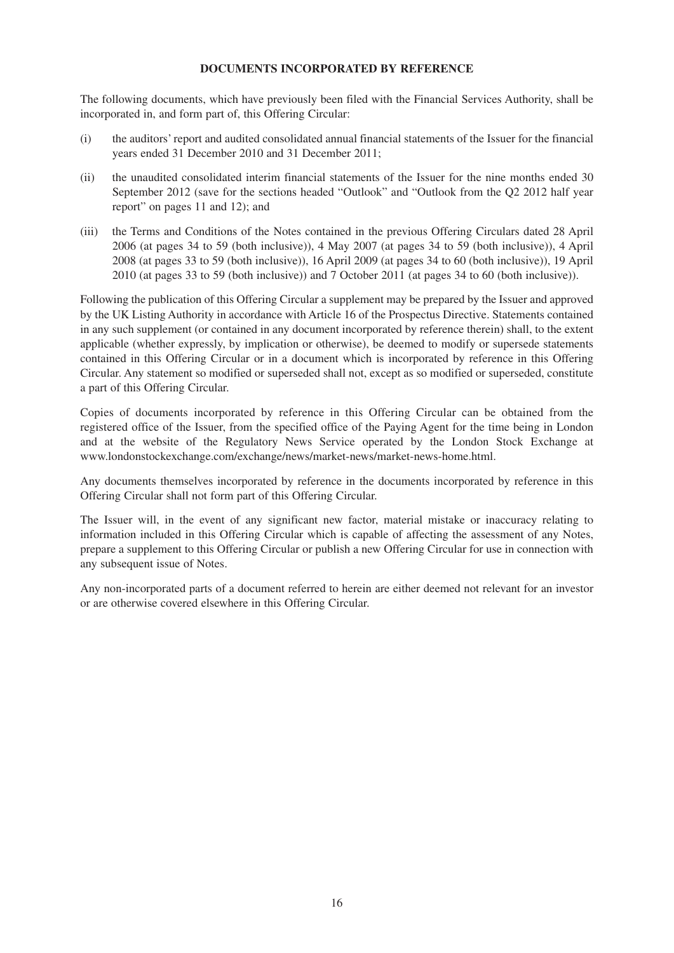#### **DOCUMENTS INCORPORATED BY REFERENCE**

The following documents, which have previously been filed with the Financial Services Authority, shall be incorporated in, and form part of, this Offering Circular:

- (i) the auditors' report and audited consolidated annual financial statements of the Issuer for the financial years ended 31 December 2010 and 31 December 2011;
- (ii) the unaudited consolidated interim financial statements of the Issuer for the nine months ended 30 September 2012 (save for the sections headed "Outlook" and "Outlook from the Q2 2012 half year report" on pages 11 and 12); and
- (iii) the Terms and Conditions of the Notes contained in the previous Offering Circulars dated 28 April 2006 (at pages 34 to 59 (both inclusive)), 4 May 2007 (at pages 34 to 59 (both inclusive)), 4 April 2008 (at pages 33 to 59 (both inclusive)), 16 April 2009 (at pages 34 to 60 (both inclusive)), 19 April 2010 (at pages 33 to 59 (both inclusive)) and 7 October 2011 (at pages 34 to 60 (both inclusive)).

Following the publication of this Offering Circular a supplement may be prepared by the Issuer and approved by the UK Listing Authority in accordance with Article 16 of the Prospectus Directive. Statements contained in any such supplement (or contained in any document incorporated by reference therein) shall, to the extent applicable (whether expressly, by implication or otherwise), be deemed to modify or supersede statements contained in this Offering Circular or in a document which is incorporated by reference in this Offering Circular. Any statement so modified or superseded shall not, except as so modified or superseded, constitute a part of this Offering Circular.

Copies of documents incorporated by reference in this Offering Circular can be obtained from the registered office of the Issuer, from the specified office of the Paying Agent for the time being in London and at the website of the Regulatory News Service operated by the London Stock Exchange at www.londonstockexchange.com/exchange/news/market-news/market-news-home.html.

Any documents themselves incorporated by reference in the documents incorporated by reference in this Offering Circular shall not form part of this Offering Circular.

The Issuer will, in the event of any significant new factor, material mistake or inaccuracy relating to information included in this Offering Circular which is capable of affecting the assessment of any Notes, prepare a supplement to this Offering Circular or publish a new Offering Circular for use in connection with any subsequent issue of Notes.

Any non-incorporated parts of a document referred to herein are either deemed not relevant for an investor or are otherwise covered elsewhere in this Offering Circular.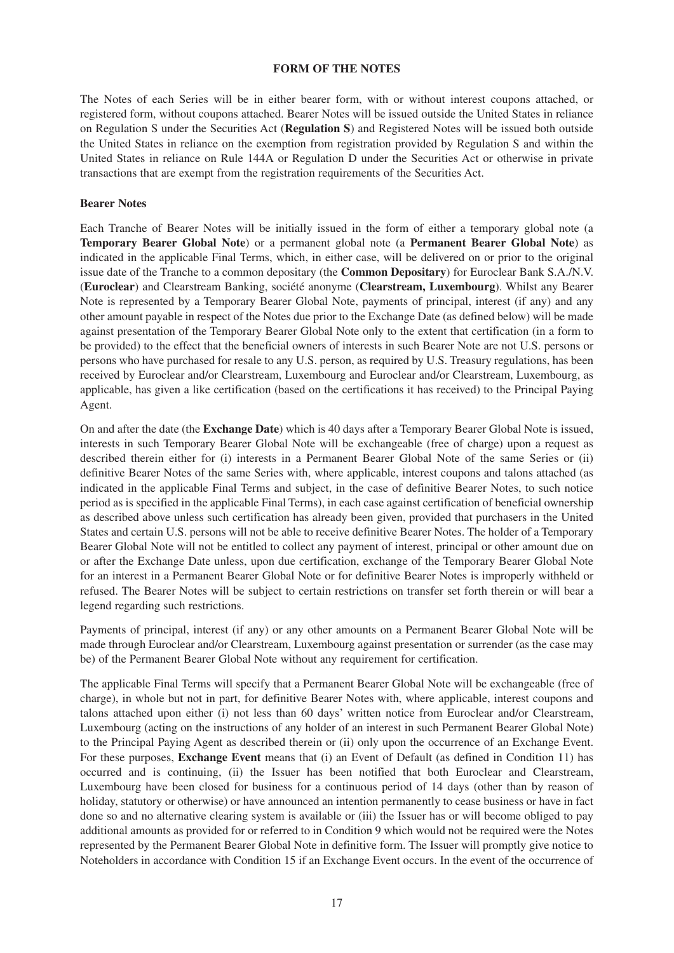#### **FORM OF THE NOTES**

The Notes of each Series will be in either bearer form, with or without interest coupons attached, or registered form, without coupons attached. Bearer Notes will be issued outside the United States in reliance on Regulation S under the Securities Act (**Regulation S**) and Registered Notes will be issued both outside the United States in reliance on the exemption from registration provided by Regulation S and within the United States in reliance on Rule 144A or Regulation D under the Securities Act or otherwise in private transactions that are exempt from the registration requirements of the Securities Act.

#### **Bearer Notes**

Each Tranche of Bearer Notes will be initially issued in the form of either a temporary global note (a **Temporary Bearer Global Note**) or a permanent global note (a **Permanent Bearer Global Note**) as indicated in the applicable Final Terms, which, in either case, will be delivered on or prior to the original issue date of the Tranche to a common depositary (the **Common Depositary**) for Euroclear Bank S.A./N.V. (**Euroclear**) and Clearstream Banking, société anonyme (**Clearstream, Luxembourg**). Whilst any Bearer Note is represented by a Temporary Bearer Global Note, payments of principal, interest (if any) and any other amount payable in respect of the Notes due prior to the Exchange Date (as defined below) will be made against presentation of the Temporary Bearer Global Note only to the extent that certification (in a form to be provided) to the effect that the beneficial owners of interests in such Bearer Note are not U.S. persons or persons who have purchased for resale to any U.S. person, as required by U.S. Treasury regulations, has been received by Euroclear and/or Clearstream, Luxembourg and Euroclear and/or Clearstream, Luxembourg, as applicable, has given a like certification (based on the certifications it has received) to the Principal Paying Agent.

On and after the date (the **Exchange Date**) which is 40 days after a Temporary Bearer Global Note is issued, interests in such Temporary Bearer Global Note will be exchangeable (free of charge) upon a request as described therein either for (i) interests in a Permanent Bearer Global Note of the same Series or (ii) definitive Bearer Notes of the same Series with, where applicable, interest coupons and talons attached (as indicated in the applicable Final Terms and subject, in the case of definitive Bearer Notes, to such notice period as is specified in the applicable Final Terms), in each case against certification of beneficial ownership as described above unless such certification has already been given, provided that purchasers in the United States and certain U.S. persons will not be able to receive definitive Bearer Notes. The holder of a Temporary Bearer Global Note will not be entitled to collect any payment of interest, principal or other amount due on or after the Exchange Date unless, upon due certification, exchange of the Temporary Bearer Global Note for an interest in a Permanent Bearer Global Note or for definitive Bearer Notes is improperly withheld or refused. The Bearer Notes will be subject to certain restrictions on transfer set forth therein or will bear a legend regarding such restrictions.

Payments of principal, interest (if any) or any other amounts on a Permanent Bearer Global Note will be made through Euroclear and/or Clearstream, Luxembourg against presentation or surrender (as the case may be) of the Permanent Bearer Global Note without any requirement for certification.

The applicable Final Terms will specify that a Permanent Bearer Global Note will be exchangeable (free of charge), in whole but not in part, for definitive Bearer Notes with, where applicable, interest coupons and talons attached upon either (i) not less than 60 days' written notice from Euroclear and/or Clearstream, Luxembourg (acting on the instructions of any holder of an interest in such Permanent Bearer Global Note) to the Principal Paying Agent as described therein or (ii) only upon the occurrence of an Exchange Event. For these purposes, **Exchange Event** means that (i) an Event of Default (as defined in Condition 11) has occurred and is continuing, (ii) the Issuer has been notified that both Euroclear and Clearstream, Luxembourg have been closed for business for a continuous period of 14 days (other than by reason of holiday, statutory or otherwise) or have announced an intention permanently to cease business or have in fact done so and no alternative clearing system is available or (iii) the Issuer has or will become obliged to pay additional amounts as provided for or referred to in Condition 9 which would not be required were the Notes represented by the Permanent Bearer Global Note in definitive form. The Issuer will promptly give notice to Noteholders in accordance with Condition 15 if an Exchange Event occurs. In the event of the occurrence of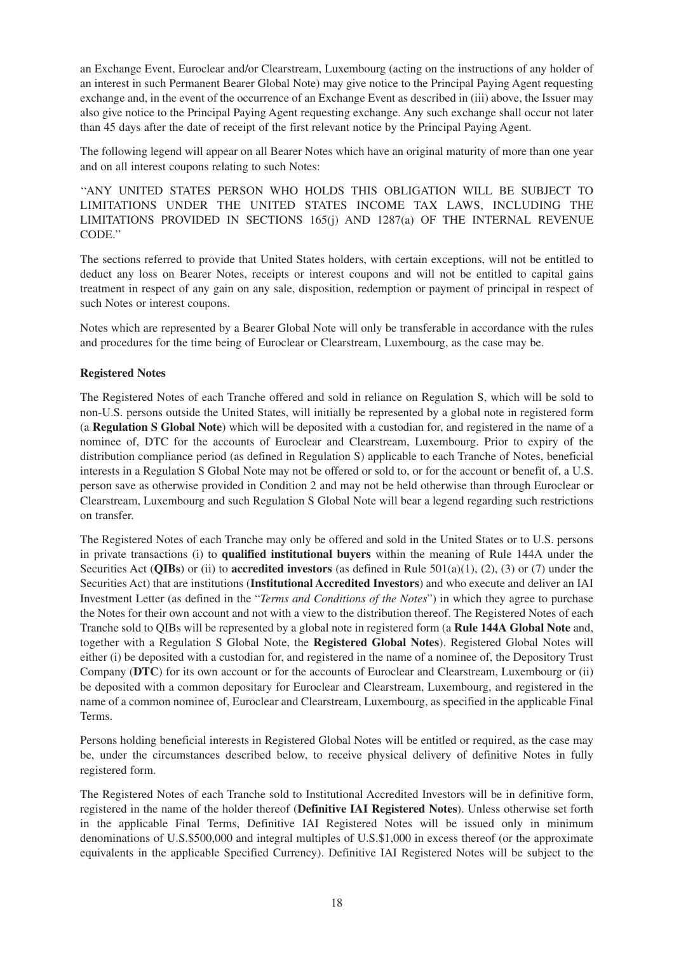an Exchange Event, Euroclear and/or Clearstream, Luxembourg (acting on the instructions of any holder of an interest in such Permanent Bearer Global Note) may give notice to the Principal Paying Agent requesting exchange and, in the event of the occurrence of an Exchange Event as described in (iii) above, the Issuer may also give notice to the Principal Paying Agent requesting exchange. Any such exchange shall occur not later than 45 days after the date of receipt of the first relevant notice by the Principal Paying Agent.

The following legend will appear on all Bearer Notes which have an original maturity of more than one year and on all interest coupons relating to such Notes:

''ANY UNITED STATES PERSON WHO HOLDS THIS OBLIGATION WILL BE SUBJECT TO LIMITATIONS UNDER THE UNITED STATES INCOME TAX LAWS, INCLUDING THE LIMITATIONS PROVIDED IN SECTIONS 165(j) AND 1287(a) OF THE INTERNAL REVENUE CODE.''

The sections referred to provide that United States holders, with certain exceptions, will not be entitled to deduct any loss on Bearer Notes, receipts or interest coupons and will not be entitled to capital gains treatment in respect of any gain on any sale, disposition, redemption or payment of principal in respect of such Notes or interest coupons.

Notes which are represented by a Bearer Global Note will only be transferable in accordance with the rules and procedures for the time being of Euroclear or Clearstream, Luxembourg, as the case may be.

### **Registered Notes**

The Registered Notes of each Tranche offered and sold in reliance on Regulation S, which will be sold to non-U.S. persons outside the United States, will initially be represented by a global note in registered form (a **Regulation S Global Note**) which will be deposited with a custodian for, and registered in the name of a nominee of, DTC for the accounts of Euroclear and Clearstream, Luxembourg. Prior to expiry of the distribution compliance period (as defined in Regulation S) applicable to each Tranche of Notes, beneficial interests in a Regulation S Global Note may not be offered or sold to, or for the account or benefit of, a U.S. person save as otherwise provided in Condition 2 and may not be held otherwise than through Euroclear or Clearstream, Luxembourg and such Regulation S Global Note will bear a legend regarding such restrictions on transfer.

The Registered Notes of each Tranche may only be offered and sold in the United States or to U.S. persons in private transactions (i) to **qualified institutional buyers** within the meaning of Rule 144A under the Securities Act (**QIBs**) or (ii) to **accredited investors** (as defined in Rule 501(a)(1), (2), (3) or (7) under the Securities Act) that are institutions (**Institutional Accredited Investors**) and who execute and deliver an IAI Investment Letter (as defined in the "*Terms and Conditions of the Notes*") in which they agree to purchase the Notes for their own account and not with a view to the distribution thereof. The Registered Notes of each Tranche sold to QIBs will be represented by a global note in registered form (a **Rule 144A Global Note** and, together with a Regulation S Global Note, the **Registered Global Notes**). Registered Global Notes will either (i) be deposited with a custodian for, and registered in the name of a nominee of, the Depository Trust Company (**DTC**) for its own account or for the accounts of Euroclear and Clearstream, Luxembourg or (ii) be deposited with a common depositary for Euroclear and Clearstream, Luxembourg, and registered in the name of a common nominee of, Euroclear and Clearstream, Luxembourg, as specified in the applicable Final Terms.

Persons holding beneficial interests in Registered Global Notes will be entitled or required, as the case may be, under the circumstances described below, to receive physical delivery of definitive Notes in fully registered form.

The Registered Notes of each Tranche sold to Institutional Accredited Investors will be in definitive form, registered in the name of the holder thereof (**Definitive IAI Registered Notes**). Unless otherwise set forth in the applicable Final Terms, Definitive IAI Registered Notes will be issued only in minimum denominations of U.S.\$500,000 and integral multiples of U.S.\$1,000 in excess thereof (or the approximate equivalents in the applicable Specified Currency). Definitive IAI Registered Notes will be subject to the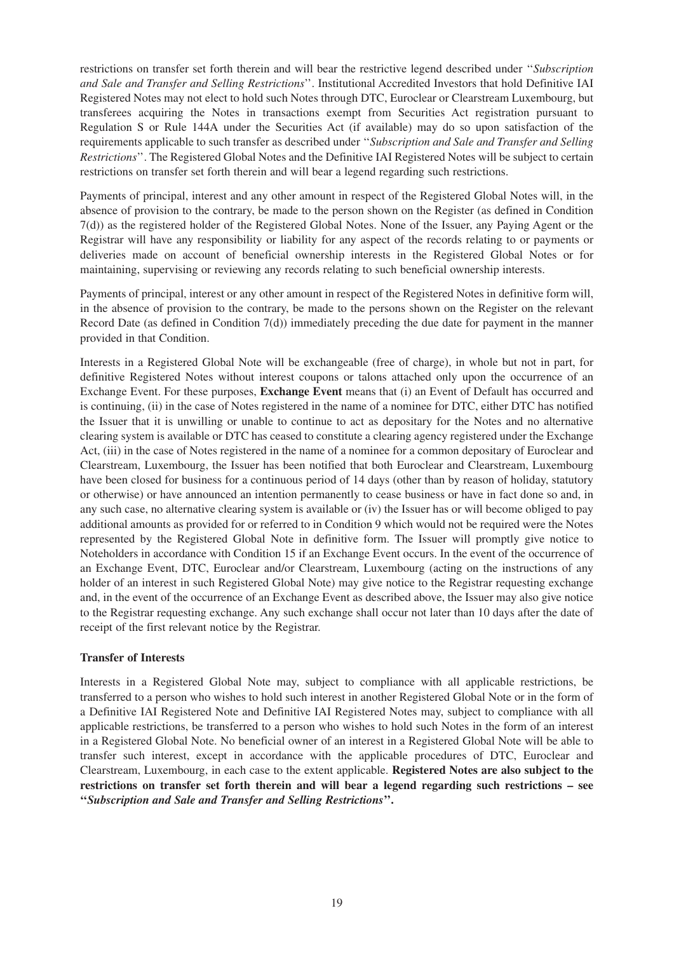restrictions on transfer set forth therein and will bear the restrictive legend described under ''*Subscription and Sale and Transfer and Selling Restrictions*''. Institutional Accredited Investors that hold Definitive IAI Registered Notes may not elect to hold such Notes through DTC, Euroclear or Clearstream Luxembourg, but transferees acquiring the Notes in transactions exempt from Securities Act registration pursuant to Regulation S or Rule 144A under the Securities Act (if available) may do so upon satisfaction of the requirements applicable to such transfer as described under ''*Subscription and Sale and Transfer and Selling Restrictions*''. The Registered Global Notes and the Definitive IAI Registered Notes will be subject to certain restrictions on transfer set forth therein and will bear a legend regarding such restrictions.

Payments of principal, interest and any other amount in respect of the Registered Global Notes will, in the absence of provision to the contrary, be made to the person shown on the Register (as defined in Condition 7(d)) as the registered holder of the Registered Global Notes. None of the Issuer, any Paying Agent or the Registrar will have any responsibility or liability for any aspect of the records relating to or payments or deliveries made on account of beneficial ownership interests in the Registered Global Notes or for maintaining, supervising or reviewing any records relating to such beneficial ownership interests.

Payments of principal, interest or any other amount in respect of the Registered Notes in definitive form will, in the absence of provision to the contrary, be made to the persons shown on the Register on the relevant Record Date (as defined in Condition  $7(d)$ ) immediately preceding the due date for payment in the manner provided in that Condition.

Interests in a Registered Global Note will be exchangeable (free of charge), in whole but not in part, for definitive Registered Notes without interest coupons or talons attached only upon the occurrence of an Exchange Event. For these purposes, **Exchange Event** means that (i) an Event of Default has occurred and is continuing, (ii) in the case of Notes registered in the name of a nominee for DTC, either DTC has notified the Issuer that it is unwilling or unable to continue to act as depositary for the Notes and no alternative clearing system is available or DTC has ceased to constitute a clearing agency registered under the Exchange Act, (iii) in the case of Notes registered in the name of a nominee for a common depositary of Euroclear and Clearstream, Luxembourg, the Issuer has been notified that both Euroclear and Clearstream, Luxembourg have been closed for business for a continuous period of 14 days (other than by reason of holiday, statutory or otherwise) or have announced an intention permanently to cease business or have in fact done so and, in any such case, no alternative clearing system is available or (iv) the Issuer has or will become obliged to pay additional amounts as provided for or referred to in Condition 9 which would not be required were the Notes represented by the Registered Global Note in definitive form. The Issuer will promptly give notice to Noteholders in accordance with Condition 15 if an Exchange Event occurs. In the event of the occurrence of an Exchange Event, DTC, Euroclear and/or Clearstream, Luxembourg (acting on the instructions of any holder of an interest in such Registered Global Note) may give notice to the Registrar requesting exchange and, in the event of the occurrence of an Exchange Event as described above, the Issuer may also give notice to the Registrar requesting exchange. Any such exchange shall occur not later than 10 days after the date of receipt of the first relevant notice by the Registrar.

### **Transfer of Interests**

Interests in a Registered Global Note may, subject to compliance with all applicable restrictions, be transferred to a person who wishes to hold such interest in another Registered Global Note or in the form of a Definitive IAI Registered Note and Definitive IAI Registered Notes may, subject to compliance with all applicable restrictions, be transferred to a person who wishes to hold such Notes in the form of an interest in a Registered Global Note. No beneficial owner of an interest in a Registered Global Note will be able to transfer such interest, except in accordance with the applicable procedures of DTC, Euroclear and Clearstream, Luxembourg, in each case to the extent applicable. **Registered Notes are also subject to the restrictions on transfer set forth therein and will bear a legend regarding such restrictions – see ''***Subscription and Sale and Transfer and Selling Restrictions***''.**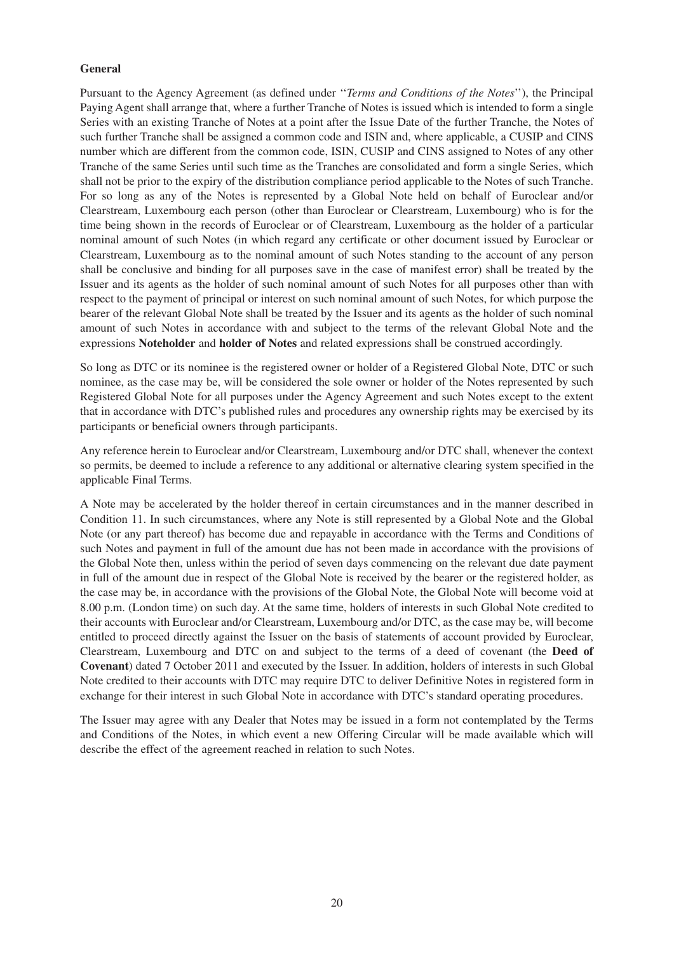#### **General**

Pursuant to the Agency Agreement (as defined under ''*Terms and Conditions of the Notes*''), the Principal Paying Agent shall arrange that, where a further Tranche of Notes is issued which is intended to form a single Series with an existing Tranche of Notes at a point after the Issue Date of the further Tranche, the Notes of such further Tranche shall be assigned a common code and ISIN and, where applicable, a CUSIP and CINS number which are different from the common code, ISIN, CUSIP and CINS assigned to Notes of any other Tranche of the same Series until such time as the Tranches are consolidated and form a single Series, which shall not be prior to the expiry of the distribution compliance period applicable to the Notes of such Tranche. For so long as any of the Notes is represented by a Global Note held on behalf of Euroclear and/or Clearstream, Luxembourg each person (other than Euroclear or Clearstream, Luxembourg) who is for the time being shown in the records of Euroclear or of Clearstream, Luxembourg as the holder of a particular nominal amount of such Notes (in which regard any certificate or other document issued by Euroclear or Clearstream, Luxembourg as to the nominal amount of such Notes standing to the account of any person shall be conclusive and binding for all purposes save in the case of manifest error) shall be treated by the Issuer and its agents as the holder of such nominal amount of such Notes for all purposes other than with respect to the payment of principal or interest on such nominal amount of such Notes, for which purpose the bearer of the relevant Global Note shall be treated by the Issuer and its agents as the holder of such nominal amount of such Notes in accordance with and subject to the terms of the relevant Global Note and the expressions **Noteholder** and **holder of Notes** and related expressions shall be construed accordingly.

So long as DTC or its nominee is the registered owner or holder of a Registered Global Note, DTC or such nominee, as the case may be, will be considered the sole owner or holder of the Notes represented by such Registered Global Note for all purposes under the Agency Agreement and such Notes except to the extent that in accordance with DTC's published rules and procedures any ownership rights may be exercised by its participants or beneficial owners through participants.

Any reference herein to Euroclear and/or Clearstream, Luxembourg and/or DTC shall, whenever the context so permits, be deemed to include a reference to any additional or alternative clearing system specified in the applicable Final Terms.

A Note may be accelerated by the holder thereof in certain circumstances and in the manner described in Condition 11. In such circumstances, where any Note is still represented by a Global Note and the Global Note (or any part thereof) has become due and repayable in accordance with the Terms and Conditions of such Notes and payment in full of the amount due has not been made in accordance with the provisions of the Global Note then, unless within the period of seven days commencing on the relevant due date payment in full of the amount due in respect of the Global Note is received by the bearer or the registered holder, as the case may be, in accordance with the provisions of the Global Note, the Global Note will become void at 8.00 p.m. (London time) on such day. At the same time, holders of interests in such Global Note credited to their accounts with Euroclear and/or Clearstream, Luxembourg and/or DTC, as the case may be, will become entitled to proceed directly against the Issuer on the basis of statements of account provided by Euroclear, Clearstream, Luxembourg and DTC on and subject to the terms of a deed of covenant (the **Deed of Covenant**) dated 7 October 2011 and executed by the Issuer. In addition, holders of interests in such Global Note credited to their accounts with DTC may require DTC to deliver Definitive Notes in registered form in exchange for their interest in such Global Note in accordance with DTC's standard operating procedures.

The Issuer may agree with any Dealer that Notes may be issued in a form not contemplated by the Terms and Conditions of the Notes, in which event a new Offering Circular will be made available which will describe the effect of the agreement reached in relation to such Notes.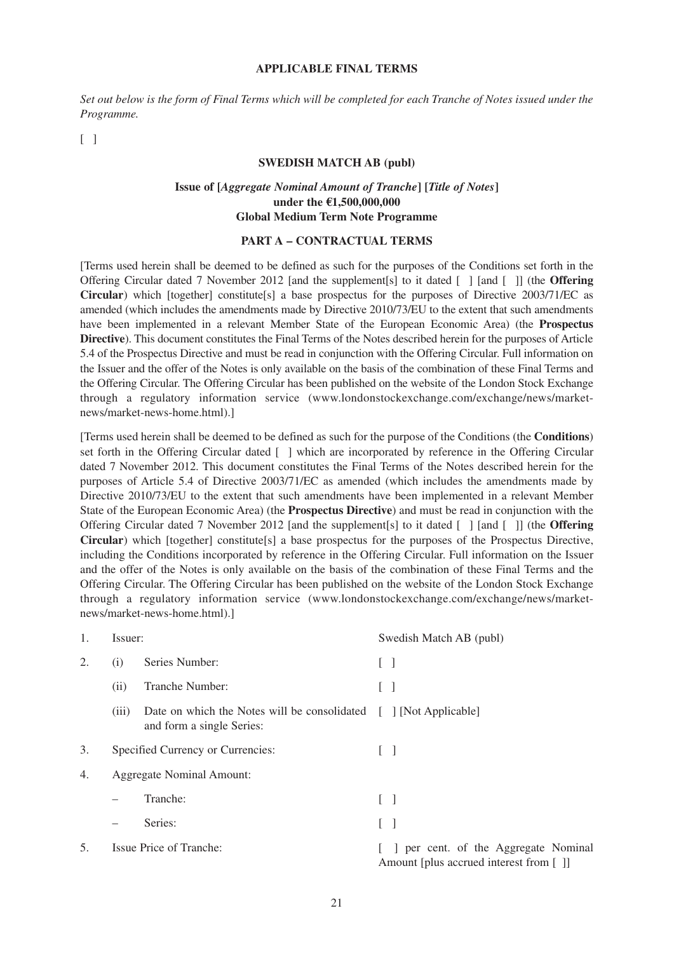#### **APPLICABLE FINAL TERMS**

*Set out below is the form of Final Terms which will be completed for each Tranche of Notes issued under the Programme.*

 $\lceil \rceil$ 

#### **SWEDISH MATCH AB (publ)**

#### **Issue of [***Aggregate Nominal Amount of Tranche***] [***Title of Notes***] under the €1,500,000,000 Global Medium Term Note Programme**

#### **PART A – CONTRACTUAL TERMS**

[Terms used herein shall be deemed to be defined as such for the purposes of the Conditions set forth in the Offering Circular dated 7 November 2012 [and the supplement[s] to it dated [ ] [and [ ]] (the **Offering Circular**) which [together] constitute[s] a base prospectus for the purposes of Directive 2003/71/EC as amended (which includes the amendments made by Directive 2010/73/EU to the extent that such amendments have been implemented in a relevant Member State of the European Economic Area) (the **Prospectus Directive**). This document constitutes the Final Terms of the Notes described herein for the purposes of Article 5.4 of the Prospectus Directive and must be read in conjunction with the Offering Circular. Full information on the Issuer and the offer of the Notes is only available on the basis of the combination of these Final Terms and the Offering Circular. The Offering Circular has been published on the website of the London Stock Exchange through a regulatory information service (www.londonstockexchange.com/exchange/news/marketnews/market-news-home.html).]

[Terms used herein shall be deemed to be defined as such for the purpose of the Conditions (the **Conditions**) set forth in the Offering Circular dated [ ] which are incorporated by reference in the Offering Circular dated 7 November 2012. This document constitutes the Final Terms of the Notes described herein for the purposes of Article 5.4 of Directive 2003/71/EC as amended (which includes the amendments made by Directive 2010/73/EU to the extent that such amendments have been implemented in a relevant Member State of the European Economic Area) (the **Prospectus Directive**) and must be read in conjunction with the Offering Circular dated 7 November 2012 [and the supplement[s] to it dated [ ] [and [ ]] (the **Offering Circular**) which [together] constitute[s] a base prospectus for the purposes of the Prospectus Directive, including the Conditions incorporated by reference in the Offering Circular. Full information on the Issuer and the offer of the Notes is only available on the basis of the combination of these Final Terms and the Offering Circular. The Offering Circular has been published on the website of the London Stock Exchange through a regulatory information service (www.londonstockexchange.com/exchange/news/marketnews/market-news-home.html).]

| 1.  | Issuer: |                                                                                                | Swedish Match AB (publ)                                                      |  |  |  |
|-----|---------|------------------------------------------------------------------------------------------------|------------------------------------------------------------------------------|--|--|--|
| 2.  | (i)     | Series Number:                                                                                 | $[\,\,\,]$                                                                   |  |  |  |
|     | (ii)    | Tranche Number:                                                                                | $\Box$                                                                       |  |  |  |
|     | (iii)   | Date on which the Notes will be consolidated [ ] [Not Applicable]<br>and form a single Series: |                                                                              |  |  |  |
| 3.  |         | Specified Currency or Currencies:                                                              |                                                                              |  |  |  |
| 4.  |         | <b>Aggregate Nominal Amount:</b>                                                               |                                                                              |  |  |  |
|     |         | Tranche:                                                                                       | $\vert \ \ \vert$                                                            |  |  |  |
|     |         | Series:                                                                                        | $\lceil$ 1                                                                   |  |  |  |
| .5. |         | Issue Price of Tranche:                                                                        | per cent. of the Aggregate Nominal<br>Amount [plus accrued interest from [1] |  |  |  |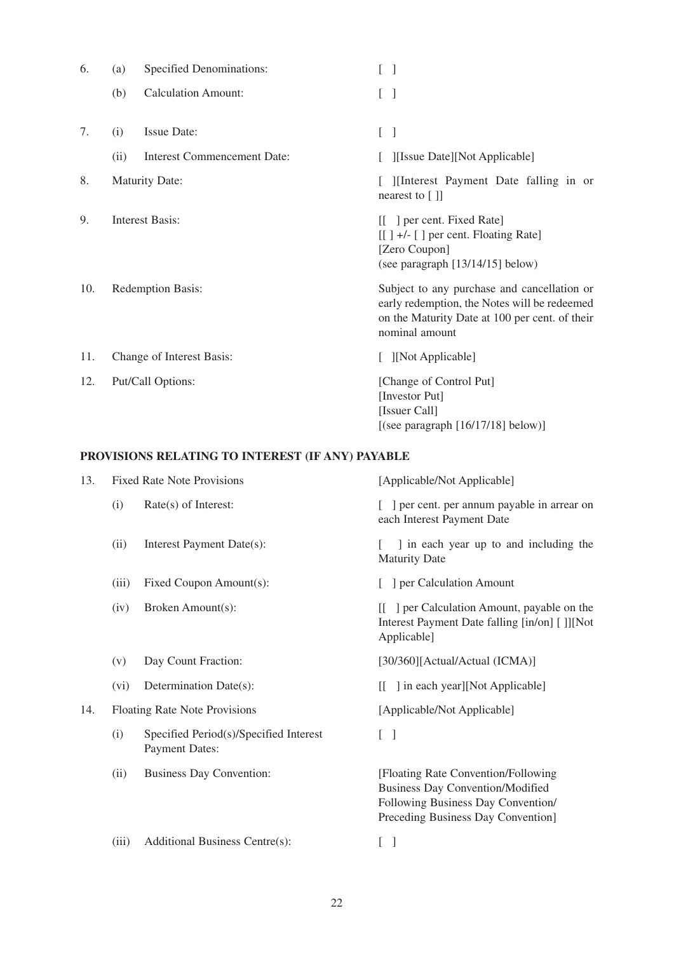| 6.  | (a)  | <b>Specified Denominations:</b>    | L<br>$\overline{\phantom{a}}$                                                                                                                                   |  |  |
|-----|------|------------------------------------|-----------------------------------------------------------------------------------------------------------------------------------------------------------------|--|--|
|     | (b)  | <b>Calculation Amount:</b>         | L<br>$\mathbf{I}$                                                                                                                                               |  |  |
| 7.  | (i)  | <b>Issue Date:</b>                 | L<br>$\mathbf{I}$                                                                                                                                               |  |  |
|     | (ii) | <b>Interest Commencement Date:</b> | [Issue Date][Not Applicable]                                                                                                                                    |  |  |
| 8.  |      | <b>Maturity Date:</b>              | [ ][Interest Payment Date falling in or<br>nearest to [ ]]                                                                                                      |  |  |
| 9.  |      | <b>Interest Basis:</b>             | [[ ] per cent. Fixed Rate]<br>$[[]$ +/- $[]$ per cent. Floating Rate]<br>[Zero Coupon]<br>(see paragraph [13/14/15] below)                                      |  |  |
| 10. |      | Redemption Basis:                  | Subject to any purchase and cancellation or<br>early redemption, the Notes will be redeemed<br>on the Maturity Date at 100 per cent. of their<br>nominal amount |  |  |
| 11. |      | Change of Interest Basis:          | [ ][Not Applicable]                                                                                                                                             |  |  |
| 12. |      | Put/Call Options:                  | [Change of Control Put]<br>[Investor Put]<br>[Issuer Call]<br>[(see paragraph $[16/17/18]$ below)]                                                              |  |  |

# **PROVISIONS RELATING TO INTEREST (IF ANY) PAYABLE**

| 13. |       | <b>Fixed Rate Note Provisions</b>                               | [Applicable/Not Applicable]                                                                                                                                 |
|-----|-------|-----------------------------------------------------------------|-------------------------------------------------------------------------------------------------------------------------------------------------------------|
|     | (i)   | Rate(s) of Interest:                                            | ] per cent. per annum payable in arrear on<br>each Interest Payment Date                                                                                    |
|     | (ii)  | Interest Payment Date(s):                                       | I in each year up to and including the<br><b>Maturity Date</b>                                                                                              |
|     | (iii) | Fixed Coupon Amount(s):                                         | ] per Calculation Amount                                                                                                                                    |
|     | (iv)  | Broken Amount(s):                                               | [[ ] per Calculation Amount, payable on the<br>Interest Payment Date falling [in/on] []][Not<br>Applicable]                                                 |
|     | (v)   | Day Count Fraction:                                             | [30/360][Actual/Actual (ICMA)]                                                                                                                              |
|     | (vi)  | Determination Date(s):                                          | ] in each year][Not Applicable]<br>ſΓ                                                                                                                       |
| 14. |       | Floating Rate Note Provisions                                   | [Applicable/Not Applicable]                                                                                                                                 |
|     | (i)   | Specified Period(s)/Specified Interest<br><b>Payment Dates:</b> | L<br>$\mathbf{I}$                                                                                                                                           |
|     | (ii)  | <b>Business Day Convention:</b>                                 | [Floating Rate Convention/Following]<br><b>Business Day Convention/Modified</b><br>Following Business Day Convention/<br>Preceding Business Day Convention] |
|     | (iii) | Additional Business Centre(s):                                  | L<br>$\mathbf{I}$                                                                                                                                           |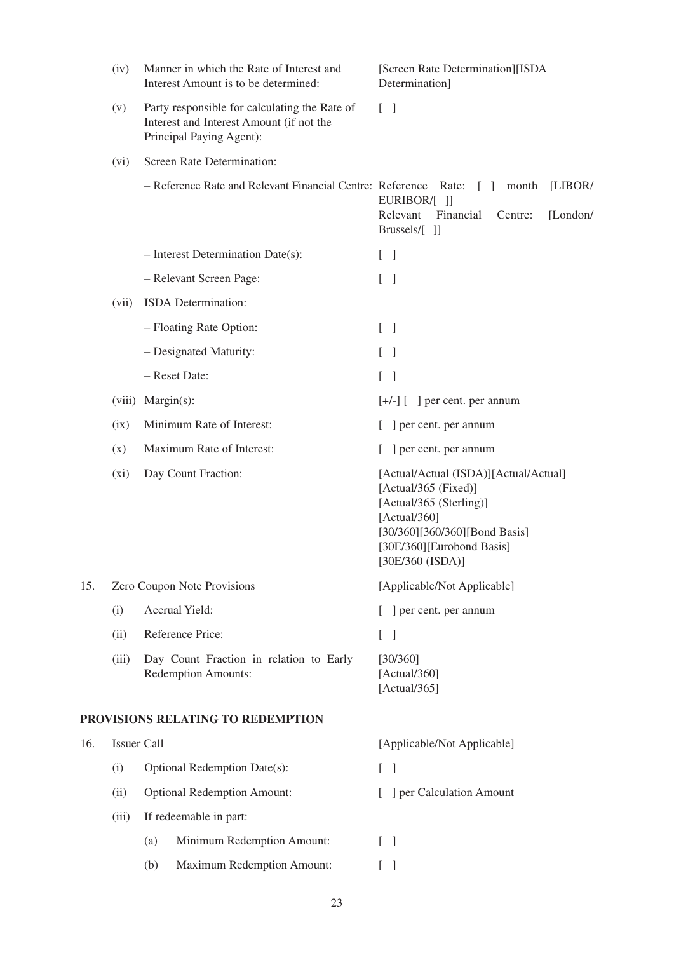|     | (iv)               | Manner in which the Rate of Interest and<br>Interest Amount is to be determined: |                                                                                                                       | [Screen Rate Determination][ISDA<br>Determination]                                                                                                                                         |  |  |  |
|-----|--------------------|----------------------------------------------------------------------------------|-----------------------------------------------------------------------------------------------------------------------|--------------------------------------------------------------------------------------------------------------------------------------------------------------------------------------------|--|--|--|
|     | (v)                |                                                                                  | Party responsible for calculating the Rate of<br>Interest and Interest Amount (if not the<br>Principal Paying Agent): | $\lceil \; \rceil$                                                                                                                                                                         |  |  |  |
|     | (vi)               |                                                                                  | Screen Rate Determination:                                                                                            |                                                                                                                                                                                            |  |  |  |
|     |                    |                                                                                  | - Reference Rate and Relevant Financial Centre: Reference Rate:                                                       | month<br>[LIBOR/<br>L<br>-1<br>EURIBOR/[ ]]<br>Relevant<br>Financial<br>[London/<br>Centre:<br>Brussels/[ ]]                                                                               |  |  |  |
|     |                    |                                                                                  | $-$ Interest Determination Date(s):                                                                                   | L<br>$\lceil$                                                                                                                                                                              |  |  |  |
|     |                    |                                                                                  | - Relevant Screen Page:                                                                                               | L<br>$\lceil$                                                                                                                                                                              |  |  |  |
|     | (vii)              |                                                                                  | ISDA Determination:                                                                                                   |                                                                                                                                                                                            |  |  |  |
|     |                    |                                                                                  | - Floating Rate Option:                                                                                               | $\begin{bmatrix} 1 \end{bmatrix}$                                                                                                                                                          |  |  |  |
|     |                    |                                                                                  | - Designated Maturity:                                                                                                | $\overline{\phantom{a}}$                                                                                                                                                                   |  |  |  |
|     |                    |                                                                                  | - Reset Date:                                                                                                         | L<br>1                                                                                                                                                                                     |  |  |  |
|     | (viii)             | $Margin(s)$ :                                                                    |                                                                                                                       | $[+/$ ] [ ] per cent. per annum                                                                                                                                                            |  |  |  |
|     | (ix)               |                                                                                  | Minimum Rate of Interest:                                                                                             | ] per cent. per annum                                                                                                                                                                      |  |  |  |
|     | (x)                |                                                                                  | Maximum Rate of Interest:                                                                                             | ] per cent. per annum                                                                                                                                                                      |  |  |  |
|     | (xi)               |                                                                                  | Day Count Fraction:                                                                                                   | [Actual/Actual (ISDA)][Actual/Actual]<br>[Actual/365 (Fixed)]<br>[Actual/365 (Sterling)]<br>[Actual/360]<br>[30/360][360/360][Bond Basis]<br>[30E/360][Eurobond Basis]<br>[30E/360 (ISDA)] |  |  |  |
| 15. |                    |                                                                                  | Zero Coupon Note Provisions                                                                                           | [Applicable/Not Applicable]                                                                                                                                                                |  |  |  |
|     | (i)                |                                                                                  | Accrual Yield:                                                                                                        | ] per cent. per annum                                                                                                                                                                      |  |  |  |
|     | (ii)               |                                                                                  | Reference Price:                                                                                                      | $\left[ \right]$<br>$\lceil$                                                                                                                                                               |  |  |  |
|     | (iii)              |                                                                                  | Day Count Fraction in relation to Early<br><b>Redemption Amounts:</b>                                                 | [30/360]<br>[Actual/360]<br>[Actual/365]                                                                                                                                                   |  |  |  |
|     |                    |                                                                                  | PROVISIONS RELATING TO REDEMPTION                                                                                     |                                                                                                                                                                                            |  |  |  |
| 16. | <b>Issuer Call</b> |                                                                                  |                                                                                                                       | [Applicable/Not Applicable]                                                                                                                                                                |  |  |  |
|     | (i)                |                                                                                  | Optional Redemption Date(s):                                                                                          | $[\ ]$                                                                                                                                                                                     |  |  |  |
|     | (ii)               |                                                                                  | <b>Optional Redemption Amount:</b>                                                                                    | ] per Calculation Amount                                                                                                                                                                   |  |  |  |
|     | (iii)              |                                                                                  | If redeemable in part:                                                                                                |                                                                                                                                                                                            |  |  |  |
|     |                    | (a)                                                                              | Minimum Redemption Amount:                                                                                            | $[\ ]$                                                                                                                                                                                     |  |  |  |
|     |                    | (b)                                                                              | <b>Maximum Redemption Amount:</b>                                                                                     | $[\ ]$                                                                                                                                                                                     |  |  |  |
|     |                    |                                                                                  |                                                                                                                       |                                                                                                                                                                                            |  |  |  |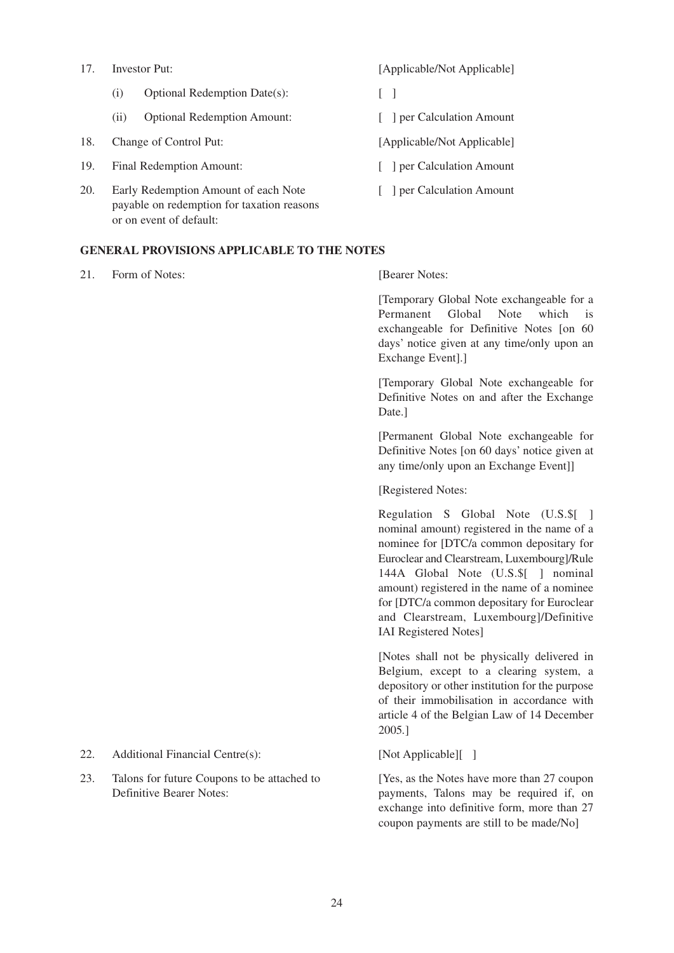- (i) Optional Redemption Date(s):  $\begin{bmatrix} \phantom{-} \end{bmatrix}$
- (ii) Optional Redemption Amount: [ ] per Calculation Amount
- 18. Change of Control Put: [Applicable/Not Applicable]
- 19. Final Redemption Amount: [ ] per Calculation Amount
- 20. Early Redemption Amount of each Note [ ] per Calculation Amount payable on redemption for taxation reasons or on event of default:

### **GENERAL PROVISIONS APPLICABLE TO THE NOTES**

21. Form of Notes: [Bearer Notes: [2014]

17. Investor Put: [Applicable/Not Applicable]

- 
- 
- 
- 
- 

[Temporary Global Note exchangeable for a Permanent Global Note which is exchangeable for Definitive Notes [on 60 days' notice given at any time/only upon an Exchange Event].]

[Temporary Global Note exchangeable for Definitive Notes on and after the Exchange Date.]

[Permanent Global Note exchangeable for Definitive Notes [on 60 days' notice given at any time/only upon an Exchange Event]]

[Registered Notes:

Regulation S Global Note (U.S.\$[ ] nominal amount) registered in the name of a nominee for [DTC/a common depositary for Euroclear and Clearstream, Luxembourg]/Rule 144A Global Note (U.S.\$[ ] nominal amount) registered in the name of a nominee for [DTC/a common depositary for Euroclear and Clearstream, Luxembourg]/Definitive IAI Registered Notes]

[Notes shall not be physically delivered in Belgium, except to a clearing system, a depository or other institution for the purpose of their immobilisation in accordance with article 4 of the Belgian Law of 14 December 2005*.*]

payments, Talons may be required if, on exchange into definitive form, more than 27 coupon payments are still to be made/No]

- 22. Additional Financial Centre(s): [Not Applicable][ ]
- 23. Talons for future Coupons to be attached to [Yes, as the Notes have more than 27 coupon Talons for future Coupons to be attached to Definitive Bearer Notes: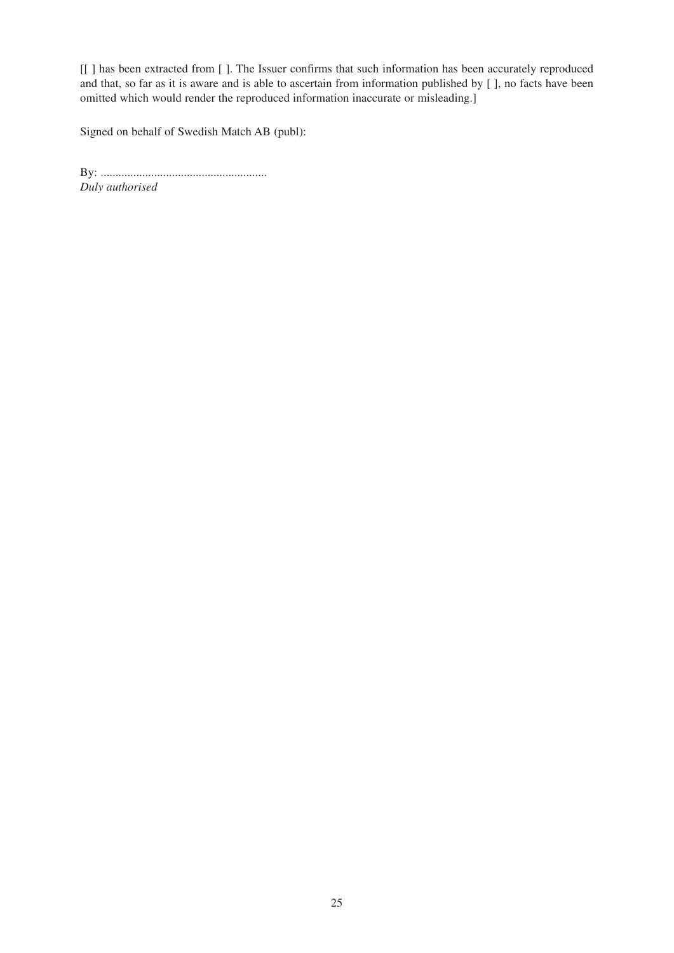[[ ] has been extracted from [ ]. The Issuer confirms that such information has been accurately reproduced and that, so far as it is aware and is able to ascertain from information published by [ ], no facts have been omitted which would render the reproduced information inaccurate or misleading.]

Signed on behalf of Swedish Match AB (publ):

By: ........................................................ *Duly authorised*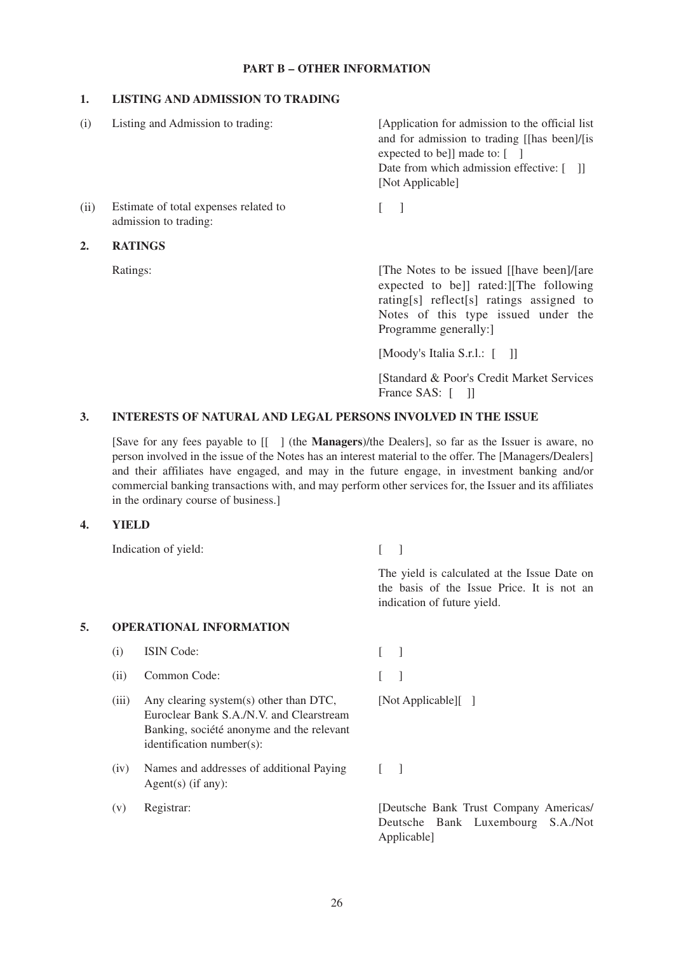# **PART B – OTHER INFORMATION**

#### **1. LISTING AND ADMISSION TO TRADING**

| (i)              | Listing and Admission to trading:                              | [Application for admission to the official list]<br>and for admission to trading [[has been]/[is<br>expected to be]] made to: $\lceil \quad \rceil$<br>Date from which admission effective: [11]<br>[Not Applicable] |
|------------------|----------------------------------------------------------------|----------------------------------------------------------------------------------------------------------------------------------------------------------------------------------------------------------------------|
| (ii)             | Estimate of total expenses related to<br>admission to trading: |                                                                                                                                                                                                                      |
| $\overline{2}$ . | <b>RATINGS</b>                                                 |                                                                                                                                                                                                                      |
|                  | Ratings:                                                       | The Notes to be issued [[have been]/[are]<br>expected to bell rated: The following<br>rating [s] reflect [s] ratings assigned to<br>Notes of this type issued under the                                              |

Notes of this type issued under the Programme generally:]

[Moody's Italia S.r.l.: [ ]]

[Standard & Poor's Credit Market Services France SAS: [ ]]

#### **3. INTERESTS OF NATURAL AND LEGAL PERSONS INVOLVED IN THE ISSUE**

[Save for any fees payable to [[ ] (the **Managers**)/the Dealers], so far as the Issuer is aware, no person involved in the issue of the Notes has an interest material to the offer. The [Managers/Dealers] and their affiliates have engaged, and may in the future engage, in investment banking and/or commercial banking transactions with, and may perform other services for, the Issuer and its affiliates in the ordinary course of business.]

#### **4. YIELD**

Indication of yield: [ ]

The yield is calculated at the Issue Date on the basis of the Issue Price. It is not an indication of future yield.

# **5. OPERATIONAL INFORMATION**

- (i) ISIN Code: [ ]
- (ii) Common Code: [ ]
- (iii) Any clearing system(s) other than DTC, [Not Applicable][ ] Euroclear Bank S.A./N.V. and Clearstream Banking, société anonyme and the relevant identification number(s):
- (iv) Names and addresses of additional Paying [ ] Agent(s) (if any):
- 

(v) Registrar: [Deutsche Bank Trust Company Americas] Deutsche Bank Luxembourg S.A./Not Applicable]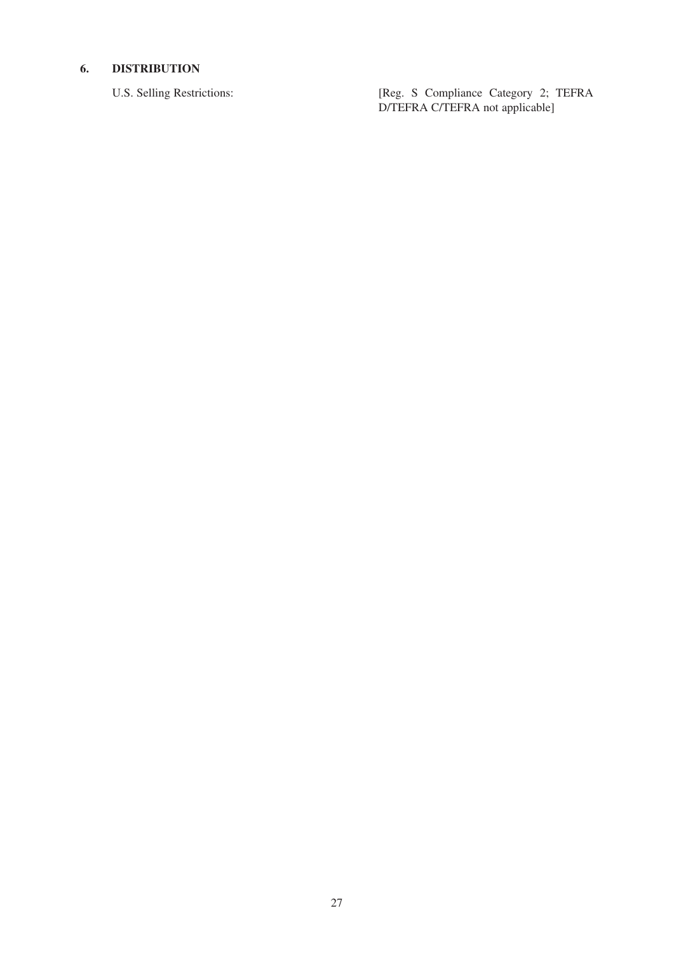# **6. DISTRIBUTION**

U.S. Selling Restrictions: [Reg. S Compliance Category 2; TEFRA D/TEFRA C/TEFRA not applicable]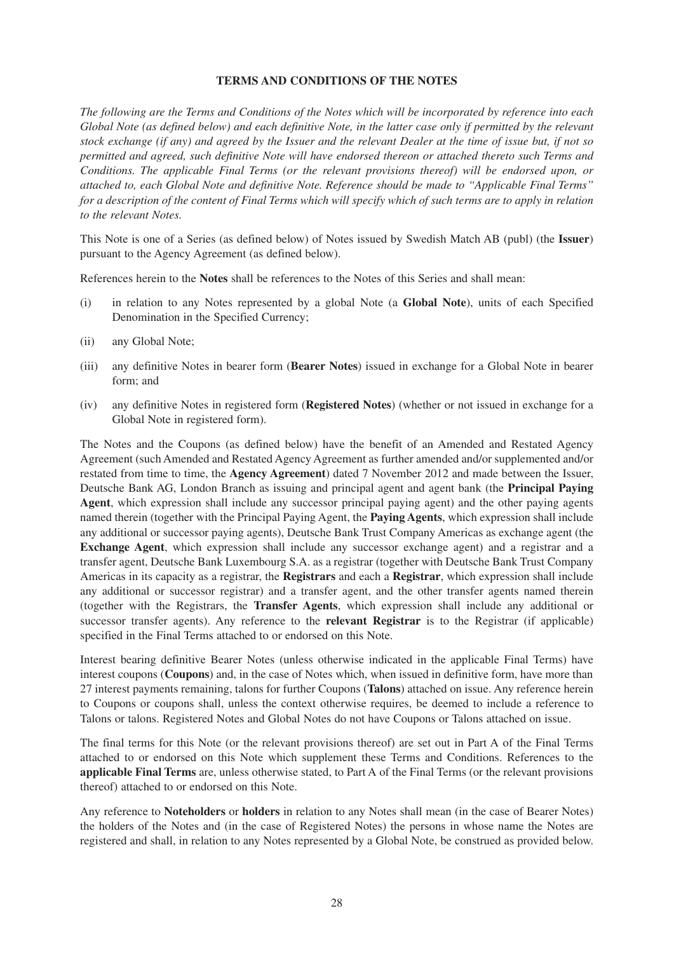# **TERMS AND CONDITIONS OF THE NOTES**

*The following are the Terms and Conditions of the Notes which will be incorporated by reference into each Global Note (as defined below) and each definitive Note, in the latter case only if permitted by the relevant stock exchange (if any) and agreed by the Issuer and the relevant Dealer at the time of issue but, if not so permitted and agreed, such definitive Note will have endorsed thereon or attached thereto such Terms and Conditions. The applicable Final Terms (or the relevant provisions thereof) will be endorsed upon, or attached to, each Global Note and definitive Note. Reference should be made to ''Applicable Final Terms'' for a description of the content of Final Terms which will specify which of such terms are to apply in relation to the relevant Notes.*

This Note is one of a Series (as defined below) of Notes issued by Swedish Match AB (publ) (the **Issuer**) pursuant to the Agency Agreement (as defined below).

References herein to the **Notes** shall be references to the Notes of this Series and shall mean:

- (i) in relation to any Notes represented by a global Note (a **Global Note**), units of each Specified Denomination in the Specified Currency;
- (ii) any Global Note;
- (iii) any definitive Notes in bearer form (**Bearer Notes**) issued in exchange for a Global Note in bearer form; and
- (iv) any definitive Notes in registered form (**Registered Notes**) (whether or not issued in exchange for a Global Note in registered form).

The Notes and the Coupons (as defined below) have the benefit of an Amended and Restated Agency Agreement (such Amended and Restated Agency Agreement as further amended and/or supplemented and/or restated from time to time, the **Agency Agreement**) dated 7 November 2012 and made between the Issuer, Deutsche Bank AG, London Branch as issuing and principal agent and agent bank (the **Principal Paying Agent**, which expression shall include any successor principal paying agent) and the other paying agents named therein (together with the Principal Paying Agent, the **Paying Agents**, which expression shall include any additional or successor paying agents), Deutsche Bank Trust Company Americas as exchange agent (the **Exchange Agent**, which expression shall include any successor exchange agent) and a registrar and a transfer agent, Deutsche Bank Luxembourg S.A. as a registrar (together with Deutsche Bank Trust Company Americas in its capacity as a registrar, the **Registrars** and each a **Registrar**, which expression shall include any additional or successor registrar) and a transfer agent, and the other transfer agents named therein (together with the Registrars, the **Transfer Agents**, which expression shall include any additional or successor transfer agents). Any reference to the **relevant Registrar** is to the Registrar (if applicable) specified in the Final Terms attached to or endorsed on this Note.

Interest bearing definitive Bearer Notes (unless otherwise indicated in the applicable Final Terms) have interest coupons (**Coupons**) and, in the case of Notes which, when issued in definitive form, have more than 27 interest payments remaining, talons for further Coupons (**Talons**) attached on issue. Any reference herein to Coupons or coupons shall, unless the context otherwise requires, be deemed to include a reference to Talons or talons. Registered Notes and Global Notes do not have Coupons or Talons attached on issue.

The final terms for this Note (or the relevant provisions thereof) are set out in Part A of the Final Terms attached to or endorsed on this Note which supplement these Terms and Conditions. References to the **applicable Final Terms** are, unless otherwise stated, to Part A of the Final Terms (or the relevant provisions thereof) attached to or endorsed on this Note.

Any reference to **Noteholders** or **holders** in relation to any Notes shall mean (in the case of Bearer Notes) the holders of the Notes and (in the case of Registered Notes) the persons in whose name the Notes are registered and shall, in relation to any Notes represented by a Global Note, be construed as provided below.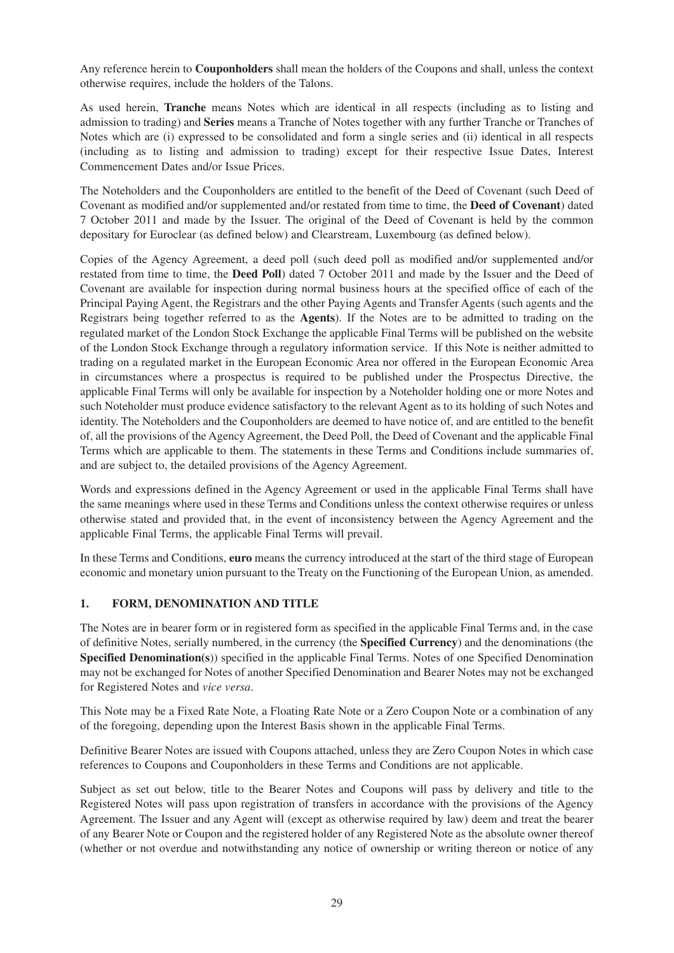Any reference herein to **Couponholders** shall mean the holders of the Coupons and shall, unless the context otherwise requires, include the holders of the Talons.

As used herein, **Tranche** means Notes which are identical in all respects (including as to listing and admission to trading) and **Series** means a Tranche of Notes together with any further Tranche or Tranches of Notes which are (i) expressed to be consolidated and form a single series and (ii) identical in all respects (including as to listing and admission to trading) except for their respective Issue Dates, Interest Commencement Dates and/or Issue Prices.

The Noteholders and the Couponholders are entitled to the benefit of the Deed of Covenant (such Deed of Covenant as modified and/or supplemented and/or restated from time to time, the **Deed of Covenant**) dated 7 October 2011 and made by the Issuer. The original of the Deed of Covenant is held by the common depositary for Euroclear (as defined below) and Clearstream, Luxembourg (as defined below).

Copies of the Agency Agreement, a deed poll (such deed poll as modified and/or supplemented and/or restated from time to time, the **Deed Poll**) dated 7 October 2011 and made by the Issuer and the Deed of Covenant are available for inspection during normal business hours at the specified office of each of the Principal Paying Agent, the Registrars and the other Paying Agents and Transfer Agents (such agents and the Registrars being together referred to as the **Agents**). If the Notes are to be admitted to trading on the regulated market of the London Stock Exchange the applicable Final Terms will be published on the website of the London Stock Exchange through a regulatory information service. If this Note is neither admitted to trading on a regulated market in the European Economic Area nor offered in the European Economic Area in circumstances where a prospectus is required to be published under the Prospectus Directive, the applicable Final Terms will only be available for inspection by a Noteholder holding one or more Notes and such Noteholder must produce evidence satisfactory to the relevant Agent as to its holding of such Notes and identity. The Noteholders and the Couponholders are deemed to have notice of, and are entitled to the benefit of, all the provisions of the Agency Agreement, the Deed Poll, the Deed of Covenant and the applicable Final Terms which are applicable to them. The statements in these Terms and Conditions include summaries of, and are subject to, the detailed provisions of the Agency Agreement.

Words and expressions defined in the Agency Agreement or used in the applicable Final Terms shall have the same meanings where used in these Terms and Conditions unless the context otherwise requires or unless otherwise stated and provided that, in the event of inconsistency between the Agency Agreement and the applicable Final Terms, the applicable Final Terms will prevail.

In these Terms and Conditions, **euro** means the currency introduced at the start of the third stage of European economic and monetary union pursuant to the Treaty on the Functioning of the European Union, as amended.

### **1. FORM, DENOMINATION AND TITLE**

The Notes are in bearer form or in registered form as specified in the applicable Final Terms and, in the case of definitive Notes, serially numbered, in the currency (the **Specified Currency**) and the denominations (the **Specified Denomination(s**)) specified in the applicable Final Terms. Notes of one Specified Denomination may not be exchanged for Notes of another Specified Denomination and Bearer Notes may not be exchanged for Registered Notes and *vice versa*.

This Note may be a Fixed Rate Note, a Floating Rate Note or a Zero Coupon Note or a combination of any of the foregoing, depending upon the Interest Basis shown in the applicable Final Terms.

Definitive Bearer Notes are issued with Coupons attached, unless they are Zero Coupon Notes in which case references to Coupons and Couponholders in these Terms and Conditions are not applicable.

Subject as set out below, title to the Bearer Notes and Coupons will pass by delivery and title to the Registered Notes will pass upon registration of transfers in accordance with the provisions of the Agency Agreement. The Issuer and any Agent will (except as otherwise required by law) deem and treat the bearer of any Bearer Note or Coupon and the registered holder of any Registered Note as the absolute owner thereof (whether or not overdue and notwithstanding any notice of ownership or writing thereon or notice of any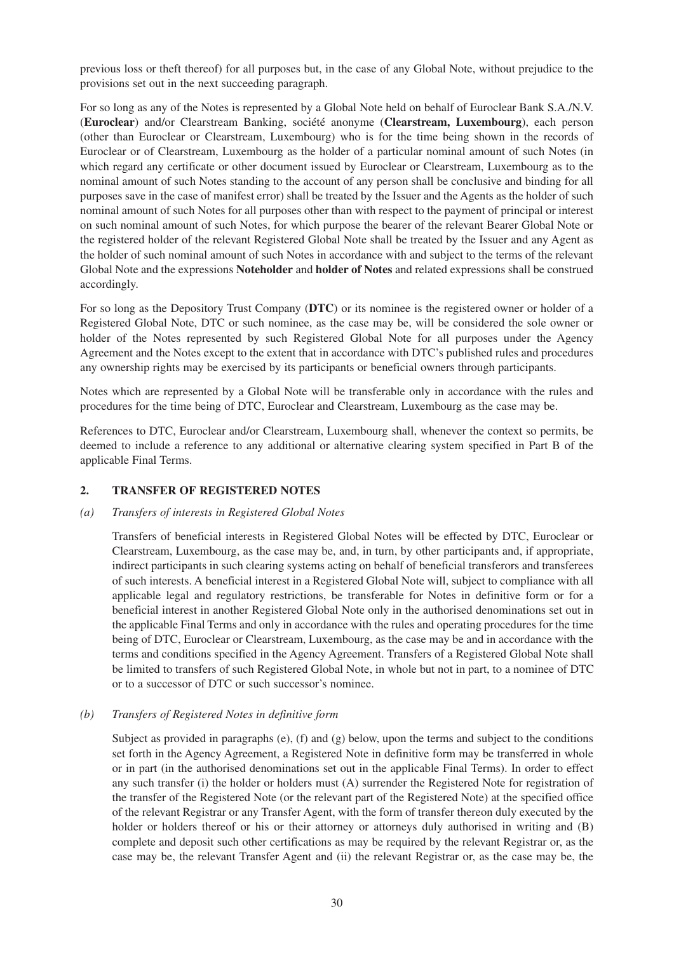previous loss or theft thereof) for all purposes but, in the case of any Global Note, without prejudice to the provisions set out in the next succeeding paragraph.

For so long as any of the Notes is represented by a Global Note held on behalf of Euroclear Bank S.A./N.V. (**Euroclear**) and/or Clearstream Banking, société anonyme (**Clearstream, Luxembourg**), each person (other than Euroclear or Clearstream, Luxembourg) who is for the time being shown in the records of Euroclear or of Clearstream, Luxembourg as the holder of a particular nominal amount of such Notes (in which regard any certificate or other document issued by Euroclear or Clearstream, Luxembourg as to the nominal amount of such Notes standing to the account of any person shall be conclusive and binding for all purposes save in the case of manifest error) shall be treated by the Issuer and the Agents as the holder of such nominal amount of such Notes for all purposes other than with respect to the payment of principal or interest on such nominal amount of such Notes, for which purpose the bearer of the relevant Bearer Global Note or the registered holder of the relevant Registered Global Note shall be treated by the Issuer and any Agent as the holder of such nominal amount of such Notes in accordance with and subject to the terms of the relevant Global Note and the expressions **Noteholder** and **holder of Notes** and related expressions shall be construed accordingly.

For so long as the Depository Trust Company (**DTC**) or its nominee is the registered owner or holder of a Registered Global Note, DTC or such nominee, as the case may be, will be considered the sole owner or holder of the Notes represented by such Registered Global Note for all purposes under the Agency Agreement and the Notes except to the extent that in accordance with DTC's published rules and procedures any ownership rights may be exercised by its participants or beneficial owners through participants.

Notes which are represented by a Global Note will be transferable only in accordance with the rules and procedures for the time being of DTC, Euroclear and Clearstream, Luxembourg as the case may be.

References to DTC, Euroclear and/or Clearstream, Luxembourg shall, whenever the context so permits, be deemed to include a reference to any additional or alternative clearing system specified in Part B of the applicable Final Terms.

### **2. TRANSFER OF REGISTERED NOTES**

#### *(a) Transfers of interests in Registered Global Notes*

Transfers of beneficial interests in Registered Global Notes will be effected by DTC, Euroclear or Clearstream, Luxembourg, as the case may be, and, in turn, by other participants and, if appropriate, indirect participants in such clearing systems acting on behalf of beneficial transferors and transferees of such interests. A beneficial interest in a Registered Global Note will, subject to compliance with all applicable legal and regulatory restrictions, be transferable for Notes in definitive form or for a beneficial interest in another Registered Global Note only in the authorised denominations set out in the applicable Final Terms and only in accordance with the rules and operating procedures for the time being of DTC, Euroclear or Clearstream, Luxembourg, as the case may be and in accordance with the terms and conditions specified in the Agency Agreement. Transfers of a Registered Global Note shall be limited to transfers of such Registered Global Note, in whole but not in part, to a nominee of DTC or to a successor of DTC or such successor's nominee.

#### *(b) Transfers of Registered Notes in definitive form*

Subject as provided in paragraphs  $(e)$ ,  $(f)$  and  $(g)$  below, upon the terms and subject to the conditions set forth in the Agency Agreement, a Registered Note in definitive form may be transferred in whole or in part (in the authorised denominations set out in the applicable Final Terms). In order to effect any such transfer (i) the holder or holders must (A) surrender the Registered Note for registration of the transfer of the Registered Note (or the relevant part of the Registered Note) at the specified office of the relevant Registrar or any Transfer Agent, with the form of transfer thereon duly executed by the holder or holders thereof or his or their attorney or attorneys duly authorised in writing and (B) complete and deposit such other certifications as may be required by the relevant Registrar or, as the case may be, the relevant Transfer Agent and (ii) the relevant Registrar or, as the case may be, the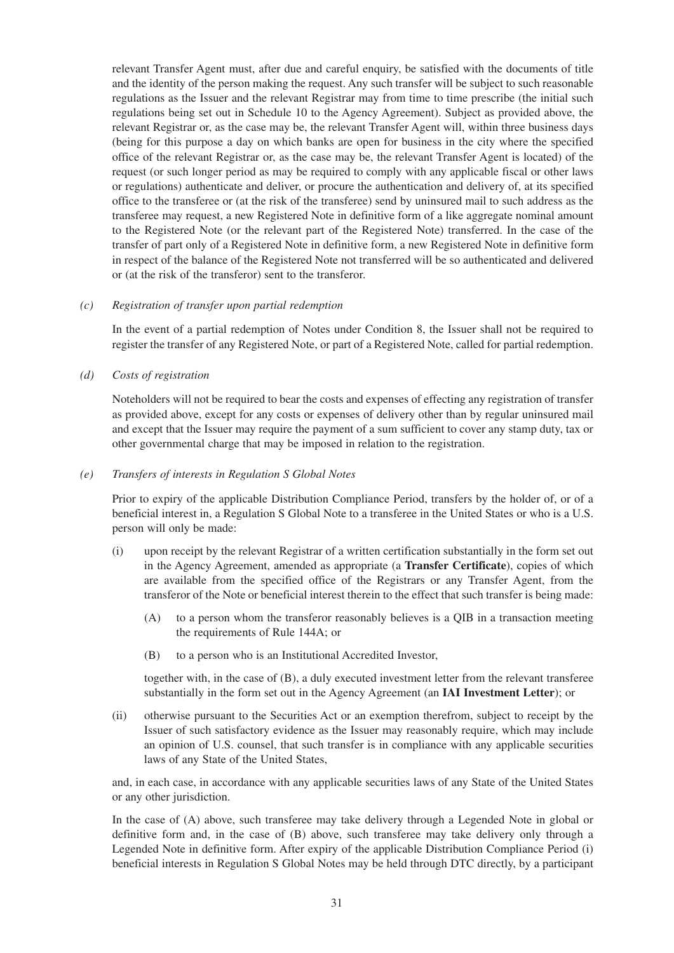relevant Transfer Agent must, after due and careful enquiry, be satisfied with the documents of title and the identity of the person making the request. Any such transfer will be subject to such reasonable regulations as the Issuer and the relevant Registrar may from time to time prescribe (the initial such regulations being set out in Schedule 10 to the Agency Agreement). Subject as provided above, the relevant Registrar or, as the case may be, the relevant Transfer Agent will, within three business days (being for this purpose a day on which banks are open for business in the city where the specified office of the relevant Registrar or, as the case may be, the relevant Transfer Agent is located) of the request (or such longer period as may be required to comply with any applicable fiscal or other laws or regulations) authenticate and deliver, or procure the authentication and delivery of, at its specified office to the transferee or (at the risk of the transferee) send by uninsured mail to such address as the transferee may request, a new Registered Note in definitive form of a like aggregate nominal amount to the Registered Note (or the relevant part of the Registered Note) transferred. In the case of the transfer of part only of a Registered Note in definitive form, a new Registered Note in definitive form in respect of the balance of the Registered Note not transferred will be so authenticated and delivered or (at the risk of the transferor) sent to the transferor.

#### *(c) Registration of transfer upon partial redemption*

In the event of a partial redemption of Notes under Condition 8, the Issuer shall not be required to register the transfer of any Registered Note, or part of a Registered Note, called for partial redemption.

*(d) Costs of registration* 

Noteholders will not be required to bear the costs and expenses of effecting any registration of transfer as provided above, except for any costs or expenses of delivery other than by regular uninsured mail and except that the Issuer may require the payment of a sum sufficient to cover any stamp duty, tax or other governmental charge that may be imposed in relation to the registration.

#### *(e) Transfers of interests in Regulation S Global Notes*

Prior to expiry of the applicable Distribution Compliance Period, transfers by the holder of, or of a beneficial interest in, a Regulation S Global Note to a transferee in the United States or who is a U.S. person will only be made:

- (i) upon receipt by the relevant Registrar of a written certification substantially in the form set out in the Agency Agreement, amended as appropriate (a **Transfer Certificate**), copies of which are available from the specified office of the Registrars or any Transfer Agent, from the transferor of the Note or beneficial interest therein to the effect that such transfer is being made:
	- (A) to a person whom the transferor reasonably believes is a QIB in a transaction meeting the requirements of Rule 144A; or
	- (B) to a person who is an Institutional Accredited Investor,

together with, in the case of (B), a duly executed investment letter from the relevant transferee substantially in the form set out in the Agency Agreement (an **IAI Investment Letter**); or

(ii) otherwise pursuant to the Securities Act or an exemption therefrom, subject to receipt by the Issuer of such satisfactory evidence as the Issuer may reasonably require, which may include an opinion of U.S. counsel, that such transfer is in compliance with any applicable securities laws of any State of the United States,

and, in each case, in accordance with any applicable securities laws of any State of the United States or any other jurisdiction.

In the case of (A) above, such transferee may take delivery through a Legended Note in global or definitive form and, in the case of (B) above, such transferee may take delivery only through a Legended Note in definitive form. After expiry of the applicable Distribution Compliance Period (i) beneficial interests in Regulation S Global Notes may be held through DTC directly, by a participant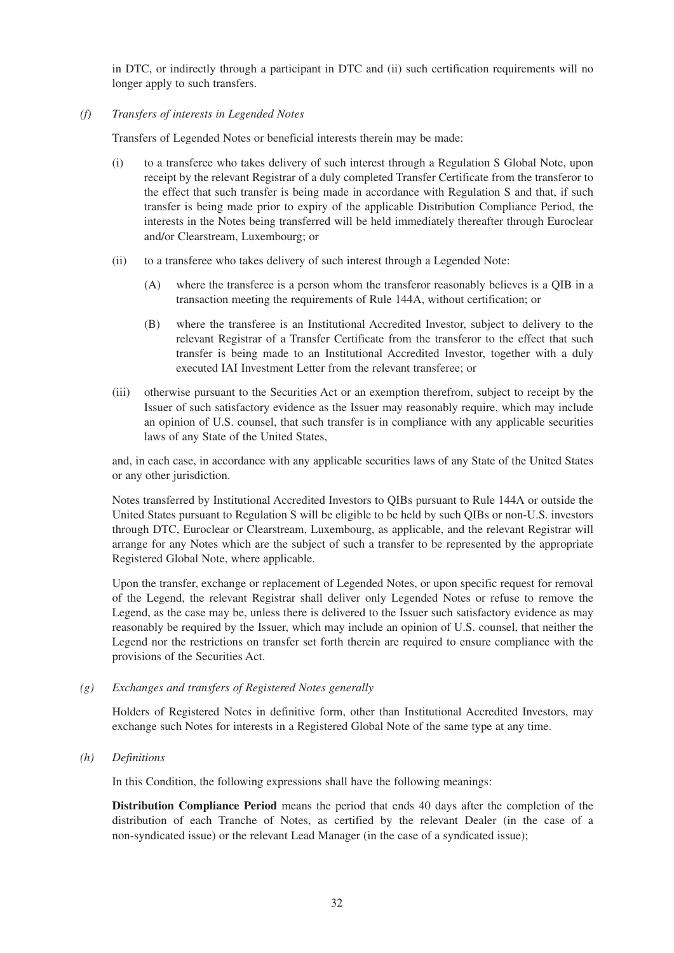in DTC, or indirectly through a participant in DTC and (ii) such certification requirements will no longer apply to such transfers.

#### *(f) Transfers of interests in Legended Notes*

Transfers of Legended Notes or beneficial interests therein may be made:

- (i) to a transferee who takes delivery of such interest through a Regulation S Global Note, upon receipt by the relevant Registrar of a duly completed Transfer Certificate from the transferor to the effect that such transfer is being made in accordance with Regulation S and that, if such transfer is being made prior to expiry of the applicable Distribution Compliance Period, the interests in the Notes being transferred will be held immediately thereafter through Euroclear and/or Clearstream, Luxembourg; or
- (ii) to a transferee who takes delivery of such interest through a Legended Note:
	- (A) where the transferee is a person whom the transferor reasonably believes is a QIB in a transaction meeting the requirements of Rule 144A, without certification; or
	- (B) where the transferee is an Institutional Accredited Investor, subject to delivery to the relevant Registrar of a Transfer Certificate from the transferor to the effect that such transfer is being made to an Institutional Accredited Investor, together with a duly executed IAI Investment Letter from the relevant transferee; or
- (iii) otherwise pursuant to the Securities Act or an exemption therefrom, subject to receipt by the Issuer of such satisfactory evidence as the Issuer may reasonably require, which may include an opinion of U.S. counsel, that such transfer is in compliance with any applicable securities laws of any State of the United States,

and, in each case, in accordance with any applicable securities laws of any State of the United States or any other jurisdiction.

Notes transferred by Institutional Accredited Investors to QIBs pursuant to Rule 144A or outside the United States pursuant to Regulation S will be eligible to be held by such QIBs or non-U.S. investors through DTC, Euroclear or Clearstream, Luxembourg, as applicable, and the relevant Registrar will arrange for any Notes which are the subject of such a transfer to be represented by the appropriate Registered Global Note, where applicable.

Upon the transfer, exchange or replacement of Legended Notes, or upon specific request for removal of the Legend, the relevant Registrar shall deliver only Legended Notes or refuse to remove the Legend, as the case may be, unless there is delivered to the Issuer such satisfactory evidence as may reasonably be required by the Issuer, which may include an opinion of U.S. counsel, that neither the Legend nor the restrictions on transfer set forth therein are required to ensure compliance with the provisions of the Securities Act.

### *(g) Exchanges and transfers of Registered Notes generally*

Holders of Registered Notes in definitive form, other than Institutional Accredited Investors, may exchange such Notes for interests in a Registered Global Note of the same type at any time.

*(h) Definitions* 

In this Condition, the following expressions shall have the following meanings:

**Distribution Compliance Period** means the period that ends 40 days after the completion of the distribution of each Tranche of Notes, as certified by the relevant Dealer (in the case of a non-syndicated issue) or the relevant Lead Manager (in the case of a syndicated issue);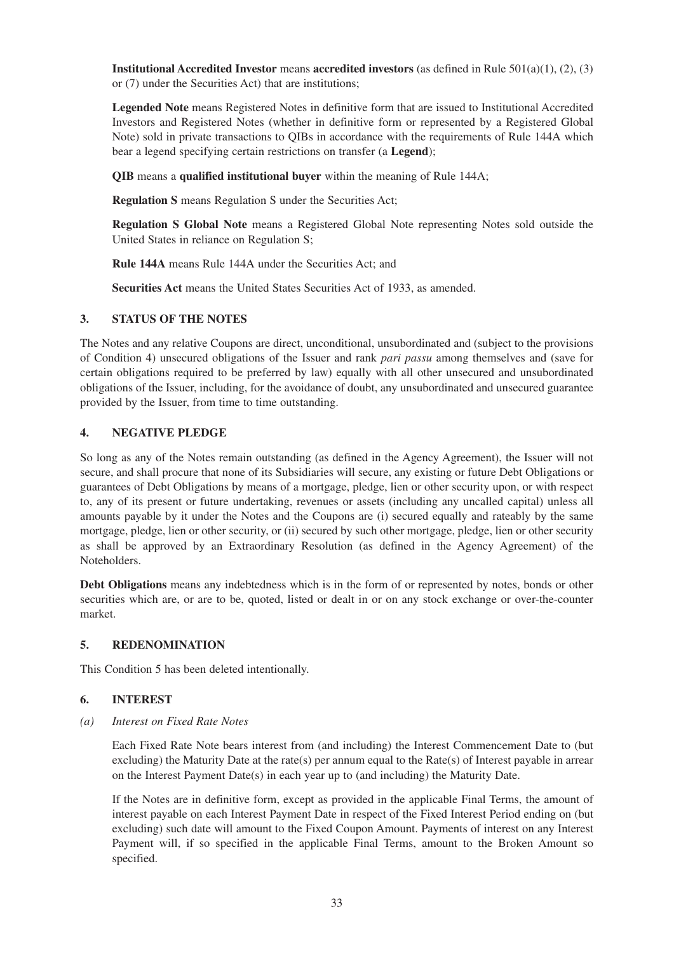**Institutional Accredited Investor** means **accredited investors** (as defined in Rule 501(a)(1), (2), (3) or (7) under the Securities Act) that are institutions;

**Legended Note** means Registered Notes in definitive form that are issued to Institutional Accredited Investors and Registered Notes (whether in definitive form or represented by a Registered Global Note) sold in private transactions to QIBs in accordance with the requirements of Rule 144A which bear a legend specifying certain restrictions on transfer (a **Legend**);

**QIB** means a **qualified institutional buyer** within the meaning of Rule 144A;

**Regulation S** means Regulation S under the Securities Act;

**Regulation S Global Note** means a Registered Global Note representing Notes sold outside the United States in reliance on Regulation S;

**Rule 144A** means Rule 144A under the Securities Act; and

**Securities Act** means the United States Securities Act of 1933, as amended.

# **3. STATUS OF THE NOTES**

The Notes and any relative Coupons are direct, unconditional, unsubordinated and (subject to the provisions of Condition 4) unsecured obligations of the Issuer and rank *pari passu* among themselves and (save for certain obligations required to be preferred by law) equally with all other unsecured and unsubordinated obligations of the Issuer, including, for the avoidance of doubt, any unsubordinated and unsecured guarantee provided by the Issuer, from time to time outstanding.

# **4. NEGATIVE PLEDGE**

So long as any of the Notes remain outstanding (as defined in the Agency Agreement), the Issuer will not secure, and shall procure that none of its Subsidiaries will secure, any existing or future Debt Obligations or guarantees of Debt Obligations by means of a mortgage, pledge, lien or other security upon, or with respect to, any of its present or future undertaking, revenues or assets (including any uncalled capital) unless all amounts payable by it under the Notes and the Coupons are (i) secured equally and rateably by the same mortgage, pledge, lien or other security, or (ii) secured by such other mortgage, pledge, lien or other security as shall be approved by an Extraordinary Resolution (as defined in the Agency Agreement) of the Noteholders.

**Debt Obligations** means any indebtedness which is in the form of or represented by notes, bonds or other securities which are, or are to be, quoted, listed or dealt in or on any stock exchange or over-the-counter market.

### **5. REDENOMINATION**

This Condition 5 has been deleted intentionally.

### **6. INTEREST**

*(a) Interest on Fixed Rate Notes* 

Each Fixed Rate Note bears interest from (and including) the Interest Commencement Date to (but excluding) the Maturity Date at the rate(s) per annum equal to the Rate(s) of Interest payable in arrear on the Interest Payment Date(s) in each year up to (and including) the Maturity Date.

If the Notes are in definitive form, except as provided in the applicable Final Terms, the amount of interest payable on each Interest Payment Date in respect of the Fixed Interest Period ending on (but excluding) such date will amount to the Fixed Coupon Amount. Payments of interest on any Interest Payment will, if so specified in the applicable Final Terms, amount to the Broken Amount so specified.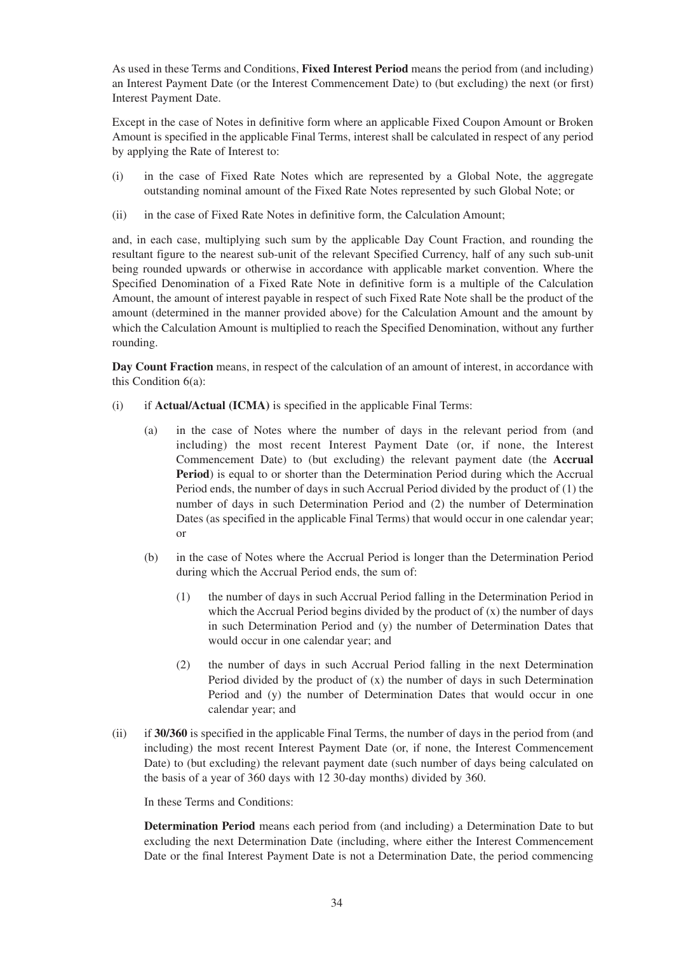As used in these Terms and Conditions, **Fixed Interest Period** means the period from (and including) an Interest Payment Date (or the Interest Commencement Date) to (but excluding) the next (or first) Interest Payment Date.

Except in the case of Notes in definitive form where an applicable Fixed Coupon Amount or Broken Amount is specified in the applicable Final Terms, interest shall be calculated in respect of any period by applying the Rate of Interest to:

- (i) in the case of Fixed Rate Notes which are represented by a Global Note, the aggregate outstanding nominal amount of the Fixed Rate Notes represented by such Global Note; or
- (ii) in the case of Fixed Rate Notes in definitive form, the Calculation Amount;

and, in each case, multiplying such sum by the applicable Day Count Fraction, and rounding the resultant figure to the nearest sub-unit of the relevant Specified Currency, half of any such sub-unit being rounded upwards or otherwise in accordance with applicable market convention. Where the Specified Denomination of a Fixed Rate Note in definitive form is a multiple of the Calculation Amount, the amount of interest payable in respect of such Fixed Rate Note shall be the product of the amount (determined in the manner provided above) for the Calculation Amount and the amount by which the Calculation Amount is multiplied to reach the Specified Denomination, without any further rounding.

**Day Count Fraction** means, in respect of the calculation of an amount of interest, in accordance with this Condition 6(a):

- (i) if **Actual/Actual (ICMA)** is specified in the applicable Final Terms:
	- (a) in the case of Notes where the number of days in the relevant period from (and including) the most recent Interest Payment Date (or, if none, the Interest Commencement Date) to (but excluding) the relevant payment date (the **Accrual** Period) is equal to or shorter than the Determination Period during which the Accrual Period ends, the number of days in such Accrual Period divided by the product of (1) the number of days in such Determination Period and (2) the number of Determination Dates (as specified in the applicable Final Terms) that would occur in one calendar year; or
	- (b) in the case of Notes where the Accrual Period is longer than the Determination Period during which the Accrual Period ends, the sum of:
		- (1) the number of days in such Accrual Period falling in the Determination Period in which the Accrual Period begins divided by the product of (x) the number of days in such Determination Period and (y) the number of Determination Dates that would occur in one calendar year; and
		- (2) the number of days in such Accrual Period falling in the next Determination Period divided by the product of (x) the number of days in such Determination Period and (y) the number of Determination Dates that would occur in one calendar year; and
- (ii) if **30/360** is specified in the applicable Final Terms, the number of days in the period from (and including) the most recent Interest Payment Date (or, if none, the Interest Commencement Date) to (but excluding) the relevant payment date (such number of days being calculated on the basis of a year of 360 days with 12 30-day months) divided by 360.

In these Terms and Conditions:

**Determination Period** means each period from (and including) a Determination Date to but excluding the next Determination Date (including, where either the Interest Commencement Date or the final Interest Payment Date is not a Determination Date, the period commencing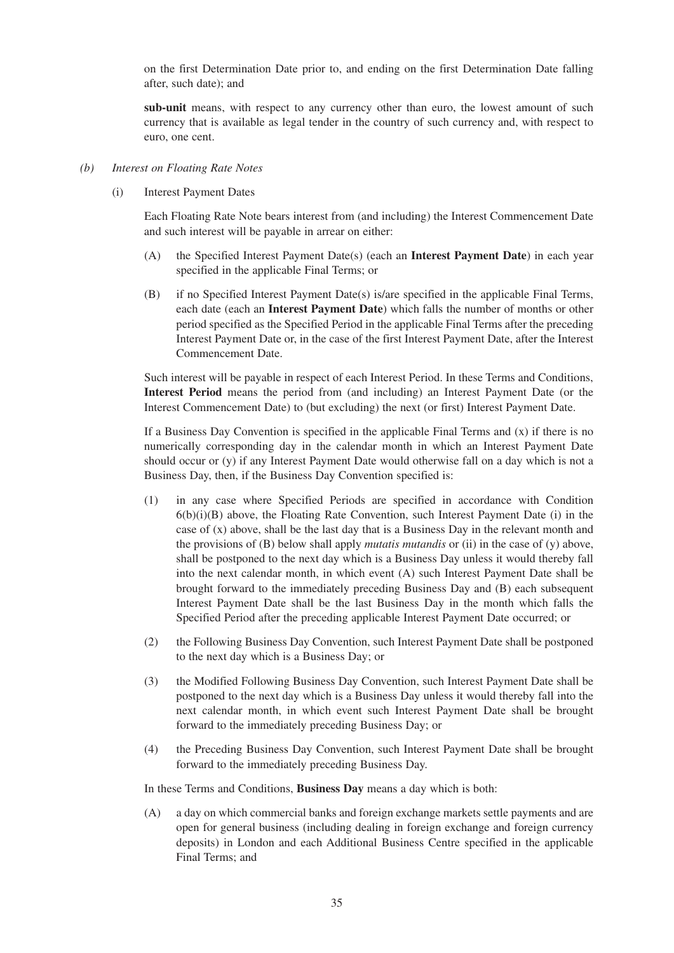on the first Determination Date prior to, and ending on the first Determination Date falling after, such date); and

**sub-unit** means, with respect to any currency other than euro, the lowest amount of such currency that is available as legal tender in the country of such currency and, with respect to euro, one cent.

- *(b) Interest on Floating Rate Notes*
	- (i) Interest Payment Dates

Each Floating Rate Note bears interest from (and including) the Interest Commencement Date and such interest will be payable in arrear on either:

- (A) the Specified Interest Payment Date(s) (each an **Interest Payment Date**) in each year specified in the applicable Final Terms; or
- (B) if no Specified Interest Payment Date(s) is/are specified in the applicable Final Terms, each date (each an **Interest Payment Date**) which falls the number of months or other period specified as the Specified Period in the applicable Final Terms after the preceding Interest Payment Date or, in the case of the first Interest Payment Date, after the Interest Commencement Date.

Such interest will be payable in respect of each Interest Period. In these Terms and Conditions, **Interest Period** means the period from (and including) an Interest Payment Date (or the Interest Commencement Date) to (but excluding) the next (or first) Interest Payment Date.

If a Business Day Convention is specified in the applicable Final Terms and  $(x)$  if there is no numerically corresponding day in the calendar month in which an Interest Payment Date should occur or (y) if any Interest Payment Date would otherwise fall on a day which is not a Business Day, then, if the Business Day Convention specified is:

- (1) in any case where Specified Periods are specified in accordance with Condition  $6(b)(i)(B)$  above, the Floating Rate Convention, such Interest Payment Date (i) in the case of (x) above, shall be the last day that is a Business Day in the relevant month and the provisions of (B) below shall apply *mutatis mutandis* or (ii) in the case of (y) above, shall be postponed to the next day which is a Business Day unless it would thereby fall into the next calendar month, in which event (A) such Interest Payment Date shall be brought forward to the immediately preceding Business Day and (B) each subsequent Interest Payment Date shall be the last Business Day in the month which falls the Specified Period after the preceding applicable Interest Payment Date occurred; or
- (2) the Following Business Day Convention, such Interest Payment Date shall be postponed to the next day which is a Business Day; or
- (3) the Modified Following Business Day Convention, such Interest Payment Date shall be postponed to the next day which is a Business Day unless it would thereby fall into the next calendar month, in which event such Interest Payment Date shall be brought forward to the immediately preceding Business Day; or
- (4) the Preceding Business Day Convention, such Interest Payment Date shall be brought forward to the immediately preceding Business Day.

In these Terms and Conditions, **Business Day** means a day which is both:

(A) a day on which commercial banks and foreign exchange markets settle payments and are open for general business (including dealing in foreign exchange and foreign currency deposits) in London and each Additional Business Centre specified in the applicable Final Terms; and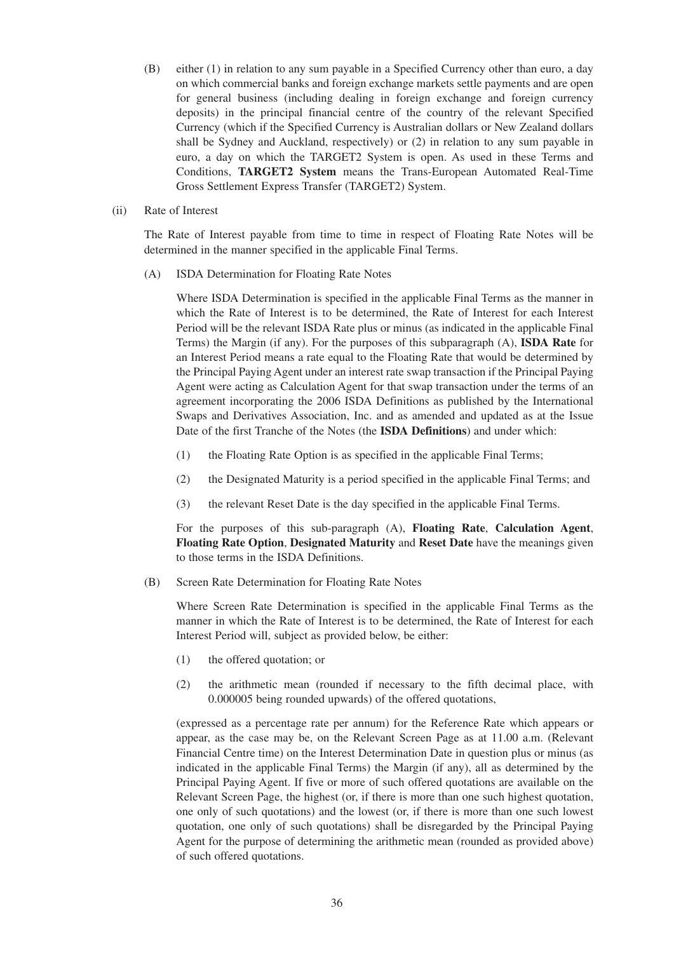- (B) either (1) in relation to any sum payable in a Specified Currency other than euro, a day on which commercial banks and foreign exchange markets settle payments and are open for general business (including dealing in foreign exchange and foreign currency deposits) in the principal financial centre of the country of the relevant Specified Currency (which if the Specified Currency is Australian dollars or New Zealand dollars shall be Sydney and Auckland, respectively) or (2) in relation to any sum payable in euro, a day on which the TARGET2 System is open. As used in these Terms and Conditions, **TARGET2 System** means the Trans-European Automated Real-Time Gross Settlement Express Transfer (TARGET2) System.
- (ii) Rate of Interest

The Rate of Interest payable from time to time in respect of Floating Rate Notes will be determined in the manner specified in the applicable Final Terms.

(A) ISDA Determination for Floating Rate Notes

Where ISDA Determination is specified in the applicable Final Terms as the manner in which the Rate of Interest is to be determined, the Rate of Interest for each Interest Period will be the relevant ISDA Rate plus or minus (as indicated in the applicable Final Terms) the Margin (if any). For the purposes of this subparagraph (A), **ISDA Rate** for an Interest Period means a rate equal to the Floating Rate that would be determined by the Principal Paying Agent under an interest rate swap transaction if the Principal Paying Agent were acting as Calculation Agent for that swap transaction under the terms of an agreement incorporating the 2006 ISDA Definitions as published by the International Swaps and Derivatives Association, Inc. and as amended and updated as at the Issue Date of the first Tranche of the Notes (the **ISDA Definitions**) and under which:

- (1) the Floating Rate Option is as specified in the applicable Final Terms;
- (2) the Designated Maturity is a period specified in the applicable Final Terms; and
- (3) the relevant Reset Date is the day specified in the applicable Final Terms.

For the purposes of this sub-paragraph (A), **Floating Rate**, **Calculation Agent**, **Floating Rate Option**, **Designated Maturity** and **Reset Date** have the meanings given to those terms in the ISDA Definitions.

(B) Screen Rate Determination for Floating Rate Notes

Where Screen Rate Determination is specified in the applicable Final Terms as the manner in which the Rate of Interest is to be determined, the Rate of Interest for each Interest Period will, subject as provided below, be either:

- (1) the offered quotation; or
- (2) the arithmetic mean (rounded if necessary to the fifth decimal place, with 0.000005 being rounded upwards) of the offered quotations,

(expressed as a percentage rate per annum) for the Reference Rate which appears or appear, as the case may be, on the Relevant Screen Page as at 11.00 a.m. (Relevant Financial Centre time) on the Interest Determination Date in question plus or minus (as indicated in the applicable Final Terms) the Margin (if any), all as determined by the Principal Paying Agent. If five or more of such offered quotations are available on the Relevant Screen Page, the highest (or, if there is more than one such highest quotation, one only of such quotations) and the lowest (or, if there is more than one such lowest quotation, one only of such quotations) shall be disregarded by the Principal Paying Agent for the purpose of determining the arithmetic mean (rounded as provided above) of such offered quotations.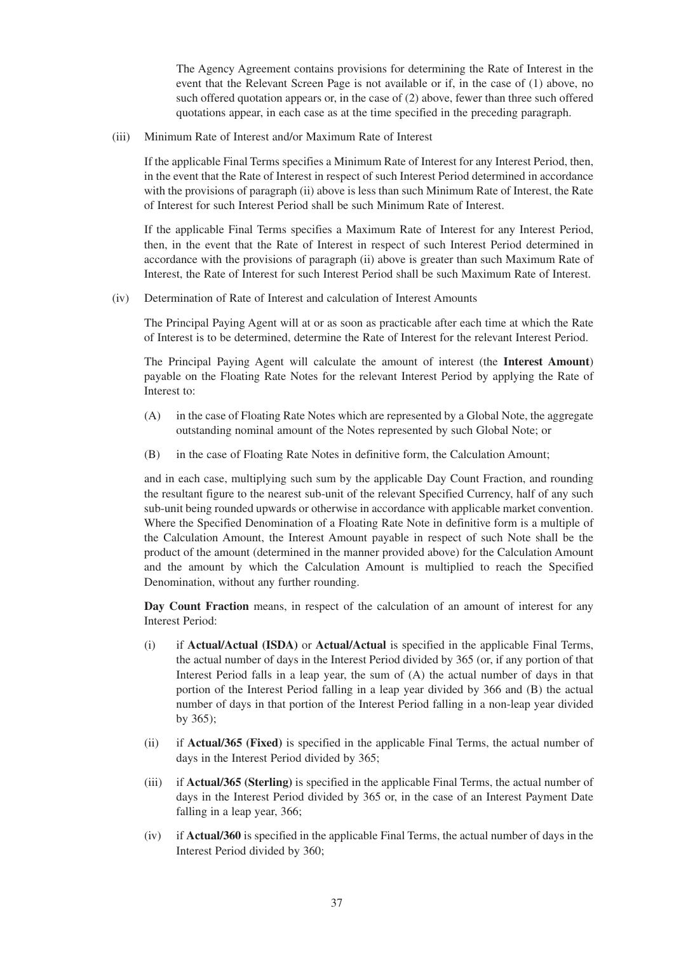The Agency Agreement contains provisions for determining the Rate of Interest in the event that the Relevant Screen Page is not available or if, in the case of (1) above, no such offered quotation appears or, in the case of (2) above, fewer than three such offered quotations appear, in each case as at the time specified in the preceding paragraph.

(iii) Minimum Rate of Interest and/or Maximum Rate of Interest

If the applicable Final Terms specifies a Minimum Rate of Interest for any Interest Period, then, in the event that the Rate of Interest in respect of such Interest Period determined in accordance with the provisions of paragraph (ii) above is less than such Minimum Rate of Interest, the Rate of Interest for such Interest Period shall be such Minimum Rate of Interest.

If the applicable Final Terms specifies a Maximum Rate of Interest for any Interest Period, then, in the event that the Rate of Interest in respect of such Interest Period determined in accordance with the provisions of paragraph (ii) above is greater than such Maximum Rate of Interest, the Rate of Interest for such Interest Period shall be such Maximum Rate of Interest.

(iv) Determination of Rate of Interest and calculation of Interest Amounts

The Principal Paying Agent will at or as soon as practicable after each time at which the Rate of Interest is to be determined, determine the Rate of Interest for the relevant Interest Period.

The Principal Paying Agent will calculate the amount of interest (the **Interest Amount**) payable on the Floating Rate Notes for the relevant Interest Period by applying the Rate of Interest to:

- (A) in the case of Floating Rate Notes which are represented by a Global Note, the aggregate outstanding nominal amount of the Notes represented by such Global Note; or
- (B) in the case of Floating Rate Notes in definitive form, the Calculation Amount;

and in each case, multiplying such sum by the applicable Day Count Fraction, and rounding the resultant figure to the nearest sub-unit of the relevant Specified Currency, half of any such sub-unit being rounded upwards or otherwise in accordance with applicable market convention. Where the Specified Denomination of a Floating Rate Note in definitive form is a multiple of the Calculation Amount, the Interest Amount payable in respect of such Note shall be the product of the amount (determined in the manner provided above) for the Calculation Amount and the amount by which the Calculation Amount is multiplied to reach the Specified Denomination, without any further rounding.

**Day Count Fraction** means, in respect of the calculation of an amount of interest for any Interest Period:

- (i) if **Actual/Actual (ISDA)** or **Actual/Actual** is specified in the applicable Final Terms, the actual number of days in the Interest Period divided by 365 (or, if any portion of that Interest Period falls in a leap year, the sum of (A) the actual number of days in that portion of the Interest Period falling in a leap year divided by 366 and (B) the actual number of days in that portion of the Interest Period falling in a non-leap year divided by 365);
- (ii) if **Actual/365 (Fixed)** is specified in the applicable Final Terms, the actual number of days in the Interest Period divided by 365;
- (iii) if **Actual/365 (Sterling)** is specified in the applicable Final Terms, the actual number of days in the Interest Period divided by 365 or, in the case of an Interest Payment Date falling in a leap year, 366;
- (iv) if **Actual/360** is specified in the applicable Final Terms, the actual number of days in the Interest Period divided by 360;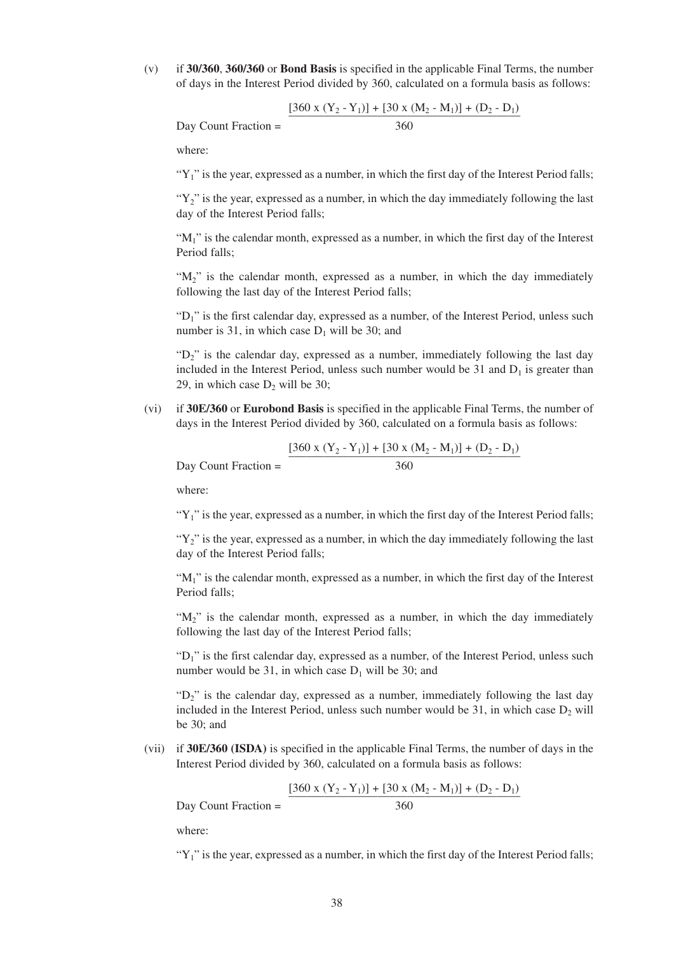(v) if **30/360**, **360/360** or **Bond Basis** is specified in the applicable Final Terms, the number of days in the Interest Period divided by 360, calculated on a formula basis as follows:

$$
Day Count Fraction = \frac{[360 \times (Y_2 - Y_1)] + [30 \times (M_2 - M_1)] + (D_2 - D_1)}{360}
$$

where:

" $Y_1$ " is the year, expressed as a number, in which the first day of the Interest Period falls;

" $Y_2$ " is the year, expressed as a number, in which the day immediately following the last day of the Interest Period falls;

" $M_1$ " is the calendar month, expressed as a number, in which the first day of the Interest Period falls;

" $M_2$ " is the calendar month, expressed as a number, in which the day immediately following the last day of the Interest Period falls;

"D<sub>1</sub>" is the first calendar day, expressed as a number, of the Interest Period, unless such number is 31, in which case  $D_1$  will be 30; and

" $D<sub>2</sub>$ " is the calendar day, expressed as a number, immediately following the last day included in the Interest Period, unless such number would be  $31$  and  $D_1$  is greater than 29, in which case  $D_2$  will be 30;

(vi) if **30E/360** or **Eurobond Basis** is specified in the applicable Final Terms, the number of days in the Interest Period divided by 360, calculated on a formula basis as follows:

$$
\frac{[360 \times (Y_2 - Y_1)] + [30 \times (M_2 - M_1)] + (D_2 - D_1)}{360}
$$

where:

Day Count Fraction =

" $Y_1$ " is the year, expressed as a number, in which the first day of the Interest Period falls;

" $Y_2$ " is the year, expressed as a number, in which the day immediately following the last day of the Interest Period falls;

" $M_1$ " is the calendar month, expressed as a number, in which the first day of the Interest Period falls;

"M<sub>2</sub>" is the calendar month, expressed as a number, in which the day immediately following the last day of the Interest Period falls;

"D<sub>1</sub>" is the first calendar day, expressed as a number, of the Interest Period, unless such number would be 31, in which case  $D_1$  will be 30; and

" $D_2$ " is the calendar day, expressed as a number, immediately following the last day included in the Interest Period, unless such number would be  $31$ , in which case  $D_2$  will be 30; and

(vii) if **30E/360 (ISDA)** is specified in the applicable Final Terms, the number of days in the Interest Period divided by 360, calculated on a formula basis as follows:

$$
[360 \times (Y_2 - Y_1)] + [30 \times (M_2 - M_1)] + (D_2 - D_1)
$$

 $Day$  Count Fraction =  $360$ 

where:

" $Y_1$ " is the year, expressed as a number, in which the first day of the Interest Period falls;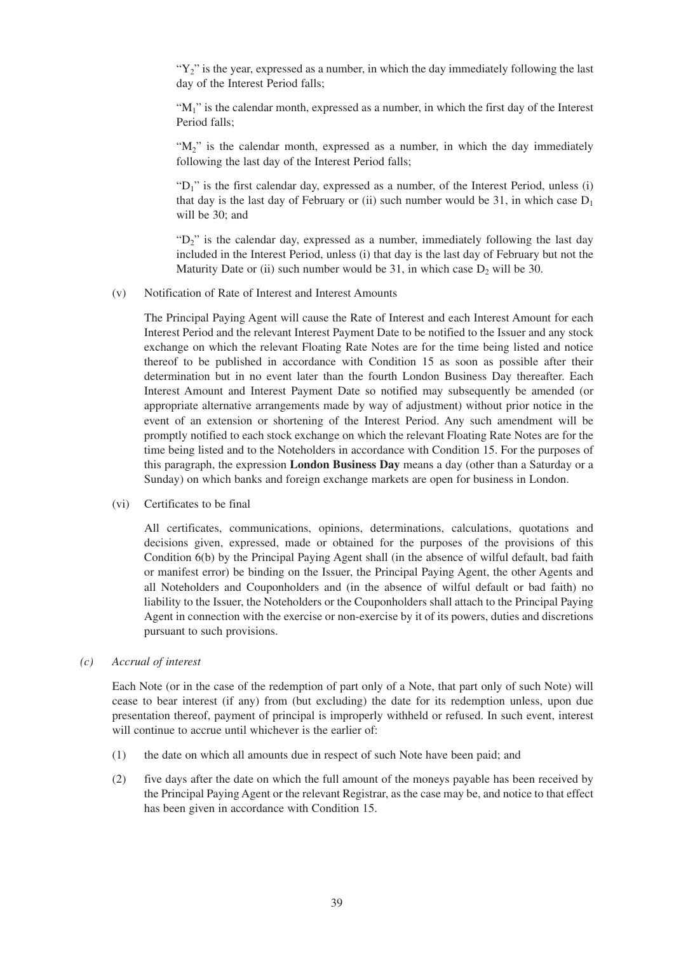" $Y_2$ " is the year, expressed as a number, in which the day immediately following the last day of the Interest Period falls;

" $M_1$ " is the calendar month, expressed as a number, in which the first day of the Interest Period falls;

"M<sub>2</sub>" is the calendar month, expressed as a number, in which the day immediately following the last day of the Interest Period falls;

"D<sub>1</sub>" is the first calendar day, expressed as a number, of the Interest Period, unless (i) that day is the last day of February or (ii) such number would be 31, in which case  $D_1$ will be 30; and

" $D_2$ " is the calendar day, expressed as a number, immediately following the last day included in the Interest Period, unless (i) that day is the last day of February but not the Maturity Date or (ii) such number would be 31, in which case  $D_2$  will be 30.

#### (v) Notification of Rate of Interest and Interest Amounts

The Principal Paying Agent will cause the Rate of Interest and each Interest Amount for each Interest Period and the relevant Interest Payment Date to be notified to the Issuer and any stock exchange on which the relevant Floating Rate Notes are for the time being listed and notice thereof to be published in accordance with Condition 15 as soon as possible after their determination but in no event later than the fourth London Business Day thereafter. Each Interest Amount and Interest Payment Date so notified may subsequently be amended (or appropriate alternative arrangements made by way of adjustment) without prior notice in the event of an extension or shortening of the Interest Period. Any such amendment will be promptly notified to each stock exchange on which the relevant Floating Rate Notes are for the time being listed and to the Noteholders in accordance with Condition 15. For the purposes of this paragraph, the expression **London Business Day** means a day (other than a Saturday or a Sunday) on which banks and foreign exchange markets are open for business in London.

#### (vi) Certificates to be final

All certificates, communications, opinions, determinations, calculations, quotations and decisions given, expressed, made or obtained for the purposes of the provisions of this Condition 6(b) by the Principal Paying Agent shall (in the absence of wilful default, bad faith or manifest error) be binding on the Issuer, the Principal Paying Agent, the other Agents and all Noteholders and Couponholders and (in the absence of wilful default or bad faith) no liability to the Issuer, the Noteholders or the Couponholders shall attach to the Principal Paying Agent in connection with the exercise or non-exercise by it of its powers, duties and discretions pursuant to such provisions.

#### *(c) Accrual of interest*

Each Note (or in the case of the redemption of part only of a Note, that part only of such Note) will cease to bear interest (if any) from (but excluding) the date for its redemption unless, upon due presentation thereof, payment of principal is improperly withheld or refused. In such event, interest will continue to accrue until whichever is the earlier of:

- (1) the date on which all amounts due in respect of such Note have been paid; and
- (2) five days after the date on which the full amount of the moneys payable has been received by the Principal Paying Agent or the relevant Registrar, as the case may be, and notice to that effect has been given in accordance with Condition 15.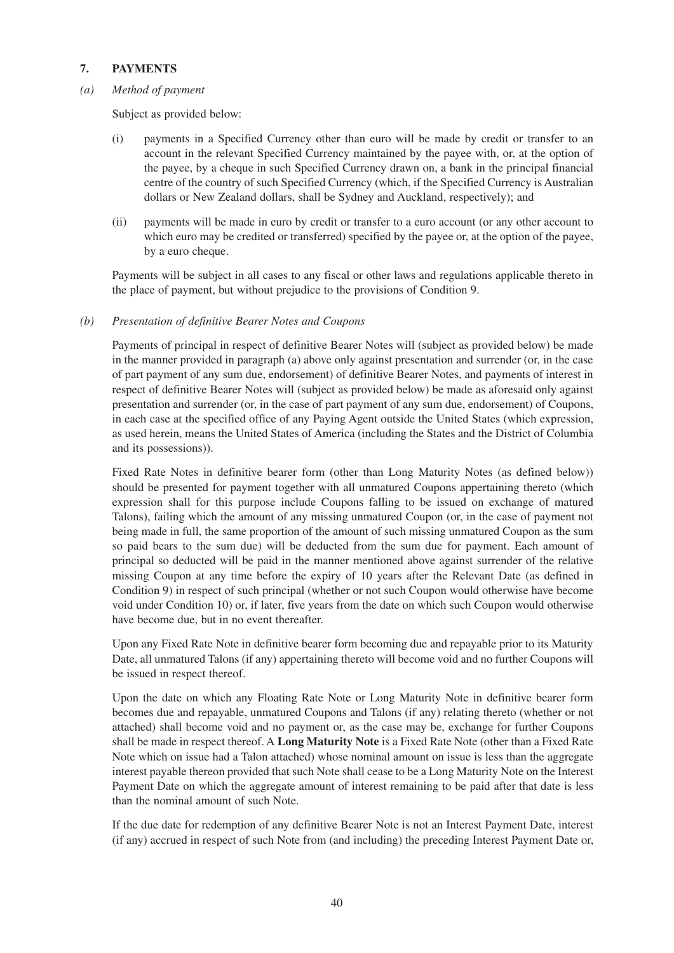# **7. PAYMENTS**

### *(a) Method of payment*

Subject as provided below:

- (i) payments in a Specified Currency other than euro will be made by credit or transfer to an account in the relevant Specified Currency maintained by the payee with, or, at the option of the payee, by a cheque in such Specified Currency drawn on, a bank in the principal financial centre of the country of such Specified Currency (which, if the Specified Currency is Australian dollars or New Zealand dollars, shall be Sydney and Auckland, respectively); and
- (ii) payments will be made in euro by credit or transfer to a euro account (or any other account to which euro may be credited or transferred) specified by the payee or, at the option of the payee, by a euro cheque.

Payments will be subject in all cases to any fiscal or other laws and regulations applicable thereto in the place of payment, but without prejudice to the provisions of Condition 9.

### *(b) Presentation of definitive Bearer Notes and Coupons*

Payments of principal in respect of definitive Bearer Notes will (subject as provided below) be made in the manner provided in paragraph (a) above only against presentation and surrender (or, in the case of part payment of any sum due, endorsement) of definitive Bearer Notes, and payments of interest in respect of definitive Bearer Notes will (subject as provided below) be made as aforesaid only against presentation and surrender (or, in the case of part payment of any sum due, endorsement) of Coupons, in each case at the specified office of any Paying Agent outside the United States (which expression, as used herein, means the United States of America (including the States and the District of Columbia and its possessions)).

Fixed Rate Notes in definitive bearer form (other than Long Maturity Notes (as defined below)) should be presented for payment together with all unmatured Coupons appertaining thereto (which expression shall for this purpose include Coupons falling to be issued on exchange of matured Talons), failing which the amount of any missing unmatured Coupon (or, in the case of payment not being made in full, the same proportion of the amount of such missing unmatured Coupon as the sum so paid bears to the sum due) will be deducted from the sum due for payment. Each amount of principal so deducted will be paid in the manner mentioned above against surrender of the relative missing Coupon at any time before the expiry of 10 years after the Relevant Date (as defined in Condition 9) in respect of such principal (whether or not such Coupon would otherwise have become void under Condition 10) or, if later, five years from the date on which such Coupon would otherwise have become due, but in no event thereafter.

Upon any Fixed Rate Note in definitive bearer form becoming due and repayable prior to its Maturity Date, all unmatured Talons (if any) appertaining thereto will become void and no further Coupons will be issued in respect thereof.

Upon the date on which any Floating Rate Note or Long Maturity Note in definitive bearer form becomes due and repayable, unmatured Coupons and Talons (if any) relating thereto (whether or not attached) shall become void and no payment or, as the case may be, exchange for further Coupons shall be made in respect thereof. A **Long Maturity Note** is a Fixed Rate Note (other than a Fixed Rate Note which on issue had a Talon attached) whose nominal amount on issue is less than the aggregate interest payable thereon provided that such Note shall cease to be a Long Maturity Note on the Interest Payment Date on which the aggregate amount of interest remaining to be paid after that date is less than the nominal amount of such Note.

If the due date for redemption of any definitive Bearer Note is not an Interest Payment Date, interest (if any) accrued in respect of such Note from (and including) the preceding Interest Payment Date or,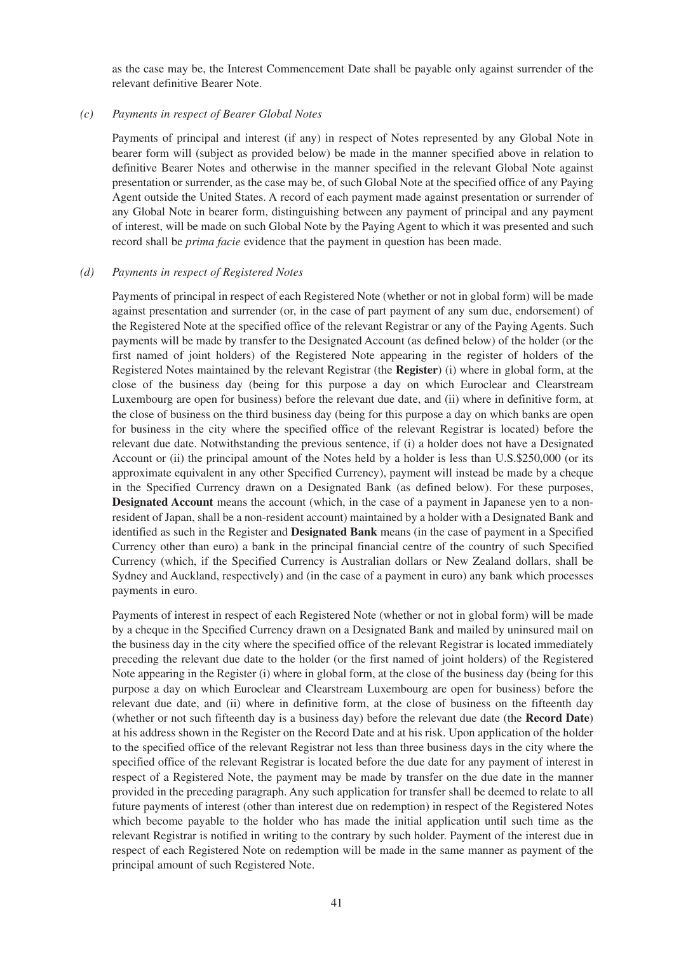as the case may be, the Interest Commencement Date shall be payable only against surrender of the relevant definitive Bearer Note.

#### *(c) Payments in respect of Bearer Global Notes*

Payments of principal and interest (if any) in respect of Notes represented by any Global Note in bearer form will (subject as provided below) be made in the manner specified above in relation to definitive Bearer Notes and otherwise in the manner specified in the relevant Global Note against presentation or surrender, as the case may be, of such Global Note at the specified office of any Paying Agent outside the United States. A record of each payment made against presentation or surrender of any Global Note in bearer form, distinguishing between any payment of principal and any payment of interest, will be made on such Global Note by the Paying Agent to which it was presented and such record shall be *prima facie* evidence that the payment in question has been made.

#### *(d) Payments in respect of Registered Notes*

Payments of principal in respect of each Registered Note (whether or not in global form) will be made against presentation and surrender (or, in the case of part payment of any sum due, endorsement) of the Registered Note at the specified office of the relevant Registrar or any of the Paying Agents. Such payments will be made by transfer to the Designated Account (as defined below) of the holder (or the first named of joint holders) of the Registered Note appearing in the register of holders of the Registered Notes maintained by the relevant Registrar (the **Register**) (i) where in global form, at the close of the business day (being for this purpose a day on which Euroclear and Clearstream Luxembourg are open for business) before the relevant due date, and (ii) where in definitive form, at the close of business on the third business day (being for this purpose a day on which banks are open for business in the city where the specified office of the relevant Registrar is located) before the relevant due date. Notwithstanding the previous sentence, if (i) a holder does not have a Designated Account or (ii) the principal amount of the Notes held by a holder is less than U.S.\$250,000 (or its approximate equivalent in any other Specified Currency), payment will instead be made by a cheque in the Specified Currency drawn on a Designated Bank (as defined below). For these purposes, **Designated Account** means the account (which, in the case of a payment in Japanese yen to a nonresident of Japan, shall be a non-resident account) maintained by a holder with a Designated Bank and identified as such in the Register and **Designated Bank** means (in the case of payment in a Specified Currency other than euro) a bank in the principal financial centre of the country of such Specified Currency (which, if the Specified Currency is Australian dollars or New Zealand dollars, shall be Sydney and Auckland, respectively) and (in the case of a payment in euro) any bank which processes payments in euro.

Payments of interest in respect of each Registered Note (whether or not in global form) will be made by a cheque in the Specified Currency drawn on a Designated Bank and mailed by uninsured mail on the business day in the city where the specified office of the relevant Registrar is located immediately preceding the relevant due date to the holder (or the first named of joint holders) of the Registered Note appearing in the Register (i) where in global form, at the close of the business day (being for this purpose a day on which Euroclear and Clearstream Luxembourg are open for business) before the relevant due date, and (ii) where in definitive form, at the close of business on the fifteenth day (whether or not such fifteenth day is a business day) before the relevant due date (the **Record Date**) at his address shown in the Register on the Record Date and at his risk. Upon application of the holder to the specified office of the relevant Registrar not less than three business days in the city where the specified office of the relevant Registrar is located before the due date for any payment of interest in respect of a Registered Note, the payment may be made by transfer on the due date in the manner provided in the preceding paragraph. Any such application for transfer shall be deemed to relate to all future payments of interest (other than interest due on redemption) in respect of the Registered Notes which become payable to the holder who has made the initial application until such time as the relevant Registrar is notified in writing to the contrary by such holder. Payment of the interest due in respect of each Registered Note on redemption will be made in the same manner as payment of the principal amount of such Registered Note.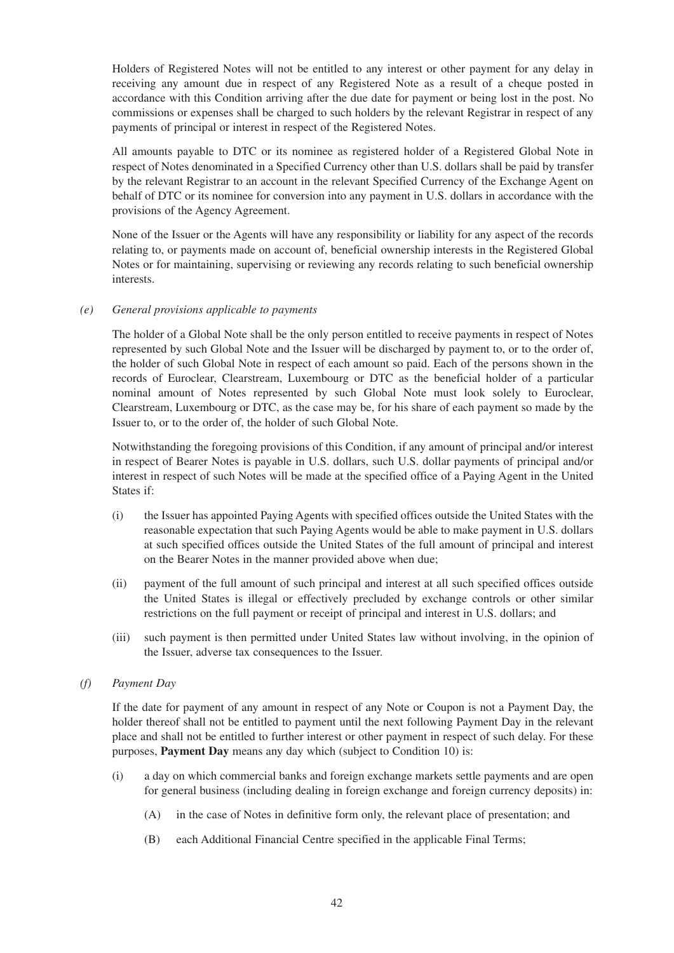Holders of Registered Notes will not be entitled to any interest or other payment for any delay in receiving any amount due in respect of any Registered Note as a result of a cheque posted in accordance with this Condition arriving after the due date for payment or being lost in the post. No commissions or expenses shall be charged to such holders by the relevant Registrar in respect of any payments of principal or interest in respect of the Registered Notes.

All amounts payable to DTC or its nominee as registered holder of a Registered Global Note in respect of Notes denominated in a Specified Currency other than U.S. dollars shall be paid by transfer by the relevant Registrar to an account in the relevant Specified Currency of the Exchange Agent on behalf of DTC or its nominee for conversion into any payment in U.S. dollars in accordance with the provisions of the Agency Agreement.

None of the Issuer or the Agents will have any responsibility or liability for any aspect of the records relating to, or payments made on account of, beneficial ownership interests in the Registered Global Notes or for maintaining, supervising or reviewing any records relating to such beneficial ownership interests.

### *(e) General provisions applicable to payments*

The holder of a Global Note shall be the only person entitled to receive payments in respect of Notes represented by such Global Note and the Issuer will be discharged by payment to, or to the order of, the holder of such Global Note in respect of each amount so paid. Each of the persons shown in the records of Euroclear, Clearstream, Luxembourg or DTC as the beneficial holder of a particular nominal amount of Notes represented by such Global Note must look solely to Euroclear, Clearstream, Luxembourg or DTC, as the case may be, for his share of each payment so made by the Issuer to, or to the order of, the holder of such Global Note.

Notwithstanding the foregoing provisions of this Condition, if any amount of principal and/or interest in respect of Bearer Notes is payable in U.S. dollars, such U.S. dollar payments of principal and/or interest in respect of such Notes will be made at the specified office of a Paying Agent in the United States if:

- (i) the Issuer has appointed Paying Agents with specified offices outside the United States with the reasonable expectation that such Paying Agents would be able to make payment in U.S. dollars at such specified offices outside the United States of the full amount of principal and interest on the Bearer Notes in the manner provided above when due;
- (ii) payment of the full amount of such principal and interest at all such specified offices outside the United States is illegal or effectively precluded by exchange controls or other similar restrictions on the full payment or receipt of principal and interest in U.S. dollars; and
- (iii) such payment is then permitted under United States law without involving, in the opinion of the Issuer, adverse tax consequences to the Issuer.

### *(f) Payment Day*

If the date for payment of any amount in respect of any Note or Coupon is not a Payment Day, the holder thereof shall not be entitled to payment until the next following Payment Day in the relevant place and shall not be entitled to further interest or other payment in respect of such delay. For these purposes, **Payment Day** means any day which (subject to Condition 10) is:

- (i) a day on which commercial banks and foreign exchange markets settle payments and are open for general business (including dealing in foreign exchange and foreign currency deposits) in:
	- (A) in the case of Notes in definitive form only, the relevant place of presentation; and
	- (B) each Additional Financial Centre specified in the applicable Final Terms;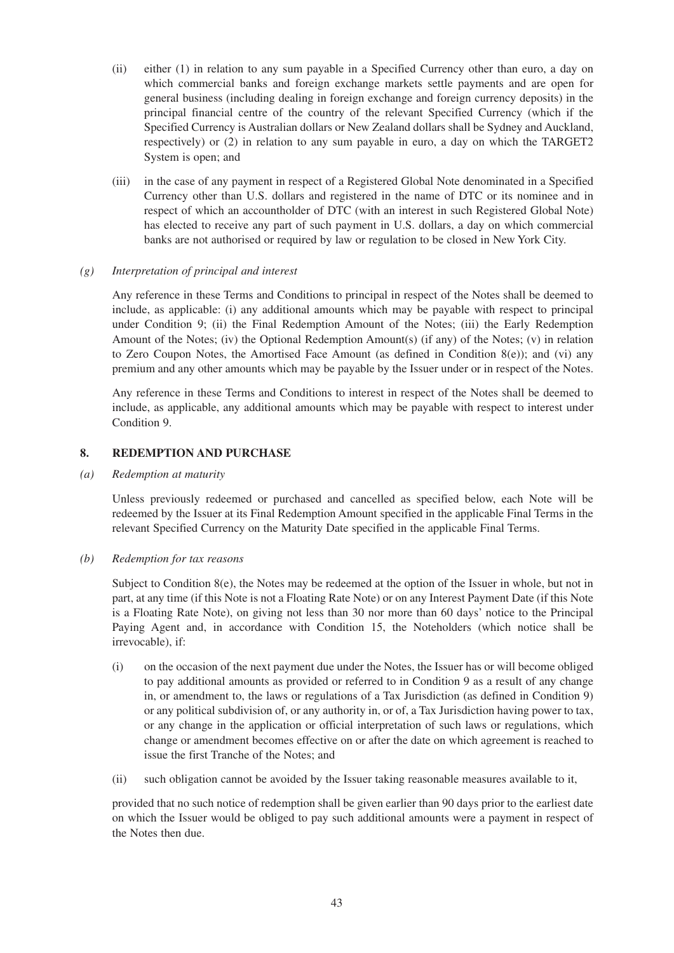- (ii) either (1) in relation to any sum payable in a Specified Currency other than euro, a day on which commercial banks and foreign exchange markets settle payments and are open for general business (including dealing in foreign exchange and foreign currency deposits) in the principal financial centre of the country of the relevant Specified Currency (which if the Specified Currency is Australian dollars or New Zealand dollars shall be Sydney and Auckland, respectively) or (2) in relation to any sum payable in euro, a day on which the TARGET2 System is open; and
- (iii) in the case of any payment in respect of a Registered Global Note denominated in a Specified Currency other than U.S. dollars and registered in the name of DTC or its nominee and in respect of which an accountholder of DTC (with an interest in such Registered Global Note) has elected to receive any part of such payment in U.S. dollars, a day on which commercial banks are not authorised or required by law or regulation to be closed in New York City.

#### *(g) Interpretation of principal and interest*

Any reference in these Terms and Conditions to principal in respect of the Notes shall be deemed to include, as applicable: (i) any additional amounts which may be payable with respect to principal under Condition 9; (ii) the Final Redemption Amount of the Notes; (iii) the Early Redemption Amount of the Notes; (iv) the Optional Redemption Amount(s) (if any) of the Notes; (v) in relation to Zero Coupon Notes, the Amortised Face Amount (as defined in Condition 8(e)); and (vi) any premium and any other amounts which may be payable by the Issuer under or in respect of the Notes.

Any reference in these Terms and Conditions to interest in respect of the Notes shall be deemed to include, as applicable, any additional amounts which may be payable with respect to interest under Condition 9.

### **8. REDEMPTION AND PURCHASE**

*(a) Redemption at maturity* 

Unless previously redeemed or purchased and cancelled as specified below, each Note will be redeemed by the Issuer at its Final Redemption Amount specified in the applicable Final Terms in the relevant Specified Currency on the Maturity Date specified in the applicable Final Terms.

#### *(b) Redemption for tax reasons*

Subject to Condition  $8(e)$ , the Notes may be redeemed at the option of the Issuer in whole, but not in part, at any time (if this Note is not a Floating Rate Note) or on any Interest Payment Date (if this Note is a Floating Rate Note), on giving not less than 30 nor more than 60 days' notice to the Principal Paying Agent and, in accordance with Condition 15, the Noteholders (which notice shall be irrevocable), if:

- (i) on the occasion of the next payment due under the Notes, the Issuer has or will become obliged to pay additional amounts as provided or referred to in Condition 9 as a result of any change in, or amendment to, the laws or regulations of a Tax Jurisdiction (as defined in Condition 9) or any political subdivision of, or any authority in, or of, a Tax Jurisdiction having power to tax, or any change in the application or official interpretation of such laws or regulations, which change or amendment becomes effective on or after the date on which agreement is reached to issue the first Tranche of the Notes; and
- (ii) such obligation cannot be avoided by the Issuer taking reasonable measures available to it,

provided that no such notice of redemption shall be given earlier than 90 days prior to the earliest date on which the Issuer would be obliged to pay such additional amounts were a payment in respect of the Notes then due.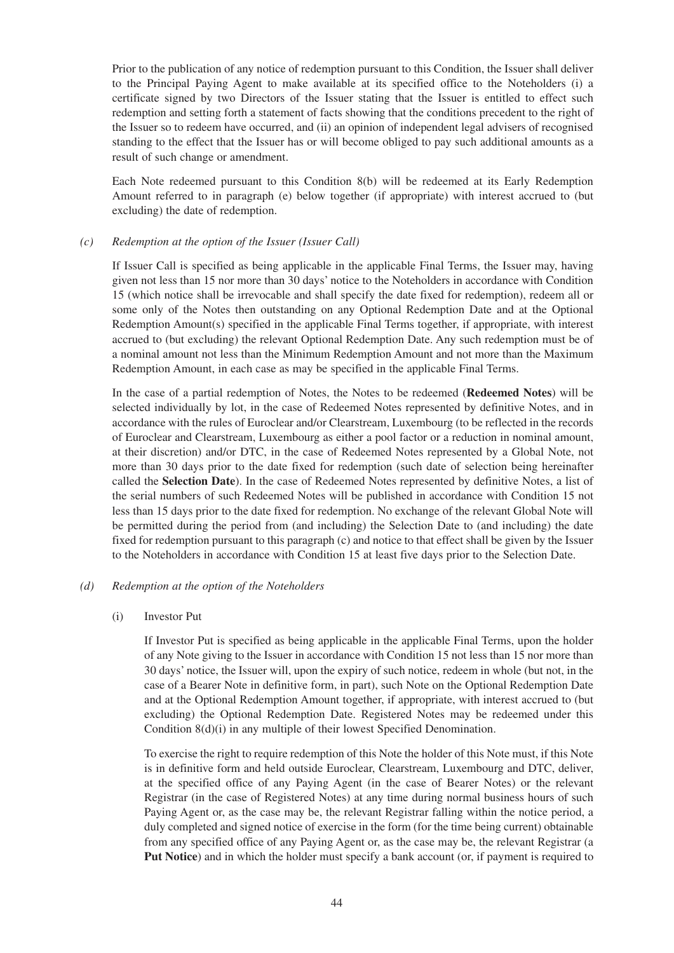Prior to the publication of any notice of redemption pursuant to this Condition, the Issuer shall deliver to the Principal Paying Agent to make available at its specified office to the Noteholders (i) a certificate signed by two Directors of the Issuer stating that the Issuer is entitled to effect such redemption and setting forth a statement of facts showing that the conditions precedent to the right of the Issuer so to redeem have occurred, and (ii) an opinion of independent legal advisers of recognised standing to the effect that the Issuer has or will become obliged to pay such additional amounts as a result of such change or amendment.

Each Note redeemed pursuant to this Condition 8(b) will be redeemed at its Early Redemption Amount referred to in paragraph (e) below together (if appropriate) with interest accrued to (but excluding) the date of redemption.

#### *(c) Redemption at the option of the Issuer (Issuer Call)*

If Issuer Call is specified as being applicable in the applicable Final Terms, the Issuer may, having given not less than 15 nor more than 30 days' notice to the Noteholders in accordance with Condition 15 (which notice shall be irrevocable and shall specify the date fixed for redemption), redeem all or some only of the Notes then outstanding on any Optional Redemption Date and at the Optional Redemption Amount(s) specified in the applicable Final Terms together, if appropriate, with interest accrued to (but excluding) the relevant Optional Redemption Date. Any such redemption must be of a nominal amount not less than the Minimum Redemption Amount and not more than the Maximum Redemption Amount, in each case as may be specified in the applicable Final Terms.

In the case of a partial redemption of Notes, the Notes to be redeemed (**Redeemed Notes**) will be selected individually by lot, in the case of Redeemed Notes represented by definitive Notes, and in accordance with the rules of Euroclear and/or Clearstream, Luxembourg (to be reflected in the records of Euroclear and Clearstream, Luxembourg as either a pool factor or a reduction in nominal amount, at their discretion) and/or DTC, in the case of Redeemed Notes represented by a Global Note, not more than 30 days prior to the date fixed for redemption (such date of selection being hereinafter called the **Selection Date**). In the case of Redeemed Notes represented by definitive Notes, a list of the serial numbers of such Redeemed Notes will be published in accordance with Condition 15 not less than 15 days prior to the date fixed for redemption. No exchange of the relevant Global Note will be permitted during the period from (and including) the Selection Date to (and including) the date fixed for redemption pursuant to this paragraph (c) and notice to that effect shall be given by the Issuer to the Noteholders in accordance with Condition 15 at least five days prior to the Selection Date.

#### *(d) Redemption at the option of the Noteholders*

#### (i) Investor Put

If Investor Put is specified as being applicable in the applicable Final Terms, upon the holder of any Note giving to the Issuer in accordance with Condition 15 not less than 15 nor more than 30 days' notice, the Issuer will, upon the expiry of such notice, redeem in whole (but not, in the case of a Bearer Note in definitive form, in part), such Note on the Optional Redemption Date and at the Optional Redemption Amount together, if appropriate, with interest accrued to (but excluding) the Optional Redemption Date. Registered Notes may be redeemed under this Condition 8(d)(i) in any multiple of their lowest Specified Denomination.

To exercise the right to require redemption of this Note the holder of this Note must, if this Note is in definitive form and held outside Euroclear, Clearstream, Luxembourg and DTC, deliver, at the specified office of any Paying Agent (in the case of Bearer Notes) or the relevant Registrar (in the case of Registered Notes) at any time during normal business hours of such Paying Agent or, as the case may be, the relevant Registrar falling within the notice period, a duly completed and signed notice of exercise in the form (for the time being current) obtainable from any specified office of any Paying Agent or, as the case may be, the relevant Registrar (a **Put Notice**) and in which the holder must specify a bank account (or, if payment is required to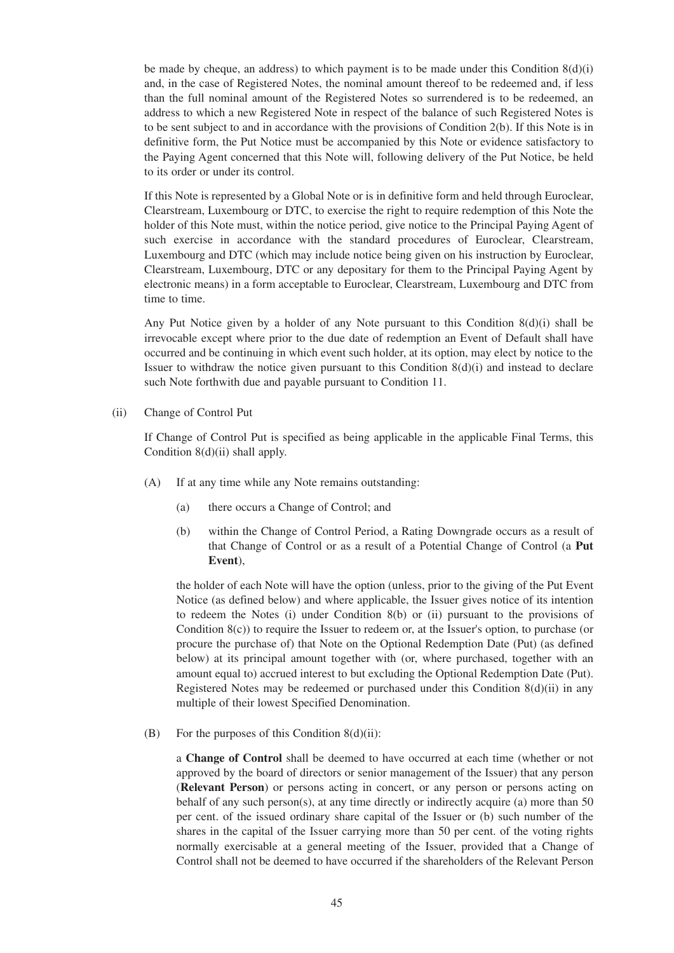be made by cheque, an address) to which payment is to be made under this Condition  $8(d)(i)$ and, in the case of Registered Notes, the nominal amount thereof to be redeemed and, if less than the full nominal amount of the Registered Notes so surrendered is to be redeemed, an address to which a new Registered Note in respect of the balance of such Registered Notes is to be sent subject to and in accordance with the provisions of Condition 2(b). If this Note is in definitive form, the Put Notice must be accompanied by this Note or evidence satisfactory to the Paying Agent concerned that this Note will, following delivery of the Put Notice, be held to its order or under its control.

If this Note is represented by a Global Note or is in definitive form and held through Euroclear, Clearstream, Luxembourg or DTC, to exercise the right to require redemption of this Note the holder of this Note must, within the notice period, give notice to the Principal Paying Agent of such exercise in accordance with the standard procedures of Euroclear, Clearstream, Luxembourg and DTC (which may include notice being given on his instruction by Euroclear, Clearstream, Luxembourg, DTC or any depositary for them to the Principal Paying Agent by electronic means) in a form acceptable to Euroclear, Clearstream, Luxembourg and DTC from time to time.

Any Put Notice given by a holder of any Note pursuant to this Condition 8(d)(i) shall be irrevocable except where prior to the due date of redemption an Event of Default shall have occurred and be continuing in which event such holder, at its option, may elect by notice to the Issuer to withdraw the notice given pursuant to this Condition  $8(d)(i)$  and instead to declare such Note forthwith due and payable pursuant to Condition 11.

(ii) Change of Control Put

If Change of Control Put is specified as being applicable in the applicable Final Terms, this Condition 8(d)(ii) shall apply.

- (A) If at any time while any Note remains outstanding:
	- (a) there occurs a Change of Control; and
	- (b) within the Change of Control Period, a Rating Downgrade occurs as a result of that Change of Control or as a result of a Potential Change of Control (a **Put Event**),

the holder of each Note will have the option (unless, prior to the giving of the Put Event Notice (as defined below) and where applicable, the Issuer gives notice of its intention to redeem the Notes (i) under Condition 8(b) or (ii) pursuant to the provisions of Condition  $8(c)$ ) to require the Issuer to redeem or, at the Issuer's option, to purchase (or procure the purchase of) that Note on the Optional Redemption Date (Put) (as defined below) at its principal amount together with (or, where purchased, together with an amount equal to) accrued interest to but excluding the Optional Redemption Date (Put). Registered Notes may be redeemed or purchased under this Condition  $8(d)(ii)$  in any multiple of their lowest Specified Denomination.

(B) For the purposes of this Condition  $8(d)(ii)$ :

a **Change of Control** shall be deemed to have occurred at each time (whether or not approved by the board of directors or senior management of the Issuer) that any person (**Relevant Person**) or persons acting in concert, or any person or persons acting on behalf of any such person(s), at any time directly or indirectly acquire (a) more than 50 per cent. of the issued ordinary share capital of the Issuer or (b) such number of the shares in the capital of the Issuer carrying more than 50 per cent. of the voting rights normally exercisable at a general meeting of the Issuer, provided that a Change of Control shall not be deemed to have occurred if the shareholders of the Relevant Person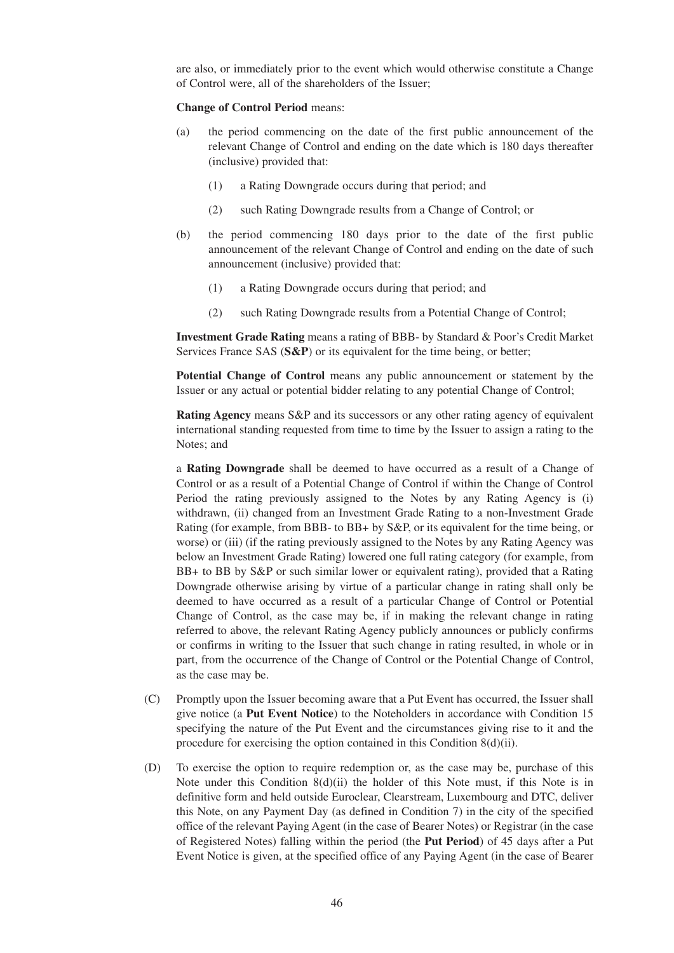are also, or immediately prior to the event which would otherwise constitute a Change of Control were, all of the shareholders of the Issuer;

#### **Change of Control Period** means:

- (a) the period commencing on the date of the first public announcement of the relevant Change of Control and ending on the date which is 180 days thereafter (inclusive) provided that:
	- (1) a Rating Downgrade occurs during that period; and
	- (2) such Rating Downgrade results from a Change of Control; or
- (b) the period commencing 180 days prior to the date of the first public announcement of the relevant Change of Control and ending on the date of such announcement (inclusive) provided that:
	- (1) a Rating Downgrade occurs during that period; and
	- (2) such Rating Downgrade results from a Potential Change of Control;

**Investment Grade Rating** means a rating of BBB- by Standard & Poor's Credit Market Services France SAS (**S&P**) or its equivalent for the time being, or better;

**Potential Change of Control** means any public announcement or statement by the Issuer or any actual or potential bidder relating to any potential Change of Control;

**Rating Agency** means S&P and its successors or any other rating agency of equivalent international standing requested from time to time by the Issuer to assign a rating to the Notes; and

a **Rating Downgrade** shall be deemed to have occurred as a result of a Change of Control or as a result of a Potential Change of Control if within the Change of Control Period the rating previously assigned to the Notes by any Rating Agency is (i) withdrawn, (ii) changed from an Investment Grade Rating to a non-Investment Grade Rating (for example, from BBB- to BB+ by S&P, or its equivalent for the time being, or worse) or (iii) (if the rating previously assigned to the Notes by any Rating Agency was below an Investment Grade Rating) lowered one full rating category (for example, from BB+ to BB by S&P or such similar lower or equivalent rating), provided that a Rating Downgrade otherwise arising by virtue of a particular change in rating shall only be deemed to have occurred as a result of a particular Change of Control or Potential Change of Control, as the case may be, if in making the relevant change in rating referred to above, the relevant Rating Agency publicly announces or publicly confirms or confirms in writing to the Issuer that such change in rating resulted, in whole or in part, from the occurrence of the Change of Control or the Potential Change of Control, as the case may be.

- (C) Promptly upon the Issuer becoming aware that a Put Event has occurred, the Issuer shall give notice (a **Put Event Notice**) to the Noteholders in accordance with Condition 15 specifying the nature of the Put Event and the circumstances giving rise to it and the procedure for exercising the option contained in this Condition 8(d)(ii).
- (D) To exercise the option to require redemption or, as the case may be, purchase of this Note under this Condition 8(d)(ii) the holder of this Note must, if this Note is in definitive form and held outside Euroclear, Clearstream, Luxembourg and DTC, deliver this Note, on any Payment Day (as defined in Condition 7) in the city of the specified office of the relevant Paying Agent (in the case of Bearer Notes) or Registrar (in the case of Registered Notes) falling within the period (the **Put Period**) of 45 days after a Put Event Notice is given, at the specified office of any Paying Agent (in the case of Bearer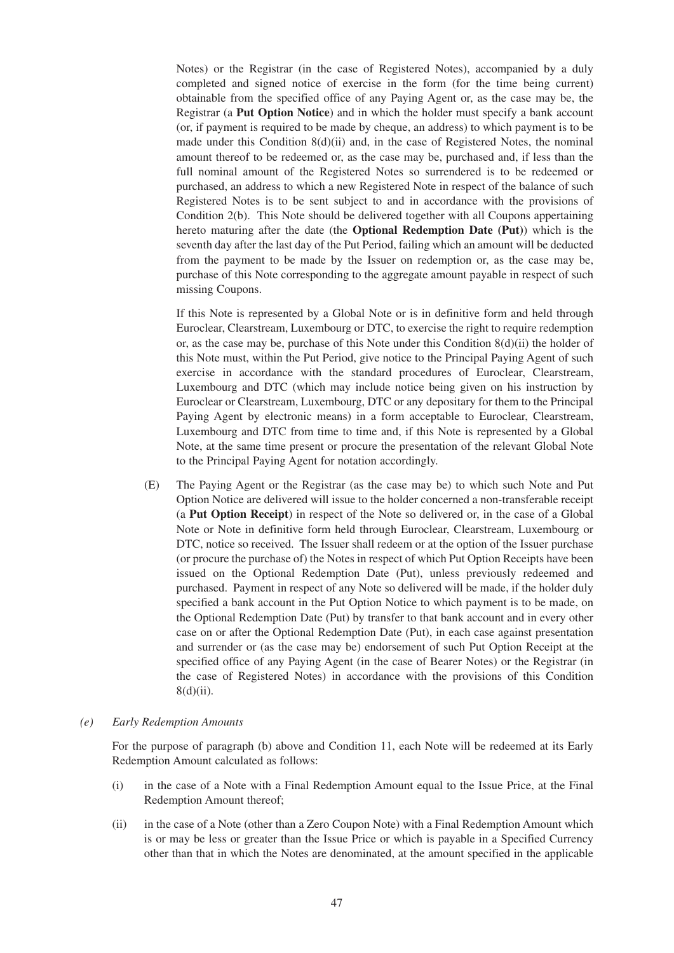Notes) or the Registrar (in the case of Registered Notes), accompanied by a duly completed and signed notice of exercise in the form (for the time being current) obtainable from the specified office of any Paying Agent or, as the case may be, the Registrar (a **Put Option Notice**) and in which the holder must specify a bank account (or, if payment is required to be made by cheque, an address) to which payment is to be made under this Condition 8(d)(ii) and, in the case of Registered Notes, the nominal amount thereof to be redeemed or, as the case may be, purchased and, if less than the full nominal amount of the Registered Notes so surrendered is to be redeemed or purchased, an address to which a new Registered Note in respect of the balance of such Registered Notes is to be sent subject to and in accordance with the provisions of Condition 2(b). This Note should be delivered together with all Coupons appertaining hereto maturing after the date (the **Optional Redemption Date (Put)**) which is the seventh day after the last day of the Put Period, failing which an amount will be deducted from the payment to be made by the Issuer on redemption or, as the case may be, purchase of this Note corresponding to the aggregate amount payable in respect of such missing Coupons.

If this Note is represented by a Global Note or is in definitive form and held through Euroclear, Clearstream, Luxembourg or DTC, to exercise the right to require redemption or, as the case may be, purchase of this Note under this Condition 8(d)(ii) the holder of this Note must, within the Put Period, give notice to the Principal Paying Agent of such exercise in accordance with the standard procedures of Euroclear, Clearstream, Luxembourg and DTC (which may include notice being given on his instruction by Euroclear or Clearstream, Luxembourg, DTC or any depositary for them to the Principal Paying Agent by electronic means) in a form acceptable to Euroclear, Clearstream, Luxembourg and DTC from time to time and, if this Note is represented by a Global Note, at the same time present or procure the presentation of the relevant Global Note to the Principal Paying Agent for notation accordingly.

(E) The Paying Agent or the Registrar (as the case may be) to which such Note and Put Option Notice are delivered will issue to the holder concerned a non-transferable receipt (a **Put Option Receipt**) in respect of the Note so delivered or, in the case of a Global Note or Note in definitive form held through Euroclear, Clearstream, Luxembourg or DTC, notice so received. The Issuer shall redeem or at the option of the Issuer purchase (or procure the purchase of) the Notes in respect of which Put Option Receipts have been issued on the Optional Redemption Date (Put), unless previously redeemed and purchased. Payment in respect of any Note so delivered will be made, if the holder duly specified a bank account in the Put Option Notice to which payment is to be made, on the Optional Redemption Date (Put) by transfer to that bank account and in every other case on or after the Optional Redemption Date (Put), in each case against presentation and surrender or (as the case may be) endorsement of such Put Option Receipt at the specified office of any Paying Agent (in the case of Bearer Notes) or the Registrar (in the case of Registered Notes) in accordance with the provisions of this Condition 8(d)(ii).

#### *(e) Early Redemption Amounts*

For the purpose of paragraph (b) above and Condition 11, each Note will be redeemed at its Early Redemption Amount calculated as follows:

- (i) in the case of a Note with a Final Redemption Amount equal to the Issue Price, at the Final Redemption Amount thereof;
- (ii) in the case of a Note (other than a Zero Coupon Note) with a Final Redemption Amount which is or may be less or greater than the Issue Price or which is payable in a Specified Currency other than that in which the Notes are denominated, at the amount specified in the applicable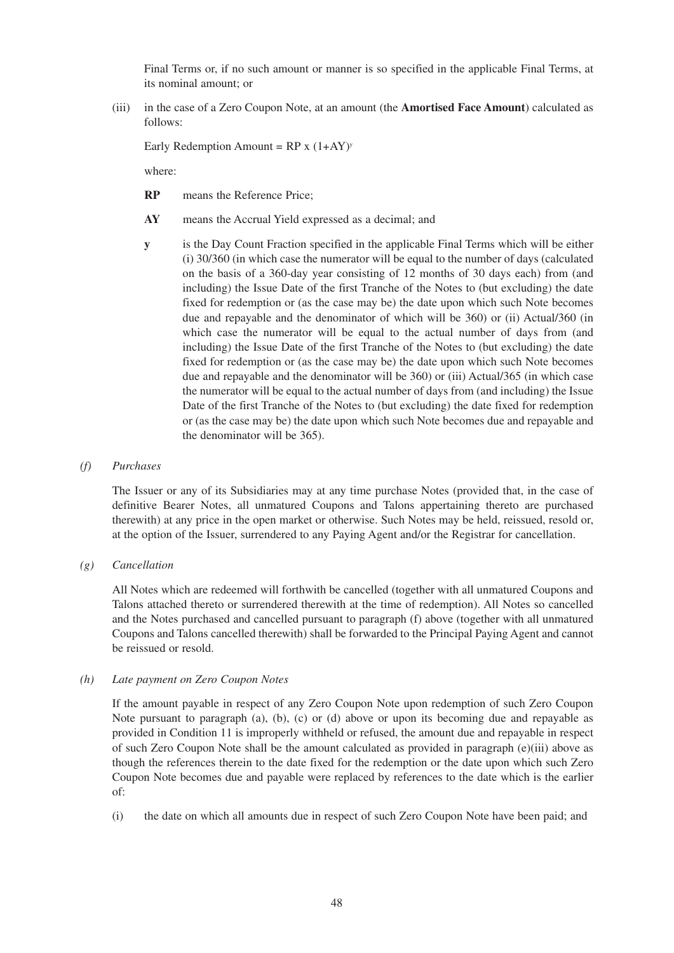Final Terms or, if no such amount or manner is so specified in the applicable Final Terms, at its nominal amount; or

(iii) in the case of a Zero Coupon Note, at an amount (the **Amortised Face Amount**) calculated as follows:

Early Redemption Amount =  $RP x (1+AY)^y$ 

where:

- **RP** means the Reference Price;
- **AY** means the Accrual Yield expressed as a decimal; and
- **y** is the Day Count Fraction specified in the applicable Final Terms which will be either (i) 30/360 (in which case the numerator will be equal to the number of days (calculated on the basis of a 360-day year consisting of 12 months of 30 days each) from (and including) the Issue Date of the first Tranche of the Notes to (but excluding) the date fixed for redemption or (as the case may be) the date upon which such Note becomes due and repayable and the denominator of which will be 360) or (ii) Actual/360 (in which case the numerator will be equal to the actual number of days from (and including) the Issue Date of the first Tranche of the Notes to (but excluding) the date fixed for redemption or (as the case may be) the date upon which such Note becomes due and repayable and the denominator will be 360) or (iii) Actual/365 (in which case the numerator will be equal to the actual number of days from (and including) the Issue Date of the first Tranche of the Notes to (but excluding) the date fixed for redemption or (as the case may be) the date upon which such Note becomes due and repayable and the denominator will be 365).

#### *(f) Purchases*

The Issuer or any of its Subsidiaries may at any time purchase Notes (provided that, in the case of definitive Bearer Notes, all unmatured Coupons and Talons appertaining thereto are purchased therewith) at any price in the open market or otherwise. Such Notes may be held, reissued, resold or, at the option of the Issuer, surrendered to any Paying Agent and/or the Registrar for cancellation.

*(g) Cancellation*

All Notes which are redeemed will forthwith be cancelled (together with all unmatured Coupons and Talons attached thereto or surrendered therewith at the time of redemption). All Notes so cancelled and the Notes purchased and cancelled pursuant to paragraph (f) above (together with all unmatured Coupons and Talons cancelled therewith) shall be forwarded to the Principal Paying Agent and cannot be reissued or resold.

#### *(h) Late payment on Zero Coupon Notes*

If the amount payable in respect of any Zero Coupon Note upon redemption of such Zero Coupon Note pursuant to paragraph (a), (b), (c) or (d) above or upon its becoming due and repayable as provided in Condition 11 is improperly withheld or refused, the amount due and repayable in respect of such Zero Coupon Note shall be the amount calculated as provided in paragraph (e)(iii) above as though the references therein to the date fixed for the redemption or the date upon which such Zero Coupon Note becomes due and payable were replaced by references to the date which is the earlier of:

(i) the date on which all amounts due in respect of such Zero Coupon Note have been paid; and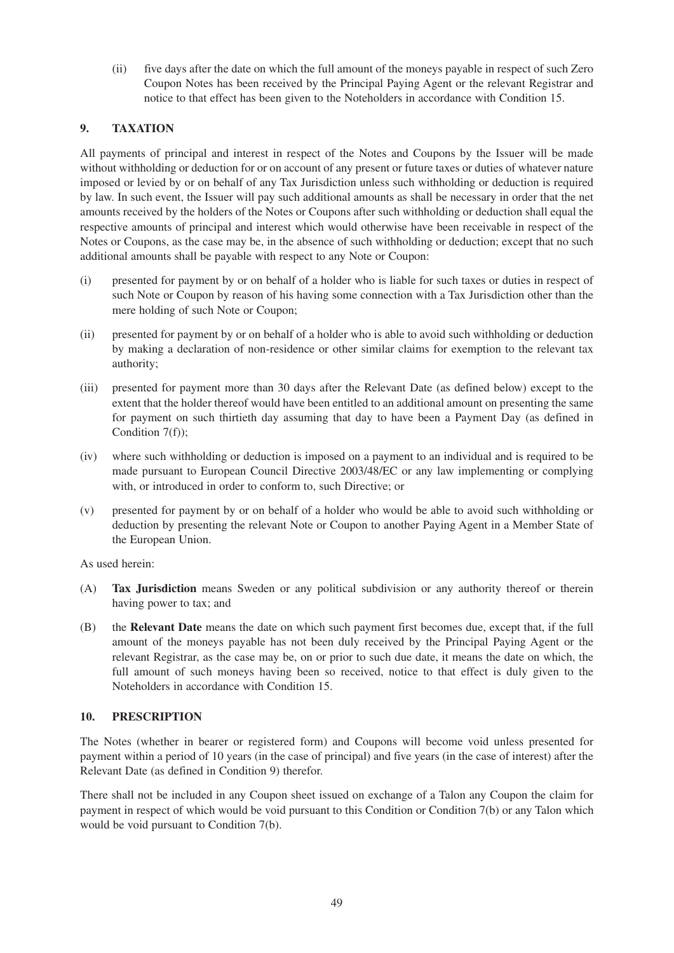(ii) five days after the date on which the full amount of the moneys payable in respect of such Zero Coupon Notes has been received by the Principal Paying Agent or the relevant Registrar and notice to that effect has been given to the Noteholders in accordance with Condition 15.

# **9. TAXATION**

All payments of principal and interest in respect of the Notes and Coupons by the Issuer will be made without withholding or deduction for or on account of any present or future taxes or duties of whatever nature imposed or levied by or on behalf of any Tax Jurisdiction unless such withholding or deduction is required by law. In such event, the Issuer will pay such additional amounts as shall be necessary in order that the net amounts received by the holders of the Notes or Coupons after such withholding or deduction shall equal the respective amounts of principal and interest which would otherwise have been receivable in respect of the Notes or Coupons, as the case may be, in the absence of such withholding or deduction; except that no such additional amounts shall be payable with respect to any Note or Coupon:

- (i) presented for payment by or on behalf of a holder who is liable for such taxes or duties in respect of such Note or Coupon by reason of his having some connection with a Tax Jurisdiction other than the mere holding of such Note or Coupon;
- (ii) presented for payment by or on behalf of a holder who is able to avoid such withholding or deduction by making a declaration of non-residence or other similar claims for exemption to the relevant tax authority;
- (iii) presented for payment more than 30 days after the Relevant Date (as defined below) except to the extent that the holder thereof would have been entitled to an additional amount on presenting the same for payment on such thirtieth day assuming that day to have been a Payment Day (as defined in Condition 7(f));
- (iv) where such withholding or deduction is imposed on a payment to an individual and is required to be made pursuant to European Council Directive 2003/48/EC or any law implementing or complying with, or introduced in order to conform to, such Directive; or
- (v) presented for payment by or on behalf of a holder who would be able to avoid such withholding or deduction by presenting the relevant Note or Coupon to another Paying Agent in a Member State of the European Union.

As used herein:

- (A) **Tax Jurisdiction** means Sweden or any political subdivision or any authority thereof or therein having power to tax; and
- (B) the **Relevant Date** means the date on which such payment first becomes due, except that, if the full amount of the moneys payable has not been duly received by the Principal Paying Agent or the relevant Registrar, as the case may be, on or prior to such due date, it means the date on which, the full amount of such moneys having been so received, notice to that effect is duly given to the Noteholders in accordance with Condition 15.

### **10. PRESCRIPTION**

The Notes (whether in bearer or registered form) and Coupons will become void unless presented for payment within a period of 10 years (in the case of principal) and five years (in the case of interest) after the Relevant Date (as defined in Condition 9) therefor.

There shall not be included in any Coupon sheet issued on exchange of a Talon any Coupon the claim for payment in respect of which would be void pursuant to this Condition or Condition 7(b) or any Talon which would be void pursuant to Condition 7(b).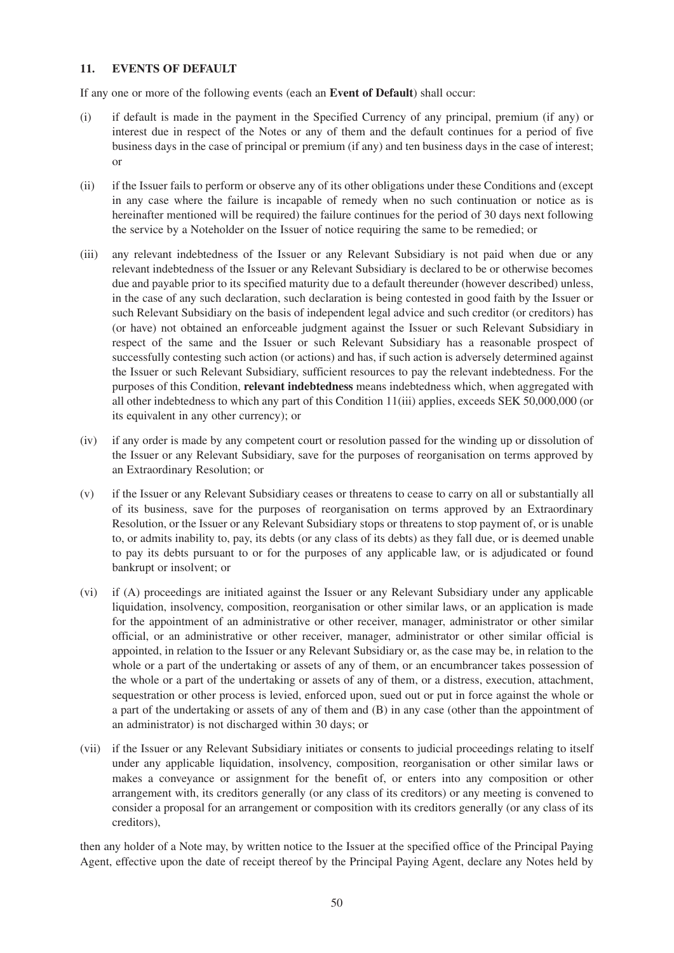#### **11. EVENTS OF DEFAULT**

If any one or more of the following events (each an **Event of Default**) shall occur:

- (i) if default is made in the payment in the Specified Currency of any principal, premium (if any) or interest due in respect of the Notes or any of them and the default continues for a period of five business days in the case of principal or premium (if any) and ten business days in the case of interest; or
- (ii) if the Issuer fails to perform or observe any of its other obligations under these Conditions and (except in any case where the failure is incapable of remedy when no such continuation or notice as is hereinafter mentioned will be required) the failure continues for the period of 30 days next following the service by a Noteholder on the Issuer of notice requiring the same to be remedied; or
- (iii) any relevant indebtedness of the Issuer or any Relevant Subsidiary is not paid when due or any relevant indebtedness of the Issuer or any Relevant Subsidiary is declared to be or otherwise becomes due and payable prior to its specified maturity due to a default thereunder (however described) unless, in the case of any such declaration, such declaration is being contested in good faith by the Issuer or such Relevant Subsidiary on the basis of independent legal advice and such creditor (or creditors) has (or have) not obtained an enforceable judgment against the Issuer or such Relevant Subsidiary in respect of the same and the Issuer or such Relevant Subsidiary has a reasonable prospect of successfully contesting such action (or actions) and has, if such action is adversely determined against the Issuer or such Relevant Subsidiary, sufficient resources to pay the relevant indebtedness. For the purposes of this Condition, **relevant indebtedness** means indebtedness which, when aggregated with all other indebtedness to which any part of this Condition 11(iii) applies, exceeds SEK 50,000,000 (or its equivalent in any other currency); or
- (iv) if any order is made by any competent court or resolution passed for the winding up or dissolution of the Issuer or any Relevant Subsidiary, save for the purposes of reorganisation on terms approved by an Extraordinary Resolution; or
- (v) if the Issuer or any Relevant Subsidiary ceases or threatens to cease to carry on all or substantially all of its business, save for the purposes of reorganisation on terms approved by an Extraordinary Resolution, or the Issuer or any Relevant Subsidiary stops or threatens to stop payment of, or is unable to, or admits inability to, pay, its debts (or any class of its debts) as they fall due, or is deemed unable to pay its debts pursuant to or for the purposes of any applicable law, or is adjudicated or found bankrupt or insolvent; or
- (vi) if (A) proceedings are initiated against the Issuer or any Relevant Subsidiary under any applicable liquidation, insolvency, composition, reorganisation or other similar laws, or an application is made for the appointment of an administrative or other receiver, manager, administrator or other similar official, or an administrative or other receiver, manager, administrator or other similar official is appointed, in relation to the Issuer or any Relevant Subsidiary or, as the case may be, in relation to the whole or a part of the undertaking or assets of any of them, or an encumbrancer takes possession of the whole or a part of the undertaking or assets of any of them, or a distress, execution, attachment, sequestration or other process is levied, enforced upon, sued out or put in force against the whole or a part of the undertaking or assets of any of them and (B) in any case (other than the appointment of an administrator) is not discharged within 30 days; or
- (vii) if the Issuer or any Relevant Subsidiary initiates or consents to judicial proceedings relating to itself under any applicable liquidation, insolvency, composition, reorganisation or other similar laws or makes a conveyance or assignment for the benefit of, or enters into any composition or other arrangement with, its creditors generally (or any class of its creditors) or any meeting is convened to consider a proposal for an arrangement or composition with its creditors generally (or any class of its creditors),

then any holder of a Note may, by written notice to the Issuer at the specified office of the Principal Paying Agent, effective upon the date of receipt thereof by the Principal Paying Agent, declare any Notes held by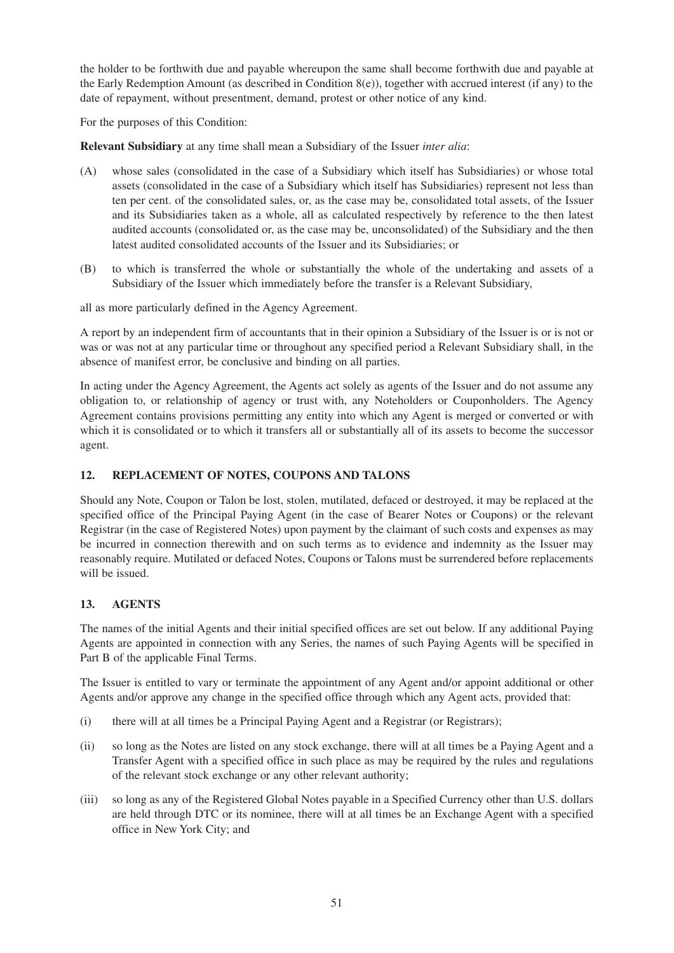the holder to be forthwith due and payable whereupon the same shall become forthwith due and payable at the Early Redemption Amount (as described in Condition  $8(e)$ ), together with accrued interest (if any) to the date of repayment, without presentment, demand, protest or other notice of any kind.

For the purposes of this Condition:

**Relevant Subsidiary** at any time shall mean a Subsidiary of the Issuer *inter alia*:

- (A) whose sales (consolidated in the case of a Subsidiary which itself has Subsidiaries) or whose total assets (consolidated in the case of a Subsidiary which itself has Subsidiaries) represent not less than ten per cent. of the consolidated sales, or, as the case may be, consolidated total assets, of the Issuer and its Subsidiaries taken as a whole, all as calculated respectively by reference to the then latest audited accounts (consolidated or, as the case may be, unconsolidated) of the Subsidiary and the then latest audited consolidated accounts of the Issuer and its Subsidiaries; or
- (B) to which is transferred the whole or substantially the whole of the undertaking and assets of a Subsidiary of the Issuer which immediately before the transfer is a Relevant Subsidiary,

all as more particularly defined in the Agency Agreement.

A report by an independent firm of accountants that in their opinion a Subsidiary of the Issuer is or is not or was or was not at any particular time or throughout any specified period a Relevant Subsidiary shall, in the absence of manifest error, be conclusive and binding on all parties.

In acting under the Agency Agreement, the Agents act solely as agents of the Issuer and do not assume any obligation to, or relationship of agency or trust with, any Noteholders or Couponholders. The Agency Agreement contains provisions permitting any entity into which any Agent is merged or converted or with which it is consolidated or to which it transfers all or substantially all of its assets to become the successor agent.

# **12. REPLACEMENT OF NOTES, COUPONS AND TALONS**

Should any Note, Coupon or Talon be lost, stolen, mutilated, defaced or destroyed, it may be replaced at the specified office of the Principal Paying Agent (in the case of Bearer Notes or Coupons) or the relevant Registrar (in the case of Registered Notes) upon payment by the claimant of such costs and expenses as may be incurred in connection therewith and on such terms as to evidence and indemnity as the Issuer may reasonably require. Mutilated or defaced Notes, Coupons or Talons must be surrendered before replacements will be issued.

# **13. AGENTS**

The names of the initial Agents and their initial specified offices are set out below. If any additional Paying Agents are appointed in connection with any Series, the names of such Paying Agents will be specified in Part B of the applicable Final Terms.

The Issuer is entitled to vary or terminate the appointment of any Agent and/or appoint additional or other Agents and/or approve any change in the specified office through which any Agent acts, provided that:

- (i) there will at all times be a Principal Paying Agent and a Registrar (or Registrars);
- (ii) so long as the Notes are listed on any stock exchange, there will at all times be a Paying Agent and a Transfer Agent with a specified office in such place as may be required by the rules and regulations of the relevant stock exchange or any other relevant authority;
- (iii) so long as any of the Registered Global Notes payable in a Specified Currency other than U.S. dollars are held through DTC or its nominee, there will at all times be an Exchange Agent with a specified office in New York City; and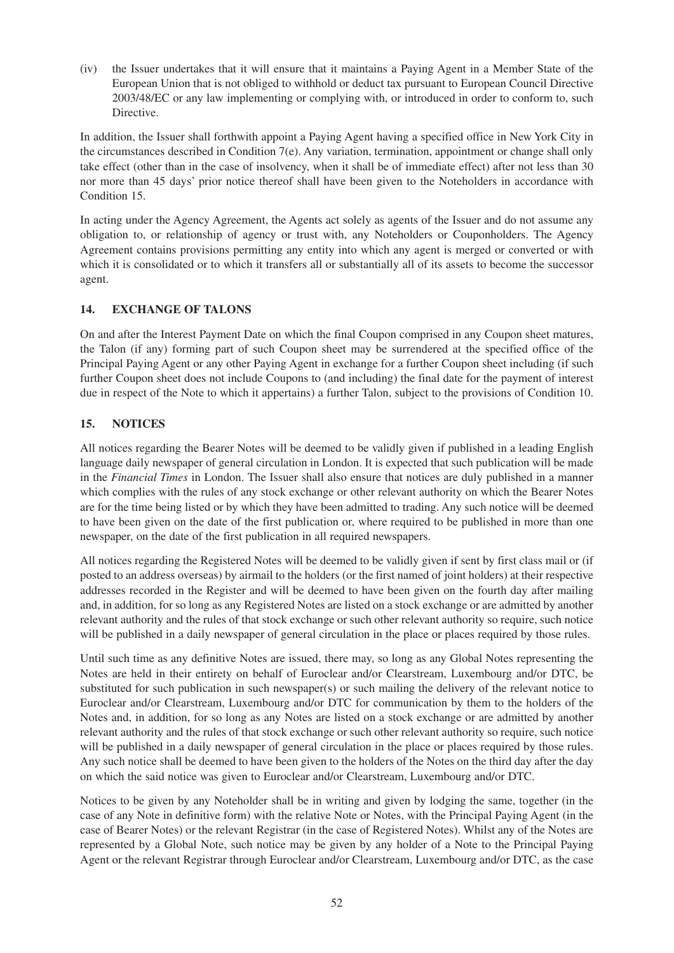(iv) the Issuer undertakes that it will ensure that it maintains a Paying Agent in a Member State of the European Union that is not obliged to withhold or deduct tax pursuant to European Council Directive 2003/48/EC or any law implementing or complying with, or introduced in order to conform to, such Directive.

In addition, the Issuer shall forthwith appoint a Paying Agent having a specified office in New York City in the circumstances described in Condition 7(e). Any variation, termination, appointment or change shall only take effect (other than in the case of insolvency, when it shall be of immediate effect) after not less than 30 nor more than 45 days' prior notice thereof shall have been given to the Noteholders in accordance with Condition 15.

In acting under the Agency Agreement, the Agents act solely as agents of the Issuer and do not assume any obligation to, or relationship of agency or trust with, any Noteholders or Couponholders. The Agency Agreement contains provisions permitting any entity into which any agent is merged or converted or with which it is consolidated or to which it transfers all or substantially all of its assets to become the successor agent.

# **14. EXCHANGE OF TALONS**

On and after the Interest Payment Date on which the final Coupon comprised in any Coupon sheet matures, the Talon (if any) forming part of such Coupon sheet may be surrendered at the specified office of the Principal Paying Agent or any other Paying Agent in exchange for a further Coupon sheet including (if such further Coupon sheet does not include Coupons to (and including) the final date for the payment of interest due in respect of the Note to which it appertains) a further Talon, subject to the provisions of Condition 10.

# **15. NOTICES**

All notices regarding the Bearer Notes will be deemed to be validly given if published in a leading English language daily newspaper of general circulation in London. It is expected that such publication will be made in the *Financial Times* in London. The Issuer shall also ensure that notices are duly published in a manner which complies with the rules of any stock exchange or other relevant authority on which the Bearer Notes are for the time being listed or by which they have been admitted to trading. Any such notice will be deemed to have been given on the date of the first publication or, where required to be published in more than one newspaper, on the date of the first publication in all required newspapers.

All notices regarding the Registered Notes will be deemed to be validly given if sent by first class mail or (if posted to an address overseas) by airmail to the holders (or the first named of joint holders) at their respective addresses recorded in the Register and will be deemed to have been given on the fourth day after mailing and, in addition, for so long as any Registered Notes are listed on a stock exchange or are admitted by another relevant authority and the rules of that stock exchange or such other relevant authority so require, such notice will be published in a daily newspaper of general circulation in the place or places required by those rules.

Until such time as any definitive Notes are issued, there may, so long as any Global Notes representing the Notes are held in their entirety on behalf of Euroclear and/or Clearstream, Luxembourg and/or DTC, be substituted for such publication in such newspaper(s) or such mailing the delivery of the relevant notice to Euroclear and/or Clearstream, Luxembourg and/or DTC for communication by them to the holders of the Notes and, in addition, for so long as any Notes are listed on a stock exchange or are admitted by another relevant authority and the rules of that stock exchange or such other relevant authority so require, such notice will be published in a daily newspaper of general circulation in the place or places required by those rules. Any such notice shall be deemed to have been given to the holders of the Notes on the third day after the day on which the said notice was given to Euroclear and/or Clearstream, Luxembourg and/or DTC.

Notices to be given by any Noteholder shall be in writing and given by lodging the same, together (in the case of any Note in definitive form) with the relative Note or Notes, with the Principal Paying Agent (in the case of Bearer Notes) or the relevant Registrar (in the case of Registered Notes). Whilst any of the Notes are represented by a Global Note, such notice may be given by any holder of a Note to the Principal Paying Agent or the relevant Registrar through Euroclear and/or Clearstream, Luxembourg and/or DTC, as the case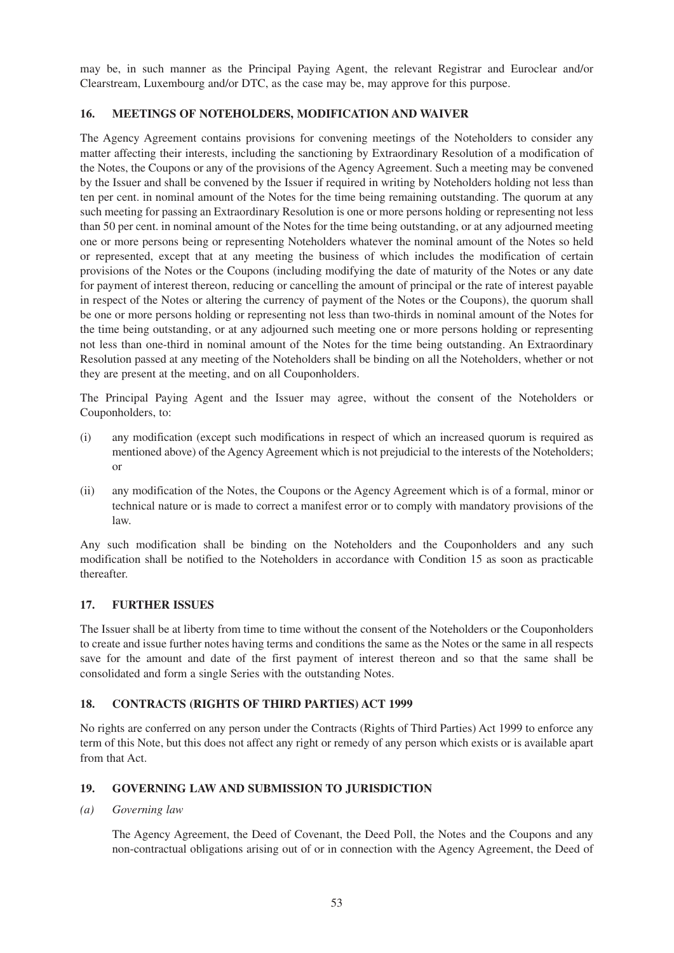may be, in such manner as the Principal Paying Agent, the relevant Registrar and Euroclear and/or Clearstream, Luxembourg and/or DTC, as the case may be, may approve for this purpose.

# **16. MEETINGS OF NOTEHOLDERS, MODIFICATION AND WAIVER**

The Agency Agreement contains provisions for convening meetings of the Noteholders to consider any matter affecting their interests, including the sanctioning by Extraordinary Resolution of a modification of the Notes, the Coupons or any of the provisions of the Agency Agreement. Such a meeting may be convened by the Issuer and shall be convened by the Issuer if required in writing by Noteholders holding not less than ten per cent. in nominal amount of the Notes for the time being remaining outstanding. The quorum at any such meeting for passing an Extraordinary Resolution is one or more persons holding or representing not less than 50 per cent. in nominal amount of the Notes for the time being outstanding, or at any adjourned meeting one or more persons being or representing Noteholders whatever the nominal amount of the Notes so held or represented, except that at any meeting the business of which includes the modification of certain provisions of the Notes or the Coupons (including modifying the date of maturity of the Notes or any date for payment of interest thereon, reducing or cancelling the amount of principal or the rate of interest payable in respect of the Notes or altering the currency of payment of the Notes or the Coupons), the quorum shall be one or more persons holding or representing not less than two-thirds in nominal amount of the Notes for the time being outstanding, or at any adjourned such meeting one or more persons holding or representing not less than one-third in nominal amount of the Notes for the time being outstanding. An Extraordinary Resolution passed at any meeting of the Noteholders shall be binding on all the Noteholders, whether or not they are present at the meeting, and on all Couponholders.

The Principal Paying Agent and the Issuer may agree, without the consent of the Noteholders or Couponholders, to:

- (i) any modification (except such modifications in respect of which an increased quorum is required as mentioned above) of the Agency Agreement which is not prejudicial to the interests of the Noteholders; or
- (ii) any modification of the Notes, the Coupons or the Agency Agreement which is of a formal, minor or technical nature or is made to correct a manifest error or to comply with mandatory provisions of the law.

Any such modification shall be binding on the Noteholders and the Couponholders and any such modification shall be notified to the Noteholders in accordance with Condition 15 as soon as practicable thereafter.

### **17. FURTHER ISSUES**

The Issuer shall be at liberty from time to time without the consent of the Noteholders or the Couponholders to create and issue further notes having terms and conditions the same as the Notes or the same in all respects save for the amount and date of the first payment of interest thereon and so that the same shall be consolidated and form a single Series with the outstanding Notes.

### **18. CONTRACTS (RIGHTS OF THIRD PARTIES) ACT 1999**

No rights are conferred on any person under the Contracts (Rights of Third Parties) Act 1999 to enforce any term of this Note, but this does not affect any right or remedy of any person which exists or is available apart from that Act.

### **19. GOVERNING LAW AND SUBMISSION TO JURISDICTION**

*(a) Governing law* 

The Agency Agreement, the Deed of Covenant, the Deed Poll, the Notes and the Coupons and any non-contractual obligations arising out of or in connection with the Agency Agreement, the Deed of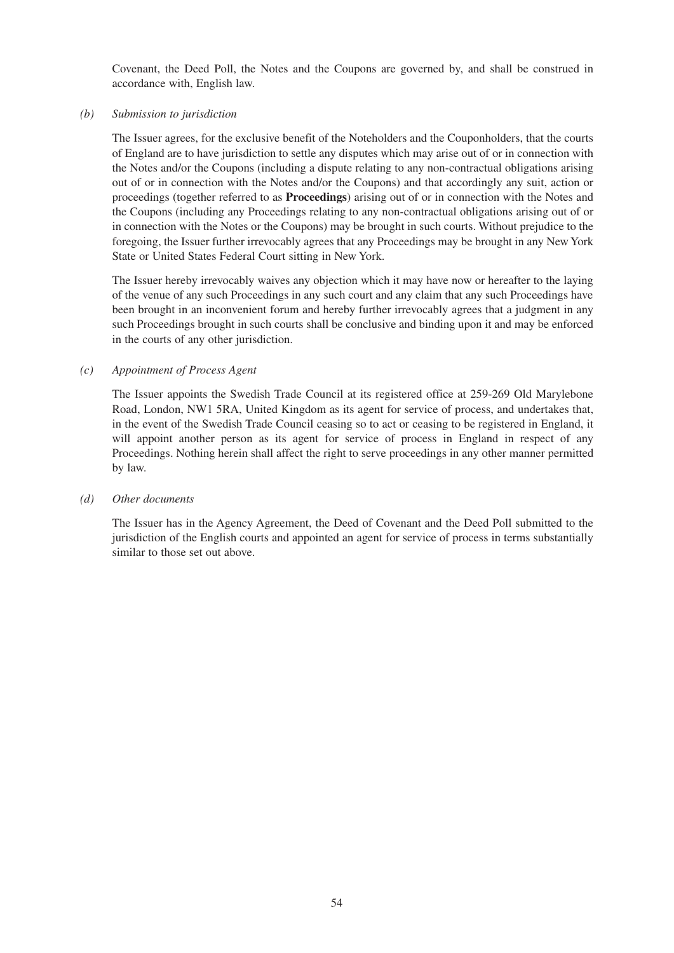Covenant, the Deed Poll, the Notes and the Coupons are governed by, and shall be construed in accordance with, English law.

#### *(b) Submission to jurisdiction*

The Issuer agrees, for the exclusive benefit of the Noteholders and the Couponholders, that the courts of England are to have jurisdiction to settle any disputes which may arise out of or in connection with the Notes and/or the Coupons (including a dispute relating to any non-contractual obligations arising out of or in connection with the Notes and/or the Coupons) and that accordingly any suit, action or proceedings (together referred to as **Proceedings**) arising out of or in connection with the Notes and the Coupons (including any Proceedings relating to any non-contractual obligations arising out of or in connection with the Notes or the Coupons) may be brought in such courts. Without prejudice to the foregoing, the Issuer further irrevocably agrees that any Proceedings may be brought in any New York State or United States Federal Court sitting in New York.

The Issuer hereby irrevocably waives any objection which it may have now or hereafter to the laying of the venue of any such Proceedings in any such court and any claim that any such Proceedings have been brought in an inconvenient forum and hereby further irrevocably agrees that a judgment in any such Proceedings brought in such courts shall be conclusive and binding upon it and may be enforced in the courts of any other jurisdiction.

### *(c) Appointment of Process Agent*

The Issuer appoints the Swedish Trade Council at its registered office at 259-269 Old Marylebone Road, London, NW1 5RA, United Kingdom as its agent for service of process, and undertakes that, in the event of the Swedish Trade Council ceasing so to act or ceasing to be registered in England, it will appoint another person as its agent for service of process in England in respect of any Proceedings. Nothing herein shall affect the right to serve proceedings in any other manner permitted by law.

#### *(d) Other documents*

The Issuer has in the Agency Agreement, the Deed of Covenant and the Deed Poll submitted to the jurisdiction of the English courts and appointed an agent for service of process in terms substantially similar to those set out above.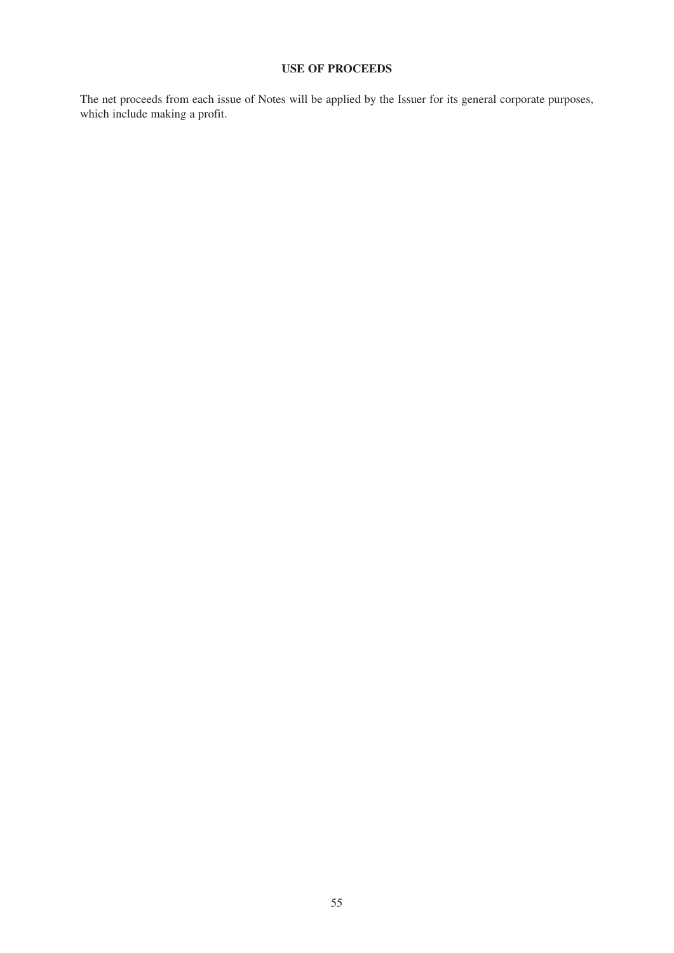# **USE OF PROCEEDS**

The net proceeds from each issue of Notes will be applied by the Issuer for its general corporate purposes, which include making a profit.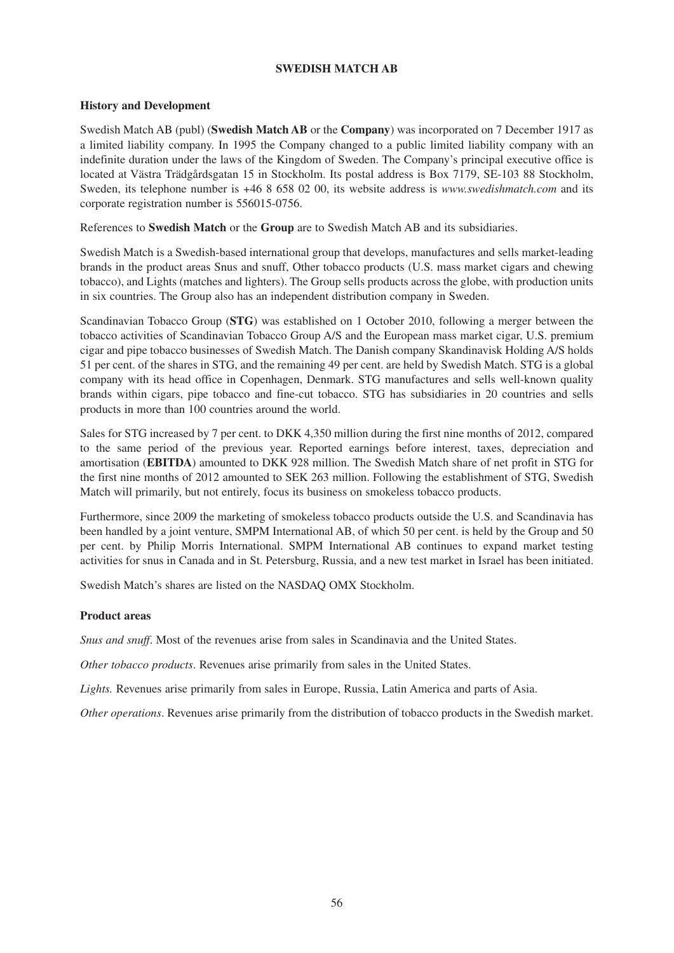## **SWEDISH MATCH AB**

# **History and Development**

Swedish Match AB (publ) (**Swedish Match AB** or the **Company**) was incorporated on 7 December 1917 as a limited liability company. In 1995 the Company changed to a public limited liability company with an indefinite duration under the laws of the Kingdom of Sweden. The Company's principal executive office is located at Västra Trädgårdsgatan 15 in Stockholm. Its postal address is Box 7179, SE-103 88 Stockholm, Sweden, its telephone number is +46 8 658 02 00, its website address is *www.swedishmatch.com* and its corporate registration number is 556015-0756.

References to **Swedish Match** or the **Group** are to Swedish Match AB and its subsidiaries.

Swedish Match is a Swedish-based international group that develops, manufactures and sells market-leading brands in the product areas Snus and snuff, Other tobacco products (U.S. mass market cigars and chewing tobacco), and Lights (matches and lighters). The Group sells products across the globe, with production units in six countries. The Group also has an independent distribution company in Sweden.

Scandinavian Tobacco Group (**STG**) was established on 1 October 2010, following a merger between the tobacco activities of Scandinavian Tobacco Group A/S and the European mass market cigar, U.S. premium cigar and pipe tobacco businesses of Swedish Match. The Danish company Skandinavisk Holding A/S holds 51 per cent. of the shares in STG, and the remaining 49 per cent. are held by Swedish Match. STG is a global company with its head office in Copenhagen, Denmark. STG manufactures and sells well-known quality brands within cigars, pipe tobacco and fine-cut tobacco. STG has subsidiaries in 20 countries and sells products in more than 100 countries around the world.

Sales for STG increased by 7 per cent. to DKK 4,350 million during the first nine months of 2012, compared to the same period of the previous year. Reported earnings before interest, taxes, depreciation and amortisation (**EBITDA**) amounted to DKK 928 million. The Swedish Match share of net profit in STG for the first nine months of 2012 amounted to SEK 263 million. Following the establishment of STG, Swedish Match will primarily, but not entirely, focus its business on smokeless tobacco products.

Furthermore, since 2009 the marketing of smokeless tobacco products outside the U.S. and Scandinavia has been handled by a joint venture, SMPM International AB, of which 50 per cent. is held by the Group and 50 per cent. by Philip Morris International. SMPM International AB continues to expand market testing activities for snus in Canada and in St. Petersburg, Russia, and a new test market in Israel has been initiated.

Swedish Match's shares are listed on the NASDAQ OMX Stockholm.

### **Product areas**

*Snus and snuff*. Most of the revenues arise from sales in Scandinavia and the United States.

*Other tobacco products*. Revenues arise primarily from sales in the United States.

*Lights.* Revenues arise primarily from sales in Europe, Russia, Latin America and parts of Asia.

*Other operations*. Revenues arise primarily from the distribution of tobacco products in the Swedish market.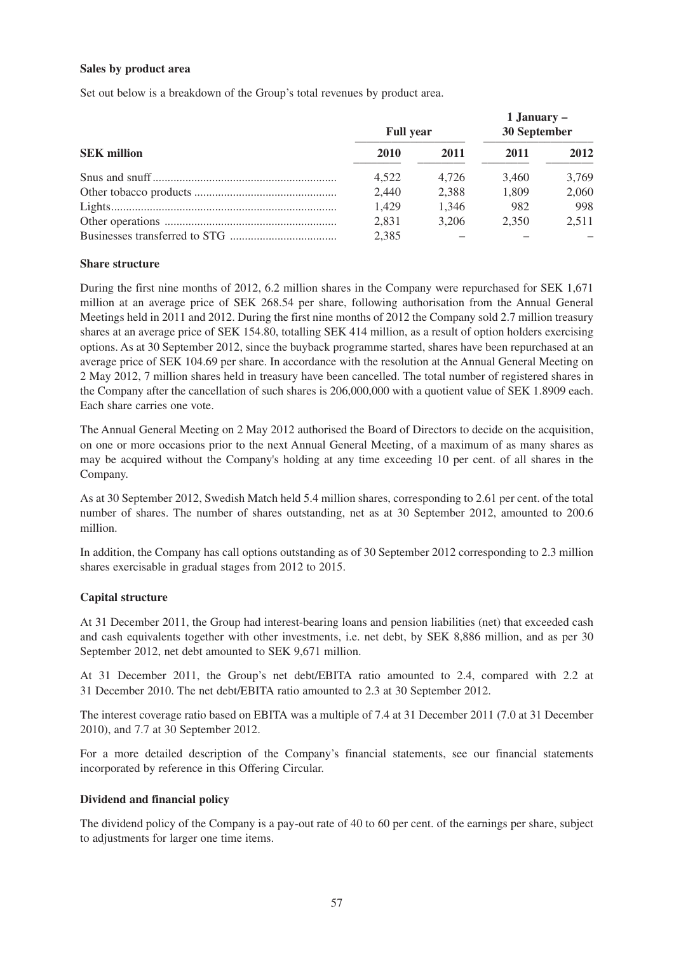#### **Sales by product area**

Set out below is a breakdown of the Group's total revenues by product area.

| <b>SEK</b> million | <b>Full year</b> |       | 1 January –<br>30 September |       |
|--------------------|------------------|-------|-----------------------------|-------|
|                    | 2010             | 2011  | 2011                        | 2012  |
|                    | 4.522            | 4.726 | 3.460                       | 3,769 |
|                    | 2,440            | 2,388 | 1.809                       | 2,060 |
|                    | 1,429            | 1.346 | 982                         | 998   |
|                    | 2.831            | 3.206 | 2.350                       | 2.511 |
|                    | 2,385            |       |                             |       |

#### **Share structure**

During the first nine months of 2012, 6.2 million shares in the Company were repurchased for SEK 1,671 million at an average price of SEK 268.54 per share, following authorisation from the Annual General Meetings held in 2011 and 2012. During the first nine months of 2012 the Company sold 2.7 million treasury shares at an average price of SEK 154.80, totalling SEK 414 million, as a result of option holders exercising options. As at 30 September 2012, since the buyback programme started, shares have been repurchased at an average price of SEK 104.69 per share. In accordance with the resolution at the Annual General Meeting on 2 May 2012, 7 million shares held in treasury have been cancelled. The total number of registered shares in the Company after the cancellation of such shares is 206,000,000 with a quotient value of SEK 1.8909 each. Each share carries one vote.

The Annual General Meeting on 2 May 2012 authorised the Board of Directors to decide on the acquisition, on one or more occasions prior to the next Annual General Meeting, of a maximum of as many shares as may be acquired without the Company's holding at any time exceeding 10 per cent. of all shares in the Company.

As at 30 September 2012, Swedish Match held 5.4 million shares, corresponding to 2.61 per cent. of the total number of shares. The number of shares outstanding, net as at 30 September 2012, amounted to 200.6 million.

In addition, the Company has call options outstanding as of 30 September 2012 corresponding to 2.3 million shares exercisable in gradual stages from 2012 to 2015.

### **Capital structure**

At 31 December 2011, the Group had interest-bearing loans and pension liabilities (net) that exceeded cash and cash equivalents together with other investments, i.e. net debt, by SEK 8,886 million, and as per 30 September 2012, net debt amounted to SEK 9,671 million.

At 31 December 2011, the Group's net debt/EBITA ratio amounted to 2.4, compared with 2.2 at 31 December 2010. The net debt/EBITA ratio amounted to 2.3 at 30 September 2012.

The interest coverage ratio based on EBITA was a multiple of 7.4 at 31 December 2011 (7.0 at 31 December 2010), and 7.7 at 30 September 2012.

For a more detailed description of the Company's financial statements, see our financial statements incorporated by reference in this Offering Circular.

### **Dividend and financial policy**

The dividend policy of the Company is a pay-out rate of 40 to 60 per cent. of the earnings per share, subject to adjustments for larger one time items.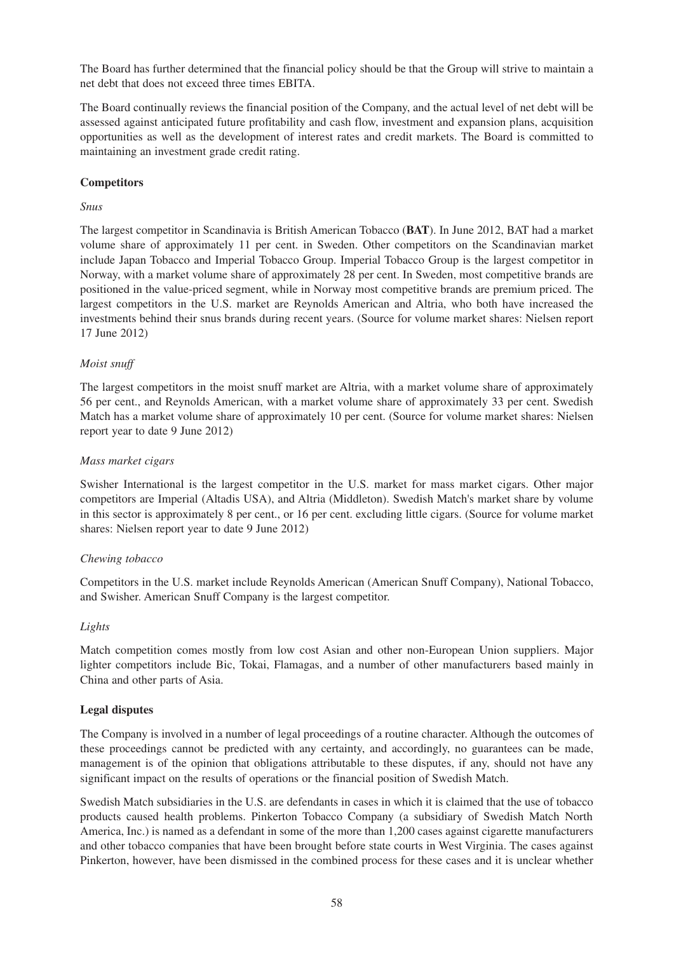The Board has further determined that the financial policy should be that the Group will strive to maintain a net debt that does not exceed three times EBITA.

The Board continually reviews the financial position of the Company, and the actual level of net debt will be assessed against anticipated future profitability and cash flow, investment and expansion plans, acquisition opportunities as well as the development of interest rates and credit markets. The Board is committed to maintaining an investment grade credit rating.

# **Competitors**

### *Snus*

The largest competitor in Scandinavia is British American Tobacco (**BAT**). In June 2012, BAT had a market volume share of approximately 11 per cent. in Sweden. Other competitors on the Scandinavian market include Japan Tobacco and Imperial Tobacco Group. Imperial Tobacco Group is the largest competitor in Norway, with a market volume share of approximately 28 per cent. In Sweden, most competitive brands are positioned in the value-priced segment, while in Norway most competitive brands are premium priced. The largest competitors in the U.S. market are Reynolds American and Altria, who both have increased the investments behind their snus brands during recent years. (Source for volume market shares: Nielsen report 17 June 2012)

### *Moist snuff*

The largest competitors in the moist snuff market are Altria, with a market volume share of approximately 56 per cent., and Reynolds American, with a market volume share of approximately 33 per cent. Swedish Match has a market volume share of approximately 10 per cent. (Source for volume market shares: Nielsen report year to date 9 June 2012)

#### *Mass market cigars*

Swisher International is the largest competitor in the U.S. market for mass market cigars. Other major competitors are Imperial (Altadis USA), and Altria (Middleton). Swedish Match's market share by volume in this sector is approximately 8 per cent., or 16 per cent. excluding little cigars. (Source for volume market shares: Nielsen report year to date 9 June 2012)

### *Chewing tobacco*

Competitors in the U.S. market include Reynolds American (American Snuff Company), National Tobacco, and Swisher. American Snuff Company is the largest competitor.

### *Lights*

Match competition comes mostly from low cost Asian and other non-European Union suppliers. Major lighter competitors include Bic, Tokai, Flamagas, and a number of other manufacturers based mainly in China and other parts of Asia.

#### **Legal disputes**

The Company is involved in a number of legal proceedings of a routine character. Although the outcomes of these proceedings cannot be predicted with any certainty, and accordingly, no guarantees can be made, management is of the opinion that obligations attributable to these disputes, if any, should not have any significant impact on the results of operations or the financial position of Swedish Match.

Swedish Match subsidiaries in the U.S. are defendants in cases in which it is claimed that the use of tobacco products caused health problems. Pinkerton Tobacco Company (a subsidiary of Swedish Match North America, Inc.) is named as a defendant in some of the more than 1,200 cases against cigarette manufacturers and other tobacco companies that have been brought before state courts in West Virginia. The cases against Pinkerton, however, have been dismissed in the combined process for these cases and it is unclear whether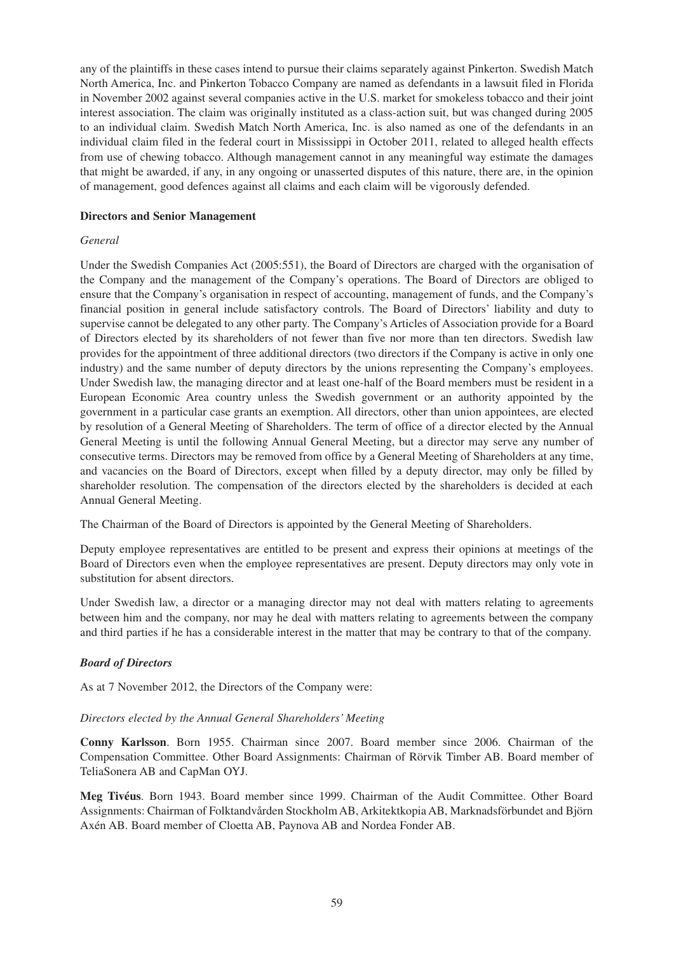any of the plaintiffs in these cases intend to pursue their claims separately against Pinkerton. Swedish Match North America, Inc. and Pinkerton Tobacco Company are named as defendants in a lawsuit filed in Florida in November 2002 against several companies active in the U.S. market for smokeless tobacco and their joint interest association. The claim was originally instituted as a class-action suit, but was changed during 2005 to an individual claim. Swedish Match North America, Inc. is also named as one of the defendants in an individual claim filed in the federal court in Mississippi in October 2011, related to alleged health effects from use of chewing tobacco. Although management cannot in any meaningful way estimate the damages that might be awarded, if any, in any ongoing or unasserted disputes of this nature, there are, in the opinion of management, good defences against all claims and each claim will be vigorously defended.

#### **Directors and Senior Management**

#### *General*

Under the Swedish Companies Act (2005:551), the Board of Directors are charged with the organisation of the Company and the management of the Company's operations. The Board of Directors are obliged to ensure that the Company's organisation in respect of accounting, management of funds, and the Company's financial position in general include satisfactory controls. The Board of Directors' liability and duty to supervise cannot be delegated to any other party. The Company's Articles of Association provide for a Board of Directors elected by its shareholders of not fewer than five nor more than ten directors. Swedish law provides for the appointment of three additional directors (two directors if the Company is active in only one industry) and the same number of deputy directors by the unions representing the Company's employees. Under Swedish law, the managing director and at least one-half of the Board members must be resident in a European Economic Area country unless the Swedish government or an authority appointed by the government in a particular case grants an exemption. All directors, other than union appointees, are elected by resolution of a General Meeting of Shareholders. The term of office of a director elected by the Annual General Meeting is until the following Annual General Meeting, but a director may serve any number of consecutive terms. Directors may be removed from office by a General Meeting of Shareholders at any time, and vacancies on the Board of Directors, except when filled by a deputy director, may only be filled by shareholder resolution. The compensation of the directors elected by the shareholders is decided at each Annual General Meeting.

The Chairman of the Board of Directors is appointed by the General Meeting of Shareholders.

Deputy employee representatives are entitled to be present and express their opinions at meetings of the Board of Directors even when the employee representatives are present. Deputy directors may only vote in substitution for absent directors.

Under Swedish law, a director or a managing director may not deal with matters relating to agreements between him and the company, nor may he deal with matters relating to agreements between the company and third parties if he has a considerable interest in the matter that may be contrary to that of the company.

### *Board of Directors*

As at 7 November 2012, the Directors of the Company were:

#### *Directors elected by the Annual General Shareholders' Meeting*

**Conny Karlsson**. Born 1955. Chairman since 2007. Board member since 2006. Chairman of the Compensation Committee. Other Board Assignments: Chairman of Rörvik Timber AB. Board member of TeliaSonera AB and CapMan OYJ.

**Meg Tivéus**. Born 1943. Board member since 1999. Chairman of the Audit Committee. Other Board Assignments: Chairman of Folktandvården Stockholm AB, Arkitektkopia AB, Marknadsförbundet and Björn Axén AB. Board member of Cloetta AB, Paynova AB and Nordea Fonder AB.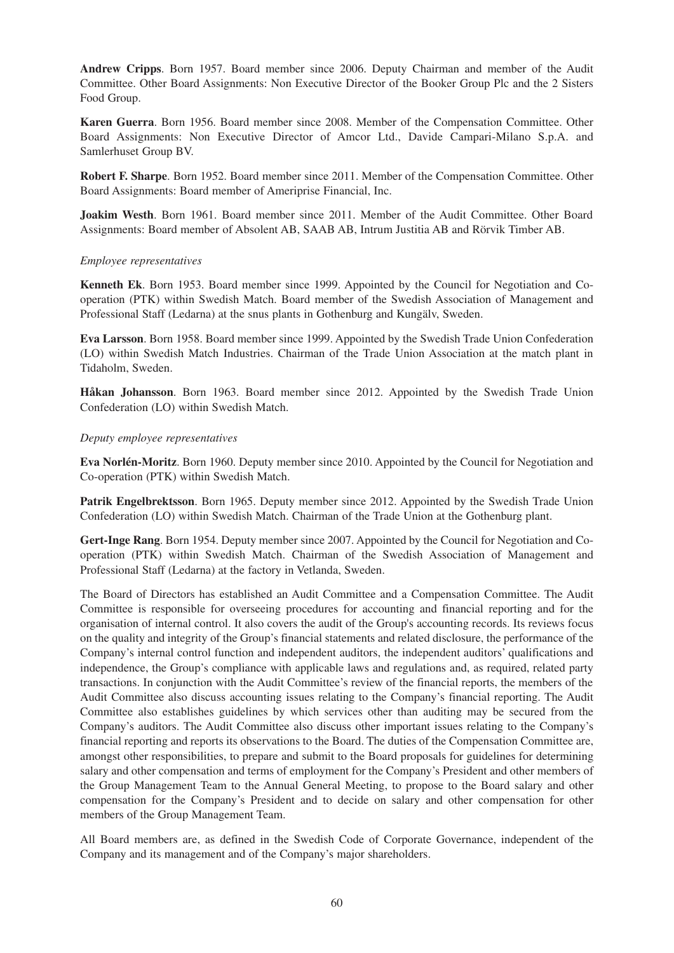**Andrew Cripps**. Born 1957. Board member since 2006. Deputy Chairman and member of the Audit Committee. Other Board Assignments: Non Executive Director of the Booker Group Plc and the 2 Sisters Food Group.

**Karen Guerra**. Born 1956. Board member since 2008. Member of the Compensation Committee. Other Board Assignments: Non Executive Director of Amcor Ltd., Davide Campari-Milano S.p.A. and Samlerhuset Group BV.

**Robert F. Sharpe**. Born 1952. Board member since 2011. Member of the Compensation Committee. Other Board Assignments: Board member of Ameriprise Financial, Inc.

**Joakim Westh**. Born 1961. Board member since 2011. Member of the Audit Committee. Other Board Assignments: Board member of Absolent AB, SAAB AB, Intrum Justitia AB and Rörvik Timber AB.

#### *Employee representatives*

**Kenneth Ek**. Born 1953. Board member since 1999. Appointed by the Council for Negotiation and Cooperation (PTK) within Swedish Match. Board member of the Swedish Association of Management and Professional Staff (Ledarna) at the snus plants in Gothenburg and Kungälv, Sweden.

**Eva Larsson**. Born 1958. Board member since 1999. Appointed by the Swedish Trade Union Confederation (LO) within Swedish Match Industries. Chairman of the Trade Union Association at the match plant in Tidaholm, Sweden.

**Håkan Johansson**. Born 1963. Board member since 2012. Appointed by the Swedish Trade Union Confederation (LO) within Swedish Match.

#### *Deputy employee representatives*

**Eva Norlén-Moritz**. Born 1960. Deputy member since 2010. Appointed by the Council for Negotiation and Co-operation (PTK) within Swedish Match.

Patrik Engelbrektsson. Born 1965. Deputy member since 2012. Appointed by the Swedish Trade Union Confederation (LO) within Swedish Match. Chairman of the Trade Union at the Gothenburg plant.

**Gert-Inge Rang**. Born 1954. Deputy member since 2007. Appointed by the Council for Negotiation and Cooperation (PTK) within Swedish Match. Chairman of the Swedish Association of Management and Professional Staff (Ledarna) at the factory in Vetlanda, Sweden.

The Board of Directors has established an Audit Committee and a Compensation Committee. The Audit Committee is responsible for overseeing procedures for accounting and financial reporting and for the organisation of internal control. It also covers the audit of the Group's accounting records. Its reviews focus on the quality and integrity of the Group's financial statements and related disclosure, the performance of the Company's internal control function and independent auditors, the independent auditors' qualifications and independence, the Group's compliance with applicable laws and regulations and, as required, related party transactions. In conjunction with the Audit Committee's review of the financial reports, the members of the Audit Committee also discuss accounting issues relating to the Company's financial reporting. The Audit Committee also establishes guidelines by which services other than auditing may be secured from the Company's auditors. The Audit Committee also discuss other important issues relating to the Company's financial reporting and reports its observations to the Board. The duties of the Compensation Committee are, amongst other responsibilities, to prepare and submit to the Board proposals for guidelines for determining salary and other compensation and terms of employment for the Company's President and other members of the Group Management Team to the Annual General Meeting, to propose to the Board salary and other compensation for the Company's President and to decide on salary and other compensation for other members of the Group Management Team.

All Board members are, as defined in the Swedish Code of Corporate Governance, independent of the Company and its management and of the Company's major shareholders.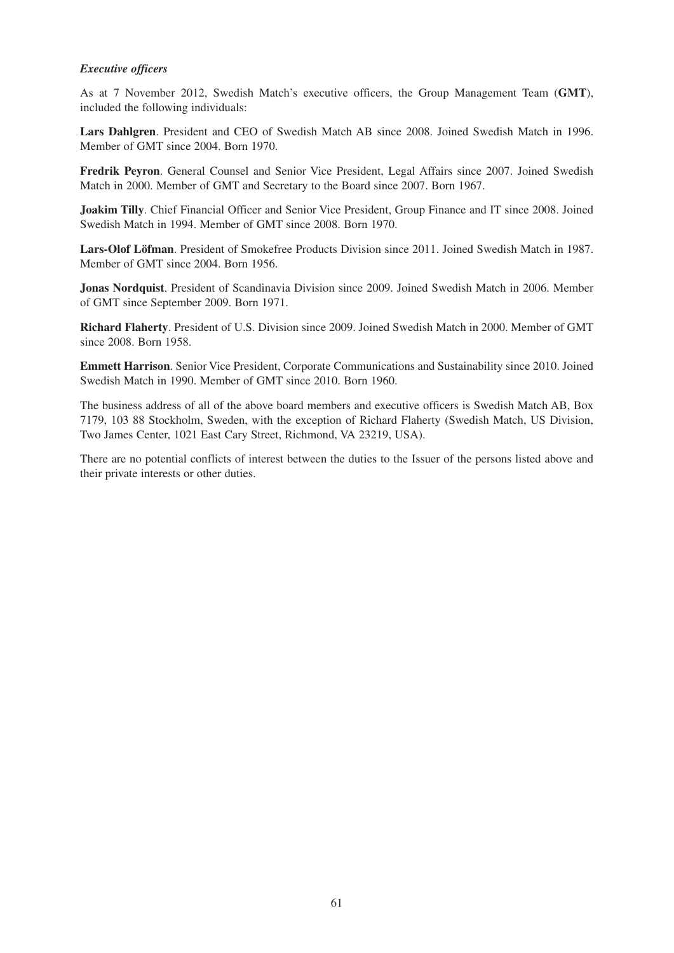### *Executive officers*

As at 7 November 2012, Swedish Match's executive officers, the Group Management Team (**GMT**), included the following individuals:

**Lars Dahlgren**. President and CEO of Swedish Match AB since 2008. Joined Swedish Match in 1996. Member of GMT since 2004. Born 1970.

**Fredrik Peyron**. General Counsel and Senior Vice President, Legal Affairs since 2007. Joined Swedish Match in 2000. Member of GMT and Secretary to the Board since 2007. Born 1967.

**Joakim Tilly**. Chief Financial Officer and Senior Vice President, Group Finance and IT since 2008. Joined Swedish Match in 1994. Member of GMT since 2008. Born 1970.

**Lars-Olof Löfman**. President of Smokefree Products Division since 2011. Joined Swedish Match in 1987. Member of GMT since 2004. Born 1956.

**Jonas Nordquist**. President of Scandinavia Division since 2009. Joined Swedish Match in 2006. Member of GMT since September 2009. Born 1971.

**Richard Flaherty**. President of U.S. Division since 2009. Joined Swedish Match in 2000. Member of GMT since 2008. Born 1958.

**Emmett Harrison**. Senior Vice President, Corporate Communications and Sustainability since 2010. Joined Swedish Match in 1990. Member of GMT since 2010. Born 1960.

The business address of all of the above board members and executive officers is Swedish Match AB, Box 7179, 103 88 Stockholm, Sweden, with the exception of Richard Flaherty (Swedish Match, US Division, Two James Center, 1021 East Cary Street, Richmond, VA 23219, USA).

There are no potential conflicts of interest between the duties to the Issuer of the persons listed above and their private interests or other duties.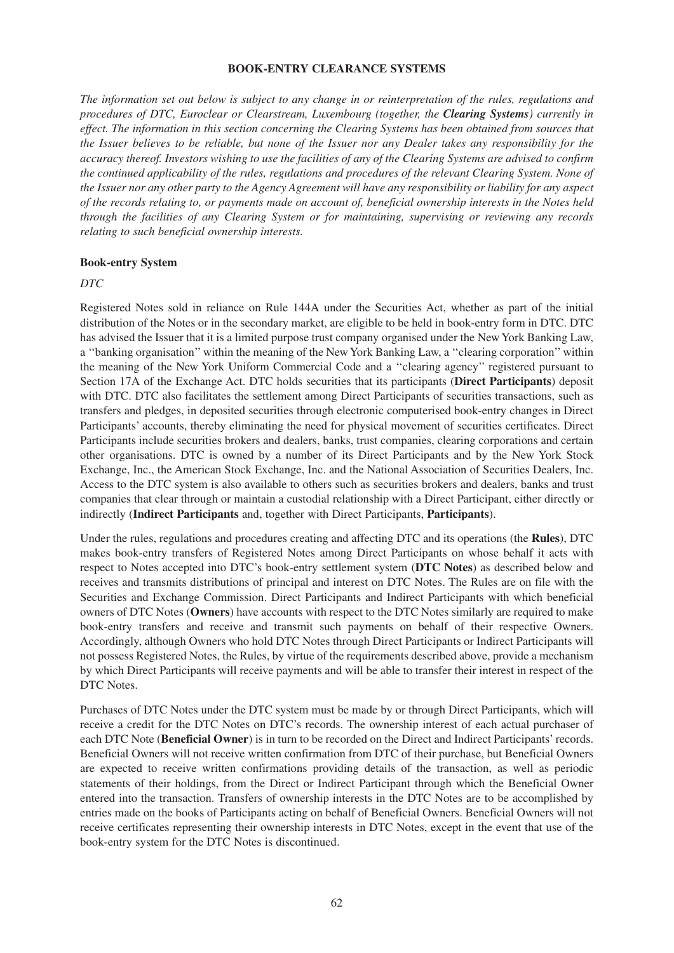#### **BOOK-ENTRY CLEARANCE SYSTEMS**

*The information set out below is subject to any change in or reinterpretation of the rules, regulations and procedures of DTC, Euroclear or Clearstream, Luxembourg (together, the Clearing Systems) currently in effect. The information in this section concerning the Clearing Systems has been obtained from sources that the Issuer believes to be reliable, but none of the Issuer nor any Dealer takes any responsibility for the accuracy thereof. Investors wishing to use the facilities of any of the Clearing Systems are advised to confirm the continued applicability of the rules, regulations and procedures of the relevant Clearing System. None of the Issuer nor any other party to the Agency Agreement will have any responsibility or liability for any aspect of the records relating to, or payments made on account of, beneficial ownership interests in the Notes held through the facilities of any Clearing System or for maintaining, supervising or reviewing any records relating to such beneficial ownership interests.*

#### **Book-entry System**

#### *DTC*

Registered Notes sold in reliance on Rule 144A under the Securities Act, whether as part of the initial distribution of the Notes or in the secondary market, are eligible to be held in book-entry form in DTC. DTC has advised the Issuer that it is a limited purpose trust company organised under the New York Banking Law, a ''banking organisation'' within the meaning of the New York Banking Law, a ''clearing corporation'' within the meaning of the New York Uniform Commercial Code and a ''clearing agency'' registered pursuant to Section 17A of the Exchange Act. DTC holds securities that its participants (**Direct Participants**) deposit with DTC. DTC also facilitates the settlement among Direct Participants of securities transactions, such as transfers and pledges, in deposited securities through electronic computerised book-entry changes in Direct Participants' accounts, thereby eliminating the need for physical movement of securities certificates. Direct Participants include securities brokers and dealers, banks, trust companies, clearing corporations and certain other organisations. DTC is owned by a number of its Direct Participants and by the New York Stock Exchange, Inc., the American Stock Exchange, Inc. and the National Association of Securities Dealers, Inc. Access to the DTC system is also available to others such as securities brokers and dealers, banks and trust companies that clear through or maintain a custodial relationship with a Direct Participant, either directly or indirectly (**Indirect Participants** and, together with Direct Participants, **Participants**).

Under the rules, regulations and procedures creating and affecting DTC and its operations (the **Rules**), DTC makes book-entry transfers of Registered Notes among Direct Participants on whose behalf it acts with respect to Notes accepted into DTC's book-entry settlement system (**DTC Notes**) as described below and receives and transmits distributions of principal and interest on DTC Notes. The Rules are on file with the Securities and Exchange Commission. Direct Participants and Indirect Participants with which beneficial owners of DTC Notes (**Owners**) have accounts with respect to the DTC Notes similarly are required to make book-entry transfers and receive and transmit such payments on behalf of their respective Owners. Accordingly, although Owners who hold DTC Notes through Direct Participants or Indirect Participants will not possess Registered Notes, the Rules, by virtue of the requirements described above, provide a mechanism by which Direct Participants will receive payments and will be able to transfer their interest in respect of the DTC Notes.

Purchases of DTC Notes under the DTC system must be made by or through Direct Participants, which will receive a credit for the DTC Notes on DTC's records. The ownership interest of each actual purchaser of each DTC Note (**Beneficial Owner**) is in turn to be recorded on the Direct and Indirect Participants' records. Beneficial Owners will not receive written confirmation from DTC of their purchase, but Beneficial Owners are expected to receive written confirmations providing details of the transaction, as well as periodic statements of their holdings, from the Direct or Indirect Participant through which the Beneficial Owner entered into the transaction. Transfers of ownership interests in the DTC Notes are to be accomplished by entries made on the books of Participants acting on behalf of Beneficial Owners. Beneficial Owners will not receive certificates representing their ownership interests in DTC Notes, except in the event that use of the book-entry system for the DTC Notes is discontinued.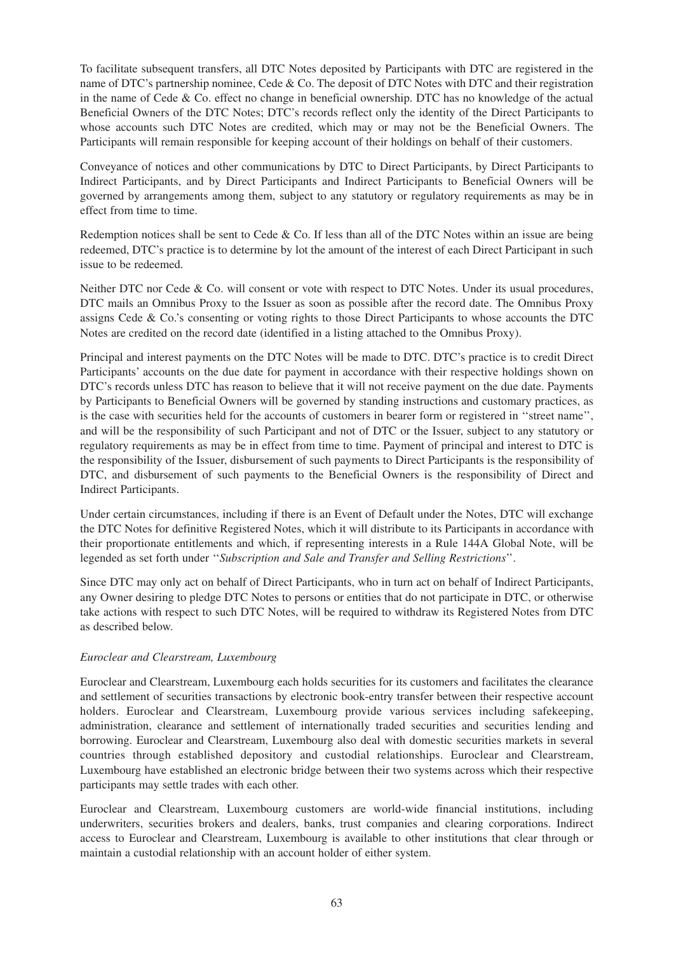To facilitate subsequent transfers, all DTC Notes deposited by Participants with DTC are registered in the name of DTC's partnership nominee, Cede & Co. The deposit of DTC Notes with DTC and their registration in the name of Cede & Co. effect no change in beneficial ownership. DTC has no knowledge of the actual Beneficial Owners of the DTC Notes; DTC's records reflect only the identity of the Direct Participants to whose accounts such DTC Notes are credited, which may or may not be the Beneficial Owners. The Participants will remain responsible for keeping account of their holdings on behalf of their customers.

Conveyance of notices and other communications by DTC to Direct Participants, by Direct Participants to Indirect Participants, and by Direct Participants and Indirect Participants to Beneficial Owners will be governed by arrangements among them, subject to any statutory or regulatory requirements as may be in effect from time to time.

Redemption notices shall be sent to Cede & Co. If less than all of the DTC Notes within an issue are being redeemed, DTC's practice is to determine by lot the amount of the interest of each Direct Participant in such issue to be redeemed.

Neither DTC nor Cede & Co. will consent or vote with respect to DTC Notes. Under its usual procedures, DTC mails an Omnibus Proxy to the Issuer as soon as possible after the record date. The Omnibus Proxy assigns Cede & Co.'s consenting or voting rights to those Direct Participants to whose accounts the DTC Notes are credited on the record date (identified in a listing attached to the Omnibus Proxy).

Principal and interest payments on the DTC Notes will be made to DTC. DTC's practice is to credit Direct Participants' accounts on the due date for payment in accordance with their respective holdings shown on DTC's records unless DTC has reason to believe that it will not receive payment on the due date. Payments by Participants to Beneficial Owners will be governed by standing instructions and customary practices, as is the case with securities held for the accounts of customers in bearer form or registered in ''street name'', and will be the responsibility of such Participant and not of DTC or the Issuer, subject to any statutory or regulatory requirements as may be in effect from time to time. Payment of principal and interest to DTC is the responsibility of the Issuer, disbursement of such payments to Direct Participants is the responsibility of DTC, and disbursement of such payments to the Beneficial Owners is the responsibility of Direct and Indirect Participants.

Under certain circumstances, including if there is an Event of Default under the Notes, DTC will exchange the DTC Notes for definitive Registered Notes, which it will distribute to its Participants in accordance with their proportionate entitlements and which, if representing interests in a Rule 144A Global Note, will be legended as set forth under ''*Subscription and Sale and Transfer and Selling Restrictions*''.

Since DTC may only act on behalf of Direct Participants, who in turn act on behalf of Indirect Participants, any Owner desiring to pledge DTC Notes to persons or entities that do not participate in DTC, or otherwise take actions with respect to such DTC Notes, will be required to withdraw its Registered Notes from DTC as described below.

### *Euroclear and Clearstream, Luxembourg*

Euroclear and Clearstream, Luxembourg each holds securities for its customers and facilitates the clearance and settlement of securities transactions by electronic book-entry transfer between their respective account holders. Euroclear and Clearstream, Luxembourg provide various services including safekeeping, administration, clearance and settlement of internationally traded securities and securities lending and borrowing. Euroclear and Clearstream, Luxembourg also deal with domestic securities markets in several countries through established depository and custodial relationships. Euroclear and Clearstream, Luxembourg have established an electronic bridge between their two systems across which their respective participants may settle trades with each other.

Euroclear and Clearstream, Luxembourg customers are world-wide financial institutions, including underwriters, securities brokers and dealers, banks, trust companies and clearing corporations. Indirect access to Euroclear and Clearstream, Luxembourg is available to other institutions that clear through or maintain a custodial relationship with an account holder of either system.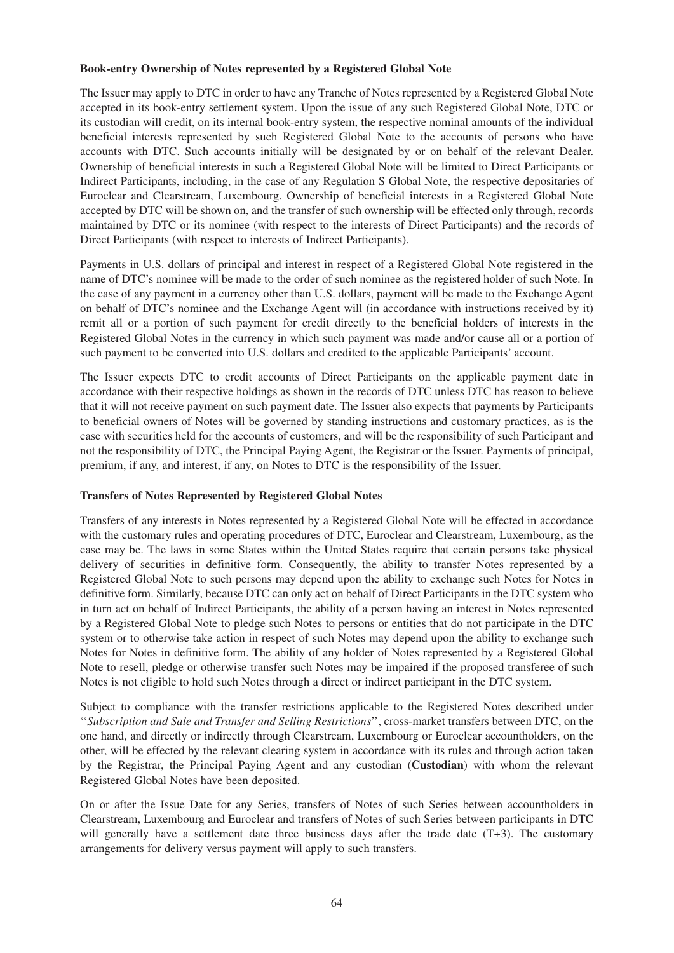#### **Book-entry Ownership of Notes represented by a Registered Global Note**

The Issuer may apply to DTC in order to have any Tranche of Notes represented by a Registered Global Note accepted in its book-entry settlement system. Upon the issue of any such Registered Global Note, DTC or its custodian will credit, on its internal book-entry system, the respective nominal amounts of the individual beneficial interests represented by such Registered Global Note to the accounts of persons who have accounts with DTC. Such accounts initially will be designated by or on behalf of the relevant Dealer. Ownership of beneficial interests in such a Registered Global Note will be limited to Direct Participants or Indirect Participants, including, in the case of any Regulation S Global Note, the respective depositaries of Euroclear and Clearstream, Luxembourg. Ownership of beneficial interests in a Registered Global Note accepted by DTC will be shown on, and the transfer of such ownership will be effected only through, records maintained by DTC or its nominee (with respect to the interests of Direct Participants) and the records of Direct Participants (with respect to interests of Indirect Participants).

Payments in U.S. dollars of principal and interest in respect of a Registered Global Note registered in the name of DTC's nominee will be made to the order of such nominee as the registered holder of such Note. In the case of any payment in a currency other than U.S. dollars, payment will be made to the Exchange Agent on behalf of DTC's nominee and the Exchange Agent will (in accordance with instructions received by it) remit all or a portion of such payment for credit directly to the beneficial holders of interests in the Registered Global Notes in the currency in which such payment was made and/or cause all or a portion of such payment to be converted into U.S. dollars and credited to the applicable Participants' account.

The Issuer expects DTC to credit accounts of Direct Participants on the applicable payment date in accordance with their respective holdings as shown in the records of DTC unless DTC has reason to believe that it will not receive payment on such payment date. The Issuer also expects that payments by Participants to beneficial owners of Notes will be governed by standing instructions and customary practices, as is the case with securities held for the accounts of customers, and will be the responsibility of such Participant and not the responsibility of DTC, the Principal Paying Agent, the Registrar or the Issuer. Payments of principal, premium, if any, and interest, if any, on Notes to DTC is the responsibility of the Issuer.

### **Transfers of Notes Represented by Registered Global Notes**

Transfers of any interests in Notes represented by a Registered Global Note will be effected in accordance with the customary rules and operating procedures of DTC, Euroclear and Clearstream, Luxembourg, as the case may be. The laws in some States within the United States require that certain persons take physical delivery of securities in definitive form. Consequently, the ability to transfer Notes represented by a Registered Global Note to such persons may depend upon the ability to exchange such Notes for Notes in definitive form. Similarly, because DTC can only act on behalf of Direct Participants in the DTC system who in turn act on behalf of Indirect Participants, the ability of a person having an interest in Notes represented by a Registered Global Note to pledge such Notes to persons or entities that do not participate in the DTC system or to otherwise take action in respect of such Notes may depend upon the ability to exchange such Notes for Notes in definitive form. The ability of any holder of Notes represented by a Registered Global Note to resell, pledge or otherwise transfer such Notes may be impaired if the proposed transferee of such Notes is not eligible to hold such Notes through a direct or indirect participant in the DTC system.

Subject to compliance with the transfer restrictions applicable to the Registered Notes described under ''*Subscription and Sale and Transfer and Selling Restrictions*'', cross-market transfers between DTC, on the one hand, and directly or indirectly through Clearstream, Luxembourg or Euroclear accountholders, on the other, will be effected by the relevant clearing system in accordance with its rules and through action taken by the Registrar, the Principal Paying Agent and any custodian (**Custodian**) with whom the relevant Registered Global Notes have been deposited.

On or after the Issue Date for any Series, transfers of Notes of such Series between accountholders in Clearstream, Luxembourg and Euroclear and transfers of Notes of such Series between participants in DTC will generally have a settlement date three business days after the trade date (T+3). The customary arrangements for delivery versus payment will apply to such transfers.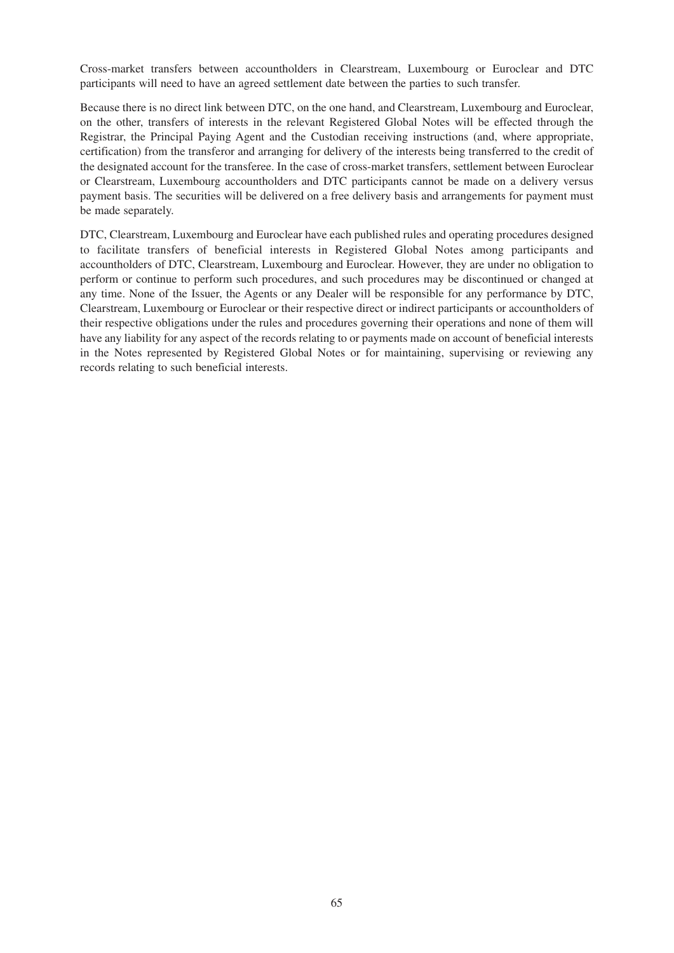Cross-market transfers between accountholders in Clearstream, Luxembourg or Euroclear and DTC participants will need to have an agreed settlement date between the parties to such transfer.

Because there is no direct link between DTC, on the one hand, and Clearstream, Luxembourg and Euroclear, on the other, transfers of interests in the relevant Registered Global Notes will be effected through the Registrar, the Principal Paying Agent and the Custodian receiving instructions (and, where appropriate, certification) from the transferor and arranging for delivery of the interests being transferred to the credit of the designated account for the transferee. In the case of cross-market transfers, settlement between Euroclear or Clearstream, Luxembourg accountholders and DTC participants cannot be made on a delivery versus payment basis. The securities will be delivered on a free delivery basis and arrangements for payment must be made separately.

DTC, Clearstream, Luxembourg and Euroclear have each published rules and operating procedures designed to facilitate transfers of beneficial interests in Registered Global Notes among participants and accountholders of DTC, Clearstream, Luxembourg and Euroclear. However, they are under no obligation to perform or continue to perform such procedures, and such procedures may be discontinued or changed at any time. None of the Issuer, the Agents or any Dealer will be responsible for any performance by DTC, Clearstream, Luxembourg or Euroclear or their respective direct or indirect participants or accountholders of their respective obligations under the rules and procedures governing their operations and none of them will have any liability for any aspect of the records relating to or payments made on account of beneficial interests in the Notes represented by Registered Global Notes or for maintaining, supervising or reviewing any records relating to such beneficial interests.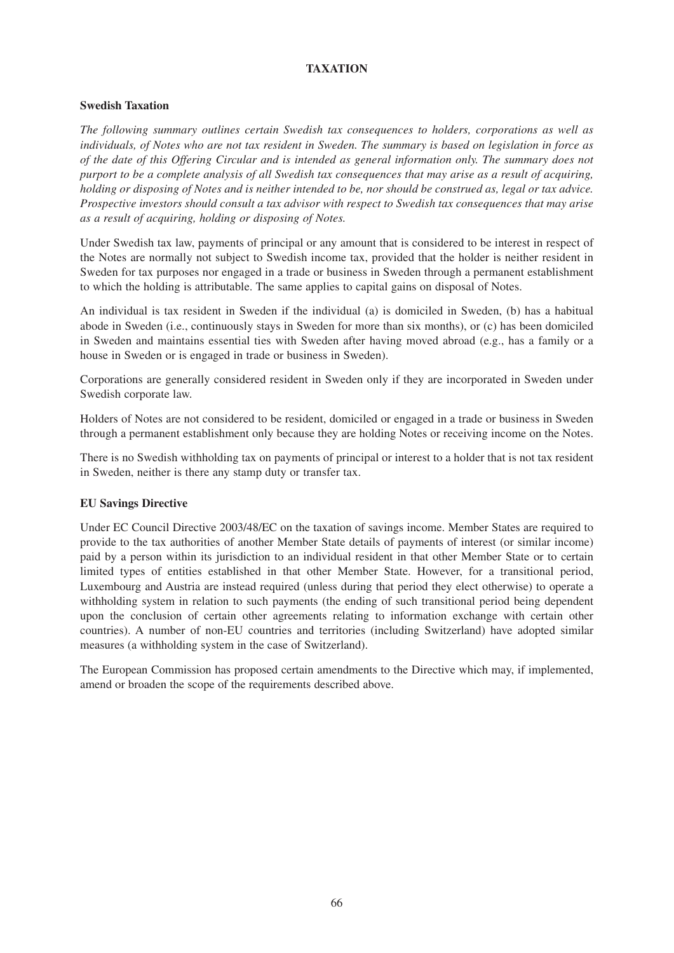# **TAXATION**

### **Swedish Taxation**

*The following summary outlines certain Swedish tax consequences to holders, corporations as well as individuals, of Notes who are not tax resident in Sweden. The summary is based on legislation in force as of the date of this Offering Circular and is intended as general information only. The summary does not purport to be a complete analysis of all Swedish tax consequences that may arise as a result of acquiring, holding or disposing of Notes and is neither intended to be, nor should be construed as, legal or tax advice. Prospective investors should consult a tax advisor with respect to Swedish tax consequences that may arise as a result of acquiring, holding or disposing of Notes.*

Under Swedish tax law, payments of principal or any amount that is considered to be interest in respect of the Notes are normally not subject to Swedish income tax, provided that the holder is neither resident in Sweden for tax purposes nor engaged in a trade or business in Sweden through a permanent establishment to which the holding is attributable. The same applies to capital gains on disposal of Notes.

An individual is tax resident in Sweden if the individual (a) is domiciled in Sweden, (b) has a habitual abode in Sweden (i.e., continuously stays in Sweden for more than six months), or (c) has been domiciled in Sweden and maintains essential ties with Sweden after having moved abroad (e.g., has a family or a house in Sweden or is engaged in trade or business in Sweden).

Corporations are generally considered resident in Sweden only if they are incorporated in Sweden under Swedish corporate law.

Holders of Notes are not considered to be resident, domiciled or engaged in a trade or business in Sweden through a permanent establishment only because they are holding Notes or receiving income on the Notes.

There is no Swedish withholding tax on payments of principal or interest to a holder that is not tax resident in Sweden, neither is there any stamp duty or transfer tax.

### **EU Savings Directive**

Under EC Council Directive 2003/48/EC on the taxation of savings income. Member States are required to provide to the tax authorities of another Member State details of payments of interest (or similar income) paid by a person within its jurisdiction to an individual resident in that other Member State or to certain limited types of entities established in that other Member State. However, for a transitional period, Luxembourg and Austria are instead required (unless during that period they elect otherwise) to operate a withholding system in relation to such payments (the ending of such transitional period being dependent upon the conclusion of certain other agreements relating to information exchange with certain other countries). A number of non-EU countries and territories (including Switzerland) have adopted similar measures (a withholding system in the case of Switzerland).

The European Commission has proposed certain amendments to the Directive which may, if implemented, amend or broaden the scope of the requirements described above.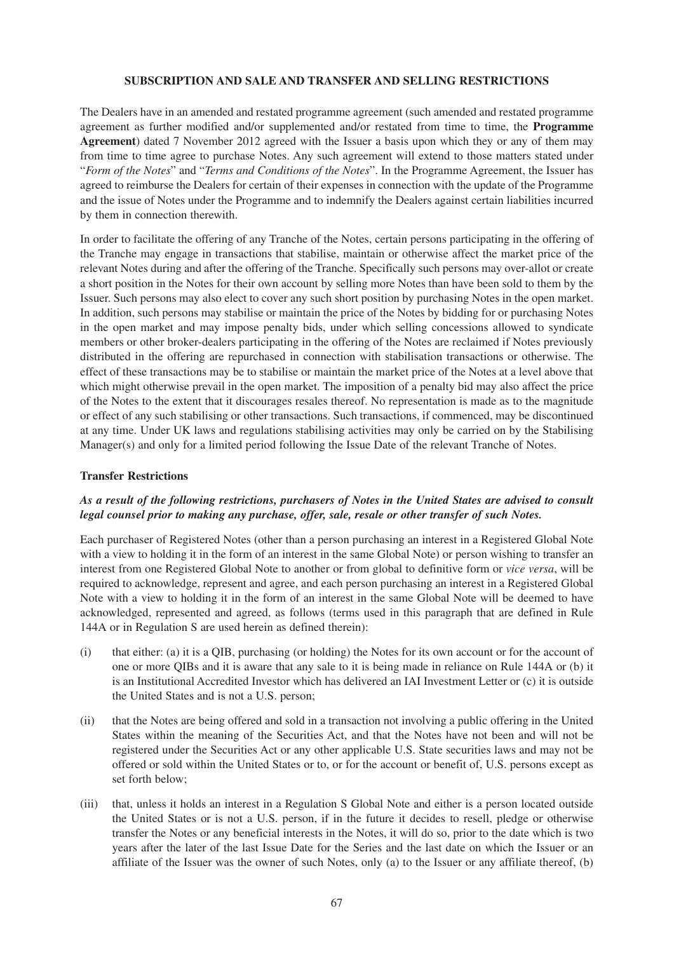#### **SUBSCRIPTION AND SALE AND TRANSFER AND SELLING RESTRICTIONS**

The Dealers have in an amended and restated programme agreement (such amended and restated programme agreement as further modified and/or supplemented and/or restated from time to time, the **Programme Agreement**) dated 7 November 2012 agreed with the Issuer a basis upon which they or any of them may from time to time agree to purchase Notes. Any such agreement will extend to those matters stated under "*Form of the Notes*" and "*Terms and Conditions of the Notes*". In the Programme Agreement, the Issuer has agreed to reimburse the Dealers for certain of their expenses in connection with the update of the Programme and the issue of Notes under the Programme and to indemnify the Dealers against certain liabilities incurred by them in connection therewith.

In order to facilitate the offering of any Tranche of the Notes, certain persons participating in the offering of the Tranche may engage in transactions that stabilise, maintain or otherwise affect the market price of the relevant Notes during and after the offering of the Tranche. Specifically such persons may over-allot or create a short position in the Notes for their own account by selling more Notes than have been sold to them by the Issuer. Such persons may also elect to cover any such short position by purchasing Notes in the open market. In addition, such persons may stabilise or maintain the price of the Notes by bidding for or purchasing Notes in the open market and may impose penalty bids, under which selling concessions allowed to syndicate members or other broker-dealers participating in the offering of the Notes are reclaimed if Notes previously distributed in the offering are repurchased in connection with stabilisation transactions or otherwise. The effect of these transactions may be to stabilise or maintain the market price of the Notes at a level above that which might otherwise prevail in the open market. The imposition of a penalty bid may also affect the price of the Notes to the extent that it discourages resales thereof. No representation is made as to the magnitude or effect of any such stabilising or other transactions. Such transactions, if commenced, may be discontinued at any time. Under UK laws and regulations stabilising activities may only be carried on by the Stabilising Manager(s) and only for a limited period following the Issue Date of the relevant Tranche of Notes.

#### **Transfer Restrictions**

# *As a result of the following restrictions, purchasers of Notes in the United States are advised to consult legal counsel prior to making any purchase, offer, sale, resale or other transfer of such Notes.*

Each purchaser of Registered Notes (other than a person purchasing an interest in a Registered Global Note with a view to holding it in the form of an interest in the same Global Note) or person wishing to transfer an interest from one Registered Global Note to another or from global to definitive form or *vice versa*, will be required to acknowledge, represent and agree, and each person purchasing an interest in a Registered Global Note with a view to holding it in the form of an interest in the same Global Note will be deemed to have acknowledged, represented and agreed, as follows (terms used in this paragraph that are defined in Rule 144A or in Regulation S are used herein as defined therein):

- (i) that either: (a) it is a QIB, purchasing (or holding) the Notes for its own account or for the account of one or more QIBs and it is aware that any sale to it is being made in reliance on Rule 144A or (b) it is an Institutional Accredited Investor which has delivered an IAI Investment Letter or (c) it is outside the United States and is not a U.S. person;
- (ii) that the Notes are being offered and sold in a transaction not involving a public offering in the United States within the meaning of the Securities Act, and that the Notes have not been and will not be registered under the Securities Act or any other applicable U.S. State securities laws and may not be offered or sold within the United States or to, or for the account or benefit of, U.S. persons except as set forth below;
- (iii) that, unless it holds an interest in a Regulation S Global Note and either is a person located outside the United States or is not a U.S. person, if in the future it decides to resell, pledge or otherwise transfer the Notes or any beneficial interests in the Notes, it will do so, prior to the date which is two years after the later of the last Issue Date for the Series and the last date on which the Issuer or an affiliate of the Issuer was the owner of such Notes, only (a) to the Issuer or any affiliate thereof, (b)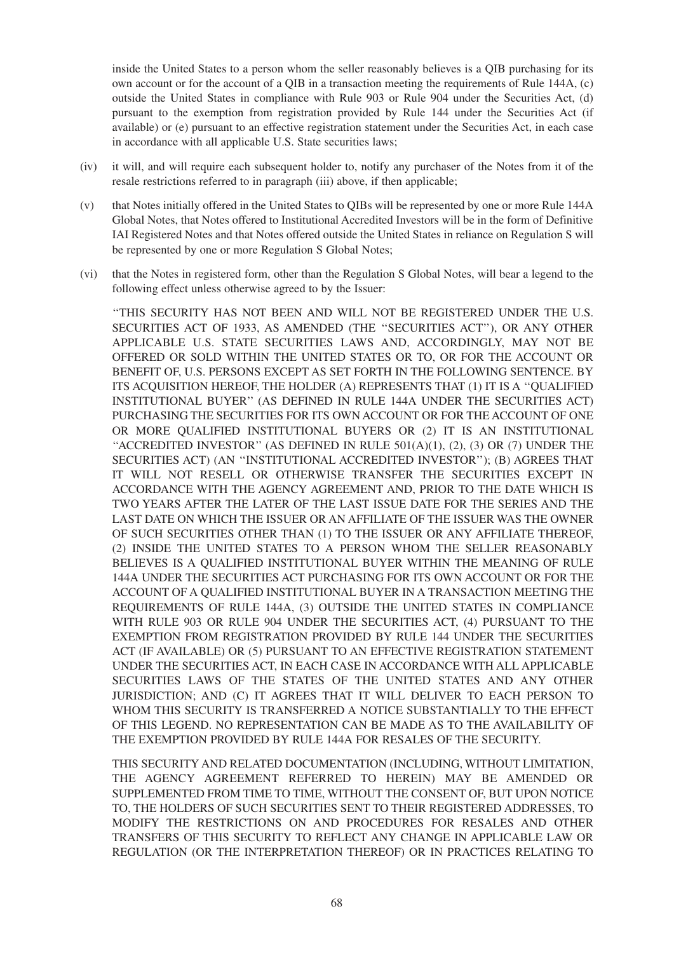inside the United States to a person whom the seller reasonably believes is a QIB purchasing for its own account or for the account of a QIB in a transaction meeting the requirements of Rule 144A, (c) outside the United States in compliance with Rule 903 or Rule 904 under the Securities Act, (d) pursuant to the exemption from registration provided by Rule 144 under the Securities Act (if available) or (e) pursuant to an effective registration statement under the Securities Act, in each case in accordance with all applicable U.S. State securities laws;

- (iv) it will, and will require each subsequent holder to, notify any purchaser of the Notes from it of the resale restrictions referred to in paragraph (iii) above, if then applicable;
- (v) that Notes initially offered in the United States to QIBs will be represented by one or more Rule 144A Global Notes, that Notes offered to Institutional Accredited Investors will be in the form of Definitive IAI Registered Notes and that Notes offered outside the United States in reliance on Regulation S will be represented by one or more Regulation S Global Notes;
- (vi) that the Notes in registered form, other than the Regulation S Global Notes, will bear a legend to the following effect unless otherwise agreed to by the Issuer:

''THIS SECURITY HAS NOT BEEN AND WILL NOT BE REGISTERED UNDER THE U.S. SECURITIES ACT OF 1933, AS AMENDED (THE ''SECURITIES ACT''), OR ANY OTHER APPLICABLE U.S. STATE SECURITIES LAWS AND, ACCORDINGLY, MAY NOT BE OFFERED OR SOLD WITHIN THE UNITED STATES OR TO, OR FOR THE ACCOUNT OR BENEFIT OF, U.S. PERSONS EXCEPT AS SET FORTH IN THE FOLLOWING SENTENCE. BY ITS ACQUISITION HEREOF, THE HOLDER (A) REPRESENTS THAT (1) IT IS A ''QUALIFIED INSTITUTIONAL BUYER'' (AS DEFINED IN RULE 144A UNDER THE SECURITIES ACT) PURCHASING THE SECURITIES FOR ITS OWN ACCOUNT OR FOR THE ACCOUNT OF ONE OR MORE QUALIFIED INSTITUTIONAL BUYERS OR (2) IT IS AN INSTITUTIONAL "ACCREDITED INVESTOR" (AS DEFINED IN RULE  $501(A)(1)$ ,  $(2)$ ,  $(3)$  OR  $(7)$  UNDER THE SECURITIES ACT) (AN ''INSTITUTIONAL ACCREDITED INVESTOR''); (B) AGREES THAT IT WILL NOT RESELL OR OTHERWISE TRANSFER THE SECURITIES EXCEPT IN ACCORDANCE WITH THE AGENCY AGREEMENT AND, PRIOR TO THE DATE WHICH IS TWO YEARS AFTER THE LATER OF THE LAST ISSUE DATE FOR THE SERIES AND THE LAST DATE ON WHICH THE ISSUER OR AN AFFILIATE OF THE ISSUER WAS THE OWNER OF SUCH SECURITIES OTHER THAN (1) TO THE ISSUER OR ANY AFFILIATE THEREOF, (2) INSIDE THE UNITED STATES TO A PERSON WHOM THE SELLER REASONABLY BELIEVES IS A QUALIFIED INSTITUTIONAL BUYER WITHIN THE MEANING OF RULE 144A UNDER THE SECURITIES ACT PURCHASING FOR ITS OWN ACCOUNT OR FOR THE ACCOUNT OF A QUALIFIED INSTITUTIONAL BUYER IN A TRANSACTION MEETING THE REQUIREMENTS OF RULE 144A, (3) OUTSIDE THE UNITED STATES IN COMPLIANCE WITH RULE 903 OR RULE 904 UNDER THE SECURITIES ACT, (4) PURSUANT TO THE EXEMPTION FROM REGISTRATION PROVIDED BY RULE 144 UNDER THE SECURITIES ACT (IF AVAILABLE) OR (5) PURSUANT TO AN EFFECTIVE REGISTRATION STATEMENT UNDER THE SECURITIES ACT, IN EACH CASE IN ACCORDANCE WITH ALL APPLICABLE SECURITIES LAWS OF THE STATES OF THE UNITED STATES AND ANY OTHER JURISDICTION; AND (C) IT AGREES THAT IT WILL DELIVER TO EACH PERSON TO WHOM THIS SECURITY IS TRANSFERRED A NOTICE SUBSTANTIALLY TO THE EFFECT OF THIS LEGEND. NO REPRESENTATION CAN BE MADE AS TO THE AVAILABILITY OF THE EXEMPTION PROVIDED BY RULE 144A FOR RESALES OF THE SECURITY.

THIS SECURITY AND RELATED DOCUMENTATION (INCLUDING, WITHOUT LIMITATION, THE AGENCY AGREEMENT REFERRED TO HEREIN) MAY BE AMENDED OR SUPPLEMENTED FROM TIME TO TIME, WITHOUT THE CONSENT OF, BUT UPON NOTICE TO, THE HOLDERS OF SUCH SECURITIES SENT TO THEIR REGISTERED ADDRESSES, TO MODIFY THE RESTRICTIONS ON AND PROCEDURES FOR RESALES AND OTHER TRANSFERS OF THIS SECURITY TO REFLECT ANY CHANGE IN APPLICABLE LAW OR REGULATION (OR THE INTERPRETATION THEREOF) OR IN PRACTICES RELATING TO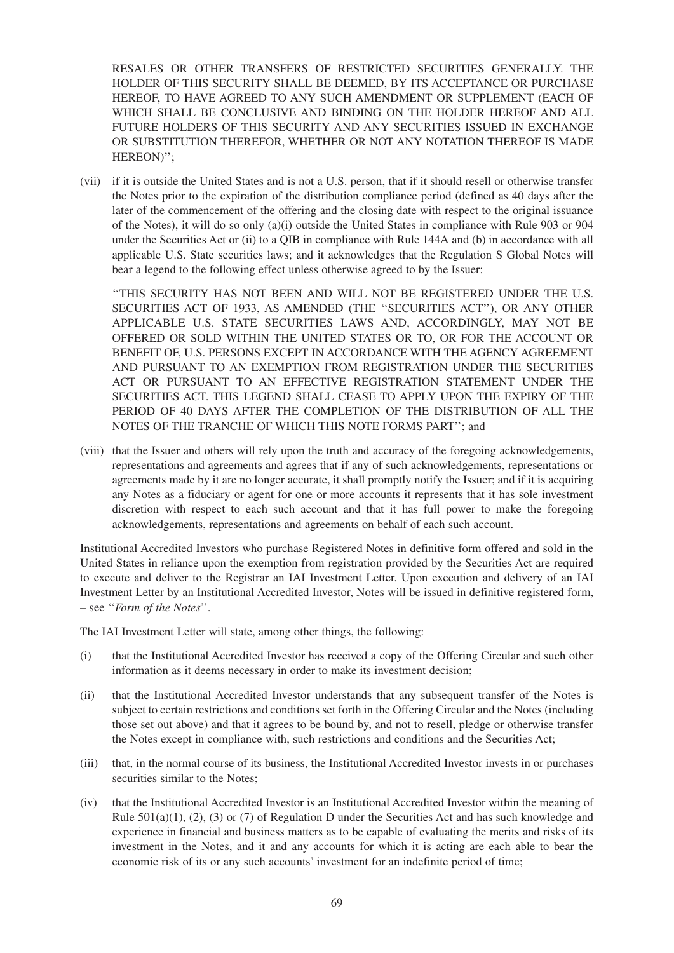RESALES OR OTHER TRANSFERS OF RESTRICTED SECURITIES GENERALLY. THE HOLDER OF THIS SECURITY SHALL BE DEEMED, BY ITS ACCEPTANCE OR PURCHASE HEREOF, TO HAVE AGREED TO ANY SUCH AMENDMENT OR SUPPLEMENT (EACH OF WHICH SHALL BE CONCLUSIVE AND BINDING ON THE HOLDER HEREOF AND ALL FUTURE HOLDERS OF THIS SECURITY AND ANY SECURITIES ISSUED IN EXCHANGE OR SUBSTITUTION THEREFOR, WHETHER OR NOT ANY NOTATION THEREOF IS MADE HEREON)'';

(vii) if it is outside the United States and is not a U.S. person, that if it should resell or otherwise transfer the Notes prior to the expiration of the distribution compliance period (defined as 40 days after the later of the commencement of the offering and the closing date with respect to the original issuance of the Notes), it will do so only (a)(i) outside the United States in compliance with Rule 903 or 904 under the Securities Act or (ii) to a QIB in compliance with Rule 144A and (b) in accordance with all applicable U.S. State securities laws; and it acknowledges that the Regulation S Global Notes will bear a legend to the following effect unless otherwise agreed to by the Issuer:

''THIS SECURITY HAS NOT BEEN AND WILL NOT BE REGISTERED UNDER THE U.S. SECURITIES ACT OF 1933, AS AMENDED (THE ''SECURITIES ACT''), OR ANY OTHER APPLICABLE U.S. STATE SECURITIES LAWS AND, ACCORDINGLY, MAY NOT BE OFFERED OR SOLD WITHIN THE UNITED STATES OR TO, OR FOR THE ACCOUNT OR BENEFIT OF, U.S. PERSONS EXCEPT IN ACCORDANCE WITH THE AGENCY AGREEMENT AND PURSUANT TO AN EXEMPTION FROM REGISTRATION UNDER THE SECURITIES ACT OR PURSUANT TO AN EFFECTIVE REGISTRATION STATEMENT UNDER THE SECURITIES ACT. THIS LEGEND SHALL CEASE TO APPLY UPON THE EXPIRY OF THE PERIOD OF 40 DAYS AFTER THE COMPLETION OF THE DISTRIBUTION OF ALL THE NOTES OF THE TRANCHE OF WHICH THIS NOTE FORMS PART''; and

(viii) that the Issuer and others will rely upon the truth and accuracy of the foregoing acknowledgements, representations and agreements and agrees that if any of such acknowledgements, representations or agreements made by it are no longer accurate, it shall promptly notify the Issuer; and if it is acquiring any Notes as a fiduciary or agent for one or more accounts it represents that it has sole investment discretion with respect to each such account and that it has full power to make the foregoing acknowledgements, representations and agreements on behalf of each such account.

Institutional Accredited Investors who purchase Registered Notes in definitive form offered and sold in the United States in reliance upon the exemption from registration provided by the Securities Act are required to execute and deliver to the Registrar an IAI Investment Letter. Upon execution and delivery of an IAI Investment Letter by an Institutional Accredited Investor, Notes will be issued in definitive registered form, – see ''*Form of the Notes*''.

The IAI Investment Letter will state, among other things, the following:

- (i) that the Institutional Accredited Investor has received a copy of the Offering Circular and such other information as it deems necessary in order to make its investment decision;
- (ii) that the Institutional Accredited Investor understands that any subsequent transfer of the Notes is subject to certain restrictions and conditions set forth in the Offering Circular and the Notes (including those set out above) and that it agrees to be bound by, and not to resell, pledge or otherwise transfer the Notes except in compliance with, such restrictions and conditions and the Securities Act;
- (iii) that, in the normal course of its business, the Institutional Accredited Investor invests in or purchases securities similar to the Notes;
- (iv) that the Institutional Accredited Investor is an Institutional Accredited Investor within the meaning of Rule  $501(a)(1)$ ,  $(2)$ ,  $(3)$  or  $(7)$  of Regulation D under the Securities Act and has such knowledge and experience in financial and business matters as to be capable of evaluating the merits and risks of its investment in the Notes, and it and any accounts for which it is acting are each able to bear the economic risk of its or any such accounts' investment for an indefinite period of time;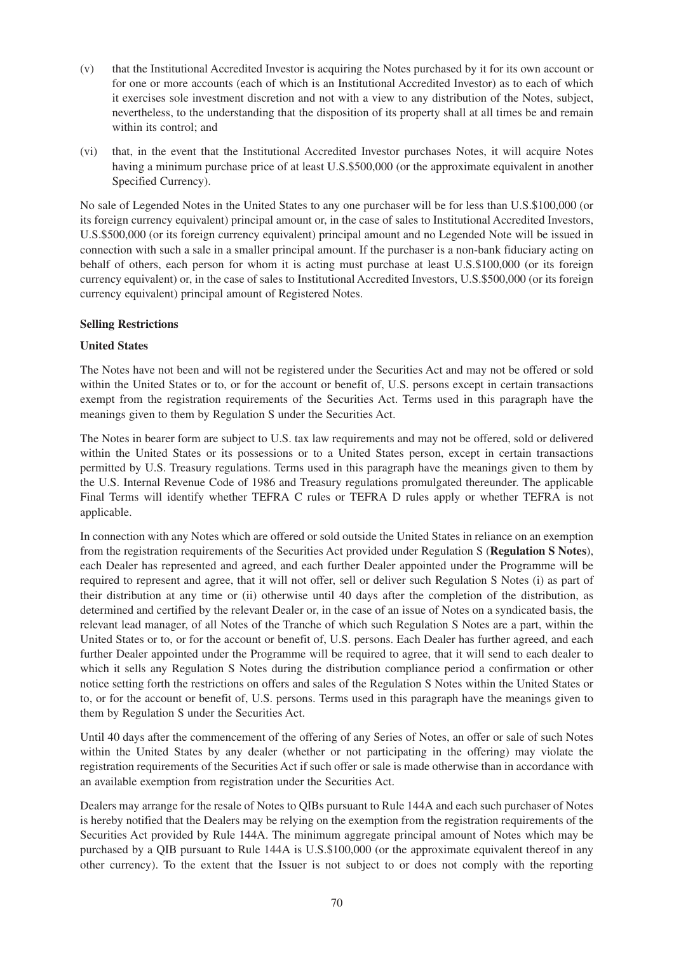- (v) that the Institutional Accredited Investor is acquiring the Notes purchased by it for its own account or for one or more accounts (each of which is an Institutional Accredited Investor) as to each of which it exercises sole investment discretion and not with a view to any distribution of the Notes, subject, nevertheless, to the understanding that the disposition of its property shall at all times be and remain within its control; and
- (vi) that, in the event that the Institutional Accredited Investor purchases Notes, it will acquire Notes having a minimum purchase price of at least U.S.\$500,000 (or the approximate equivalent in another Specified Currency).

No sale of Legended Notes in the United States to any one purchaser will be for less than U.S.\$100,000 (or its foreign currency equivalent) principal amount or, in the case of sales to Institutional Accredited Investors, U.S.\$500,000 (or its foreign currency equivalent) principal amount and no Legended Note will be issued in connection with such a sale in a smaller principal amount. If the purchaser is a non-bank fiduciary acting on behalf of others, each person for whom it is acting must purchase at least U.S.\$100,000 (or its foreign currency equivalent) or, in the case of sales to Institutional Accredited Investors, U.S.\$500,000 (or its foreign currency equivalent) principal amount of Registered Notes.

### **Selling Restrictions**

# **United States**

The Notes have not been and will not be registered under the Securities Act and may not be offered or sold within the United States or to, or for the account or benefit of, U.S. persons except in certain transactions exempt from the registration requirements of the Securities Act. Terms used in this paragraph have the meanings given to them by Regulation S under the Securities Act.

The Notes in bearer form are subject to U.S. tax law requirements and may not be offered, sold or delivered within the United States or its possessions or to a United States person, except in certain transactions permitted by U.S. Treasury regulations. Terms used in this paragraph have the meanings given to them by the U.S. Internal Revenue Code of 1986 and Treasury regulations promulgated thereunder. The applicable Final Terms will identify whether TEFRA C rules or TEFRA D rules apply or whether TEFRA is not applicable.

In connection with any Notes which are offered or sold outside the United States in reliance on an exemption from the registration requirements of the Securities Act provided under Regulation S (**Regulation S Notes**), each Dealer has represented and agreed, and each further Dealer appointed under the Programme will be required to represent and agree, that it will not offer, sell or deliver such Regulation S Notes (i) as part of their distribution at any time or (ii) otherwise until 40 days after the completion of the distribution, as determined and certified by the relevant Dealer or, in the case of an issue of Notes on a syndicated basis, the relevant lead manager, of all Notes of the Tranche of which such Regulation S Notes are a part, within the United States or to, or for the account or benefit of, U.S. persons. Each Dealer has further agreed, and each further Dealer appointed under the Programme will be required to agree, that it will send to each dealer to which it sells any Regulation S Notes during the distribution compliance period a confirmation or other notice setting forth the restrictions on offers and sales of the Regulation S Notes within the United States or to, or for the account or benefit of, U.S. persons. Terms used in this paragraph have the meanings given to them by Regulation S under the Securities Act.

Until 40 days after the commencement of the offering of any Series of Notes, an offer or sale of such Notes within the United States by any dealer (whether or not participating in the offering) may violate the registration requirements of the Securities Act if such offer or sale is made otherwise than in accordance with an available exemption from registration under the Securities Act.

Dealers may arrange for the resale of Notes to QIBs pursuant to Rule 144A and each such purchaser of Notes is hereby notified that the Dealers may be relying on the exemption from the registration requirements of the Securities Act provided by Rule 144A. The minimum aggregate principal amount of Notes which may be purchased by a QIB pursuant to Rule 144A is U.S.\$100,000 (or the approximate equivalent thereof in any other currency). To the extent that the Issuer is not subject to or does not comply with the reporting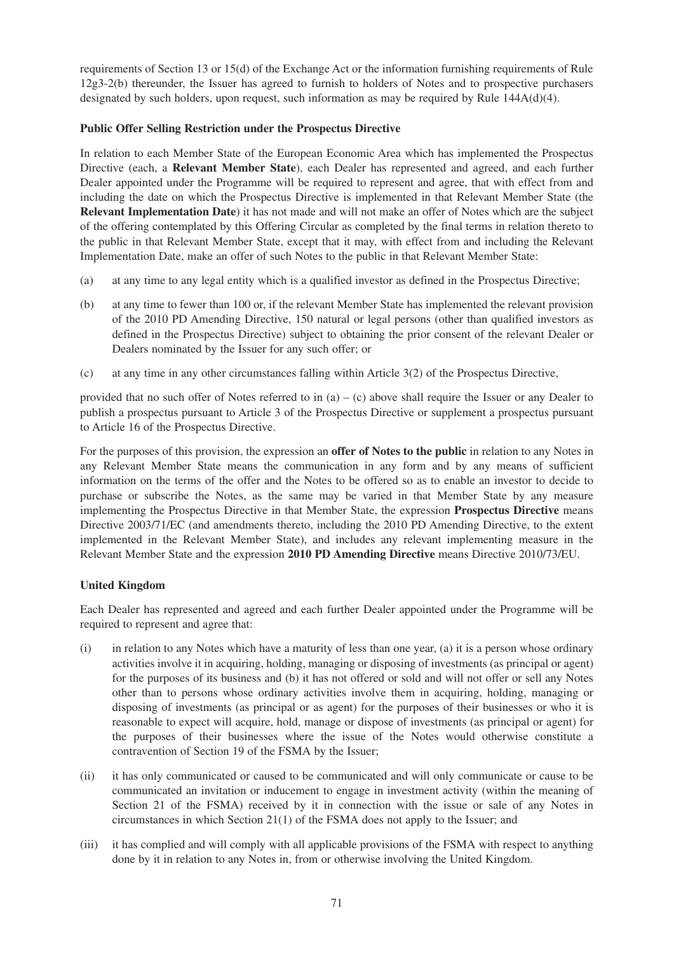requirements of Section 13 or 15(d) of the Exchange Act or the information furnishing requirements of Rule 12g3-2(b) thereunder, the Issuer has agreed to furnish to holders of Notes and to prospective purchasers designated by such holders, upon request, such information as may be required by Rule  $144A(d)(4)$ .

### **Public Offer Selling Restriction under the Prospectus Directive**

In relation to each Member State of the European Economic Area which has implemented the Prospectus Directive (each, a **Relevant Member State**), each Dealer has represented and agreed, and each further Dealer appointed under the Programme will be required to represent and agree, that with effect from and including the date on which the Prospectus Directive is implemented in that Relevant Member State (the **Relevant Implementation Date**) it has not made and will not make an offer of Notes which are the subject of the offering contemplated by this Offering Circular as completed by the final terms in relation thereto to the public in that Relevant Member State, except that it may, with effect from and including the Relevant Implementation Date, make an offer of such Notes to the public in that Relevant Member State:

- (a) at any time to any legal entity which is a qualified investor as defined in the Prospectus Directive;
- (b) at any time to fewer than 100 or, if the relevant Member State has implemented the relevant provision of the 2010 PD Amending Directive, 150 natural or legal persons (other than qualified investors as defined in the Prospectus Directive) subject to obtaining the prior consent of the relevant Dealer or Dealers nominated by the Issuer for any such offer; or
- (c) at any time in any other circumstances falling within Article 3(2) of the Prospectus Directive,

provided that no such offer of Notes referred to in (a) – (c) above shall require the Issuer or any Dealer to publish a prospectus pursuant to Article 3 of the Prospectus Directive or supplement a prospectus pursuant to Article 16 of the Prospectus Directive.

For the purposes of this provision, the expression an **offer of Notes to the public** in relation to any Notes in any Relevant Member State means the communication in any form and by any means of sufficient information on the terms of the offer and the Notes to be offered so as to enable an investor to decide to purchase or subscribe the Notes, as the same may be varied in that Member State by any measure implementing the Prospectus Directive in that Member State, the expression **Prospectus Directive** means Directive 2003/71/EC (and amendments thereto, including the 2010 PD Amending Directive, to the extent implemented in the Relevant Member State), and includes any relevant implementing measure in the Relevant Member State and the expression **2010 PD Amending Directive** means Directive 2010/73/EU.

# **United Kingdom**

Each Dealer has represented and agreed and each further Dealer appointed under the Programme will be required to represent and agree that:

- (i) in relation to any Notes which have a maturity of less than one year, (a) it is a person whose ordinary activities involve it in acquiring, holding, managing or disposing of investments (as principal or agent) for the purposes of its business and (b) it has not offered or sold and will not offer or sell any Notes other than to persons whose ordinary activities involve them in acquiring, holding, managing or disposing of investments (as principal or as agent) for the purposes of their businesses or who it is reasonable to expect will acquire, hold, manage or dispose of investments (as principal or agent) for the purposes of their businesses where the issue of the Notes would otherwise constitute a contravention of Section 19 of the FSMA by the Issuer;
- (ii) it has only communicated or caused to be communicated and will only communicate or cause to be communicated an invitation or inducement to engage in investment activity (within the meaning of Section 21 of the FSMA) received by it in connection with the issue or sale of any Notes in circumstances in which Section 21(1) of the FSMA does not apply to the Issuer; and
- (iii) it has complied and will comply with all applicable provisions of the FSMA with respect to anything done by it in relation to any Notes in, from or otherwise involving the United Kingdom.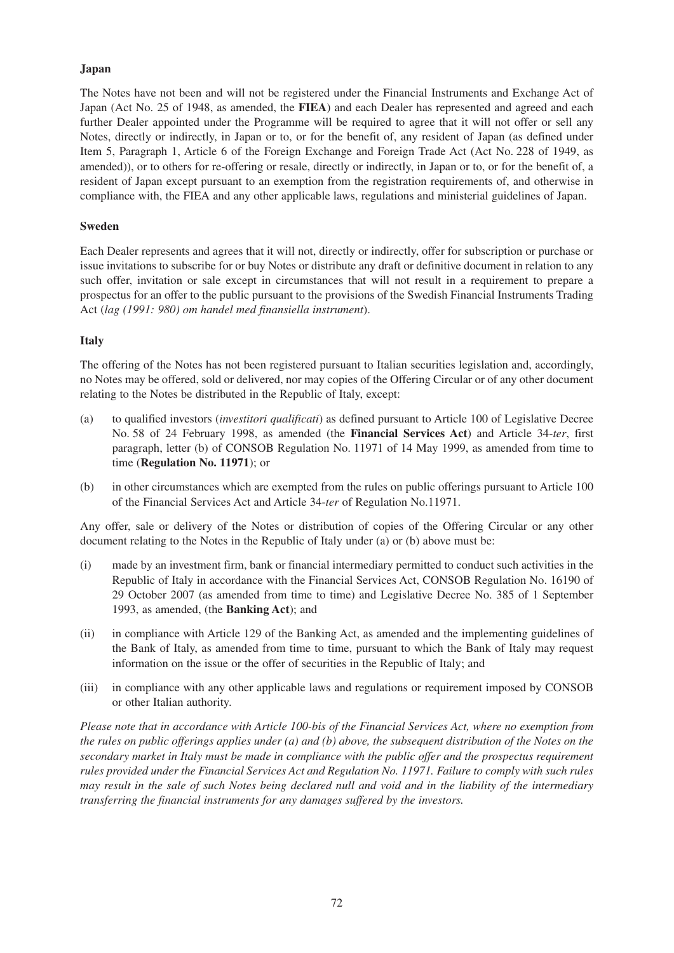## **Japan**

The Notes have not been and will not be registered under the Financial Instruments and Exchange Act of Japan (Act No. 25 of 1948, as amended, the **FIEA**) and each Dealer has represented and agreed and each further Dealer appointed under the Programme will be required to agree that it will not offer or sell any Notes, directly or indirectly, in Japan or to, or for the benefit of, any resident of Japan (as defined under Item 5, Paragraph 1, Article 6 of the Foreign Exchange and Foreign Trade Act (Act No. 228 of 1949, as amended)), or to others for re-offering or resale, directly or indirectly, in Japan or to, or for the benefit of, a resident of Japan except pursuant to an exemption from the registration requirements of, and otherwise in compliance with, the FIEA and any other applicable laws, regulations and ministerial guidelines of Japan.

### **Sweden**

Each Dealer represents and agrees that it will not, directly or indirectly, offer for subscription or purchase or issue invitations to subscribe for or buy Notes or distribute any draft or definitive document in relation to any such offer, invitation or sale except in circumstances that will not result in a requirement to prepare a prospectus for an offer to the public pursuant to the provisions of the Swedish Financial Instruments Trading Act (*lag (1991: 980) om handel med finansiella instrument*).

### **Italy**

The offering of the Notes has not been registered pursuant to Italian securities legislation and, accordingly, no Notes may be offered, sold or delivered, nor may copies of the Offering Circular or of any other document relating to the Notes be distributed in the Republic of Italy, except:

- (a) to qualified investors (*investitori qualificati*) as defined pursuant to Article 100 of Legislative Decree No. 58 of 24 February 1998, as amended (the **Financial Services Act**) and Article 34-*ter*, first paragraph, letter (b) of CONSOB Regulation No. 11971 of 14 May 1999, as amended from time to time (**Regulation No. 11971**); or
- (b) in other circumstances which are exempted from the rules on public offerings pursuant to Article 100 of the Financial Services Act and Article 34-*ter* of Regulation No.11971.

Any offer, sale or delivery of the Notes or distribution of copies of the Offering Circular or any other document relating to the Notes in the Republic of Italy under (a) or (b) above must be:

- (i) made by an investment firm, bank or financial intermediary permitted to conduct such activities in the Republic of Italy in accordance with the Financial Services Act, CONSOB Regulation No. 16190 of 29 October 2007 (as amended from time to time) and Legislative Decree No. 385 of 1 September 1993, as amended, (the **Banking Act**); and
- (ii) in compliance with Article 129 of the Banking Act, as amended and the implementing guidelines of the Bank of Italy, as amended from time to time, pursuant to which the Bank of Italy may request information on the issue or the offer of securities in the Republic of Italy; and
- (iii) in compliance with any other applicable laws and regulations or requirement imposed by CONSOB or other Italian authority.

*Please note that in accordance with Article 100-bis of the Financial Services Act, where no exemption from the rules on public offerings applies under (a) and (b) above, the subsequent distribution of the Notes on the secondary market in Italy must be made in compliance with the public offer and the prospectus requirement rules provided under the Financial Services Act and Regulation No. 11971. Failure to comply with such rules may result in the sale of such Notes being declared null and void and in the liability of the intermediary transferring the financial instruments for any damages suffered by the investors.*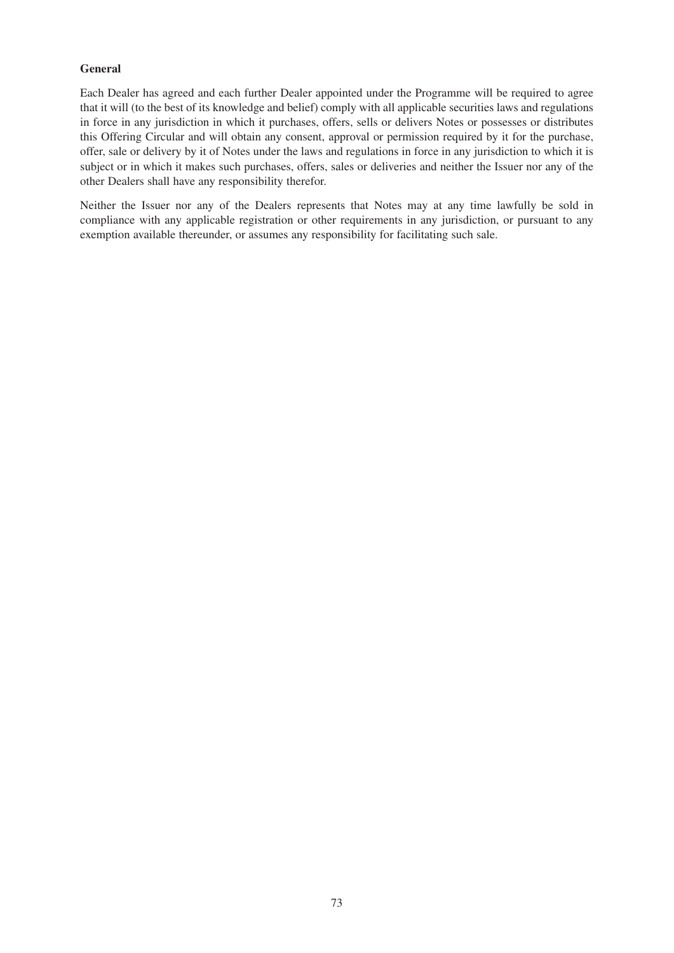#### **General**

Each Dealer has agreed and each further Dealer appointed under the Programme will be required to agree that it will (to the best of its knowledge and belief) comply with all applicable securities laws and regulations in force in any jurisdiction in which it purchases, offers, sells or delivers Notes or possesses or distributes this Offering Circular and will obtain any consent, approval or permission required by it for the purchase, offer, sale or delivery by it of Notes under the laws and regulations in force in any jurisdiction to which it is subject or in which it makes such purchases, offers, sales or deliveries and neither the Issuer nor any of the other Dealers shall have any responsibility therefor.

Neither the Issuer nor any of the Dealers represents that Notes may at any time lawfully be sold in compliance with any applicable registration or other requirements in any jurisdiction, or pursuant to any exemption available thereunder, or assumes any responsibility for facilitating such sale.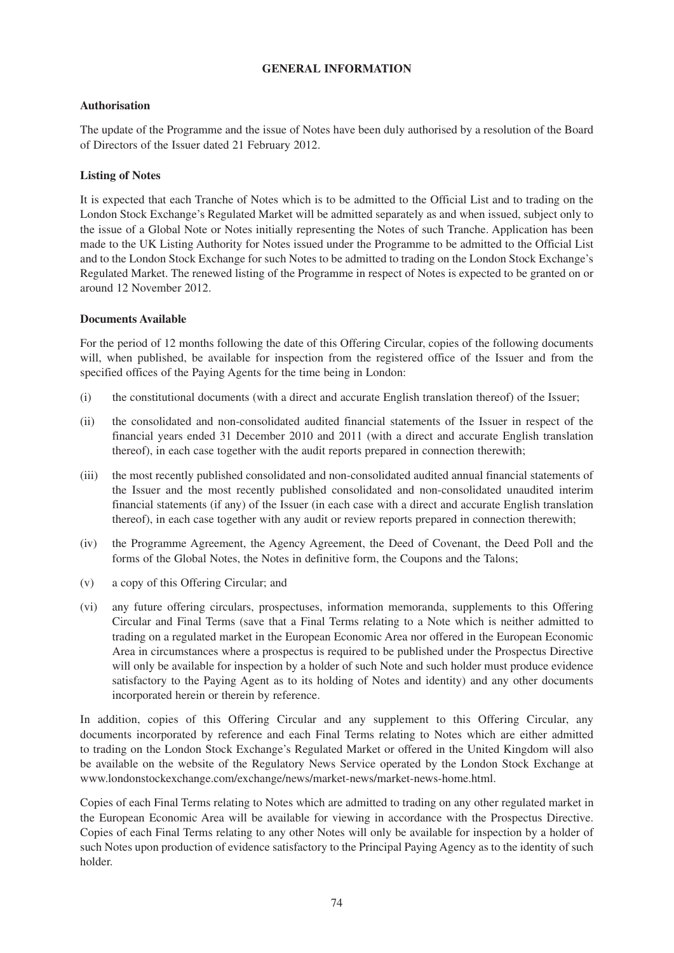### **GENERAL INFORMATION**

#### **Authorisation**

The update of the Programme and the issue of Notes have been duly authorised by a resolution of the Board of Directors of the Issuer dated 21 February 2012.

#### **Listing of Notes**

It is expected that each Tranche of Notes which is to be admitted to the Official List and to trading on the London Stock Exchange's Regulated Market will be admitted separately as and when issued, subject only to the issue of a Global Note or Notes initially representing the Notes of such Tranche. Application has been made to the UK Listing Authority for Notes issued under the Programme to be admitted to the Official List and to the London Stock Exchange for such Notes to be admitted to trading on the London Stock Exchange's Regulated Market. The renewed listing of the Programme in respect of Notes is expected to be granted on or around 12 November 2012.

#### **Documents Available**

For the period of 12 months following the date of this Offering Circular, copies of the following documents will, when published, be available for inspection from the registered office of the Issuer and from the specified offices of the Paying Agents for the time being in London:

- (i) the constitutional documents (with a direct and accurate English translation thereof) of the Issuer;
- (ii) the consolidated and non-consolidated audited financial statements of the Issuer in respect of the financial years ended 31 December 2010 and 2011 (with a direct and accurate English translation thereof), in each case together with the audit reports prepared in connection therewith;
- (iii) the most recently published consolidated and non-consolidated audited annual financial statements of the Issuer and the most recently published consolidated and non-consolidated unaudited interim financial statements (if any) of the Issuer (in each case with a direct and accurate English translation thereof), in each case together with any audit or review reports prepared in connection therewith;
- (iv) the Programme Agreement, the Agency Agreement, the Deed of Covenant, the Deed Poll and the forms of the Global Notes, the Notes in definitive form, the Coupons and the Talons;
- (v) a copy of this Offering Circular; and
- (vi) any future offering circulars, prospectuses, information memoranda, supplements to this Offering Circular and Final Terms (save that a Final Terms relating to a Note which is neither admitted to trading on a regulated market in the European Economic Area nor offered in the European Economic Area in circumstances where a prospectus is required to be published under the Prospectus Directive will only be available for inspection by a holder of such Note and such holder must produce evidence satisfactory to the Paying Agent as to its holding of Notes and identity) and any other documents incorporated herein or therein by reference.

In addition, copies of this Offering Circular and any supplement to this Offering Circular, any documents incorporated by reference and each Final Terms relating to Notes which are either admitted to trading on the London Stock Exchange's Regulated Market or offered in the United Kingdom will also be available on the website of the Regulatory News Service operated by the London Stock Exchange at www.londonstockexchange.com/exchange/news/market-news/market-news-home.html.

Copies of each Final Terms relating to Notes which are admitted to trading on any other regulated market in the European Economic Area will be available for viewing in accordance with the Prospectus Directive. Copies of each Final Terms relating to any other Notes will only be available for inspection by a holder of such Notes upon production of evidence satisfactory to the Principal Paying Agency as to the identity of such holder.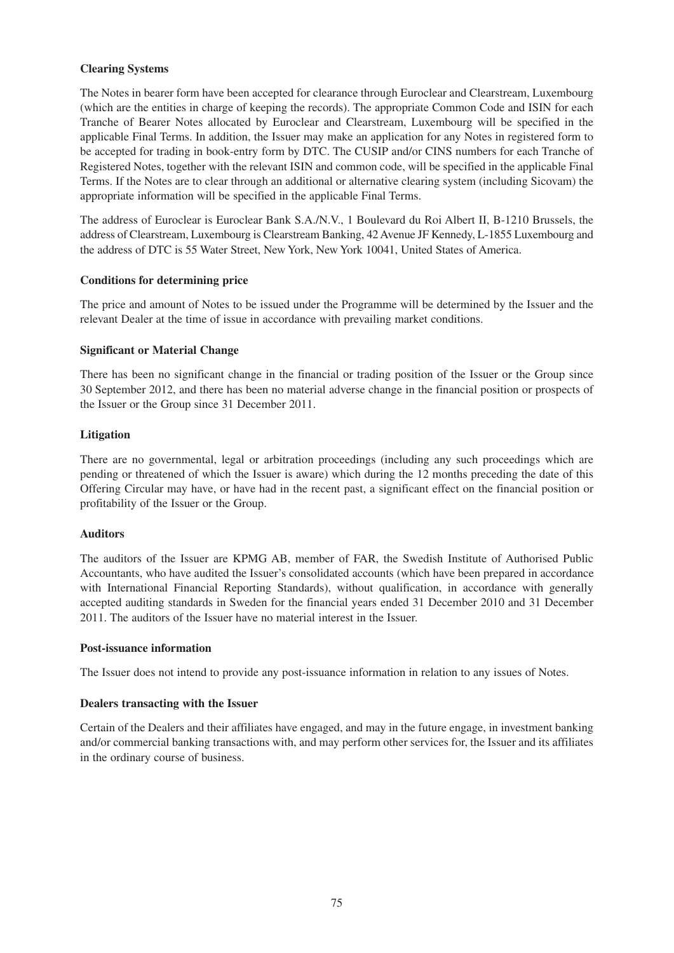#### **Clearing Systems**

The Notes in bearer form have been accepted for clearance through Euroclear and Clearstream, Luxembourg (which are the entities in charge of keeping the records). The appropriate Common Code and ISIN for each Tranche of Bearer Notes allocated by Euroclear and Clearstream, Luxembourg will be specified in the applicable Final Terms. In addition, the Issuer may make an application for any Notes in registered form to be accepted for trading in book-entry form by DTC. The CUSIP and/or CINS numbers for each Tranche of Registered Notes, together with the relevant ISIN and common code, will be specified in the applicable Final Terms. If the Notes are to clear through an additional or alternative clearing system (including Sicovam) the appropriate information will be specified in the applicable Final Terms.

The address of Euroclear is Euroclear Bank S.A./N.V., 1 Boulevard du Roi Albert II, B-1210 Brussels, the address of Clearstream, Luxembourg is Clearstream Banking, 42 Avenue JF Kennedy, L-1855 Luxembourg and the address of DTC is 55 Water Street, New York, New York 10041, United States of America.

#### **Conditions for determining price**

The price and amount of Notes to be issued under the Programme will be determined by the Issuer and the relevant Dealer at the time of issue in accordance with prevailing market conditions.

#### **Significant or Material Change**

There has been no significant change in the financial or trading position of the Issuer or the Group since 30 September 2012, and there has been no material adverse change in the financial position or prospects of the Issuer or the Group since 31 December 2011.

#### **Litigation**

There are no governmental, legal or arbitration proceedings (including any such proceedings which are pending or threatened of which the Issuer is aware) which during the 12 months preceding the date of this Offering Circular may have, or have had in the recent past, a significant effect on the financial position or profitability of the Issuer or the Group.

#### **Auditors**

The auditors of the Issuer are KPMG AB, member of FAR, the Swedish Institute of Authorised Public Accountants, who have audited the Issuer's consolidated accounts (which have been prepared in accordance with International Financial Reporting Standards), without qualification, in accordance with generally accepted auditing standards in Sweden for the financial years ended 31 December 2010 and 31 December 2011. The auditors of the Issuer have no material interest in the Issuer.

#### **Post-issuance information**

The Issuer does not intend to provide any post-issuance information in relation to any issues of Notes.

#### **Dealers transacting with the Issuer**

Certain of the Dealers and their affiliates have engaged, and may in the future engage, in investment banking and/or commercial banking transactions with, and may perform other services for, the Issuer and its affiliates in the ordinary course of business.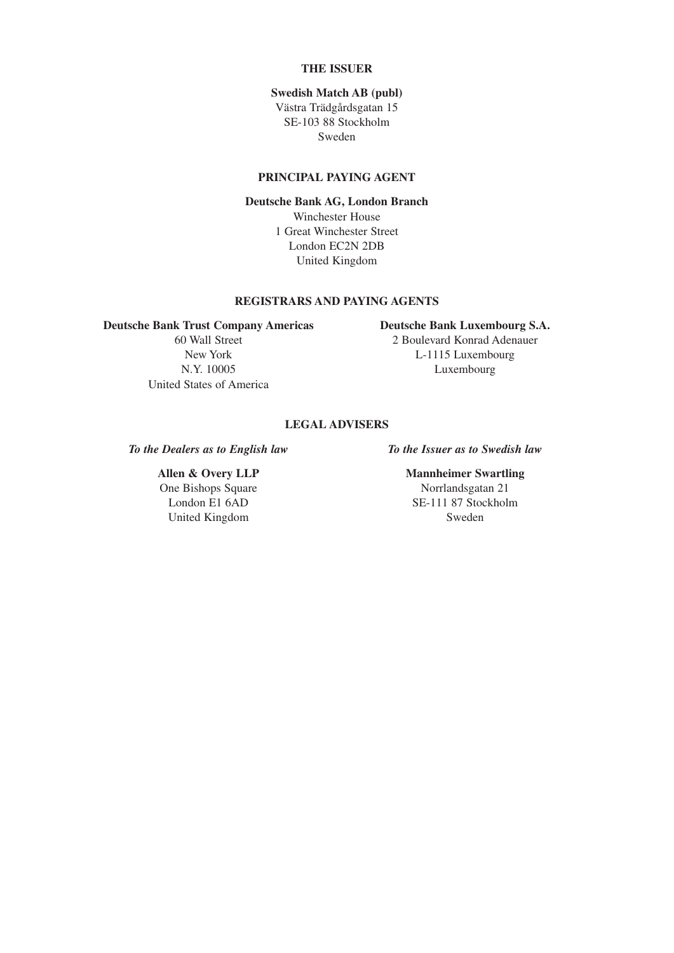### **THE ISSUER**

#### **Swedish Match AB (publ)**

Västra Trädgårdsgatan 15 SE-103 88 Stockholm Sweden

#### **PRINCIPAL PAYING AGENT**

#### **Deutsche Bank AG, London Branch**

Winchester House 1 Great Winchester Street London EC2N 2DB United Kingdom

#### **REGISTRARS AND PAYING AGENTS**

#### **Deutsche Bank Trust Company Americas Deutsche Bank Luxembourg S.A.**

United States of America

60 Wall Street 2 Boulevard Konrad Adenauer New York L-1115 Luxembourg N.Y. 10005 Luxembourg

### **LEGAL ADVISERS**

*To the Dealers as to English law To the Issuer as to Swedish law*

One Bishops Square Norrlandsgatan 21 United Kingdom Sweden

## **Allen & Overy LLP** Mannheimer Swartling

London E1 6AD SE-111 87 Stockholm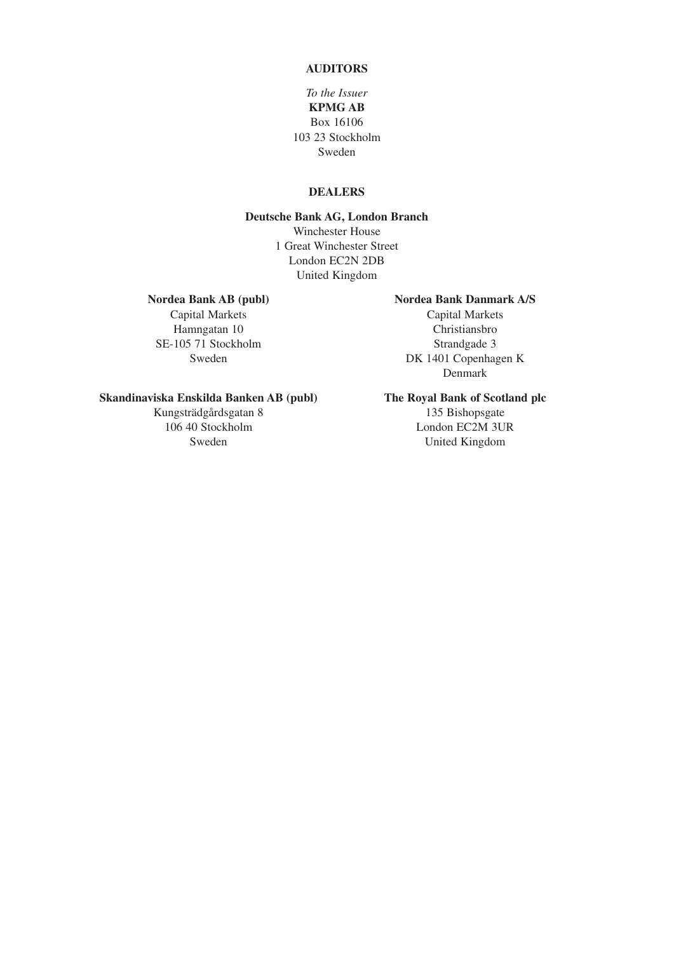#### **AUDITORS**

### *To the Issuer* **KPMG AB** Box 16106 103 23 Stockholm Sweden

### **DEALERS**

#### **Deutsche Bank AG, London Branch** Winchester House 1 Great Winchester Street London EC2N 2DB

United Kingdom

Capital Markets Capital Markets SE-105 71 Stockholm Strandgade 3

#### Nordea Bank AB (publ) **Nordea Bank Danmark A/S**

Hamngatan 10 Christiansbro Sweden DK 1401 Copenhagen K Denmark

#### **Skandinaviska Enskilda Banken AB (publ) The Royal Bank of Scotland plc**

106 40 Stockholm London EC2M 3UR

# Kungsträdgårdsgatan 8 135 Bishopsgate

Sweden United Kingdom